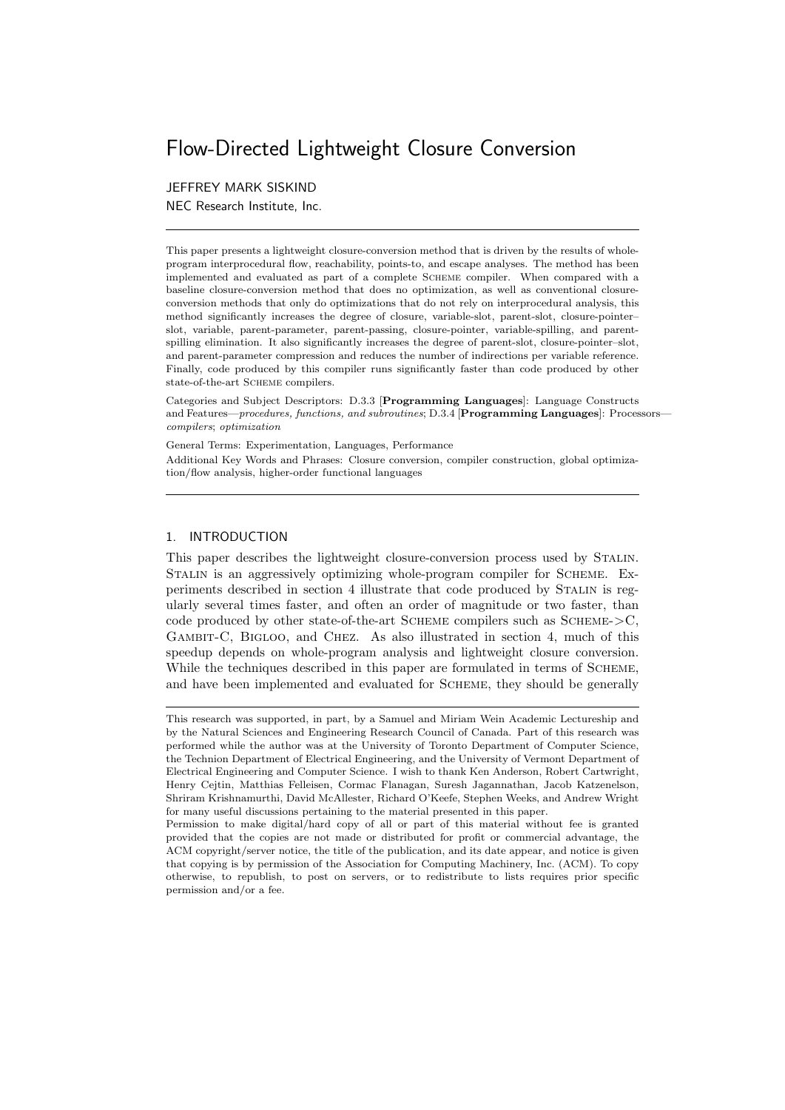# Flow-Directed Lightweight Closure Conversion

### JEFFREY MARK SISKIND

NEC Research Institute, Inc.

This paper presents a lightweight closure-conversion method that is driven by the results of wholeprogram interprocedural flow, reachability, points-to, and escape analyses. The method has been implemented and evaluated as part of a complete Scheme compiler. When compared with a baseline closure-conversion method that does no optimization, as well as conventional closureconversion methods that only do optimizations that do not rely on interprocedural analysis, this method significantly increases the degree of closure, variable-slot, parent-slot, closure-pointer– slot, variable, parent-parameter, parent-passing, closure-pointer, variable-spilling, and parentspilling elimination. It also significantly increases the degree of parent-slot, closure-pointer–slot, and parent-parameter compression and reduces the number of indirections per variable reference. Finally, code produced by this compiler runs significantly faster than code produced by other state-of-the-art SCHEME compilers.

Categories and Subject Descriptors: D.3.3 [Programming Languages]: Language Constructs and Features—procedures, functions, and subroutines; D.3.4 [Programming Languages]: Processorscompilers; optimization

General Terms: Experimentation, Languages, Performance Additional Key Words and Phrases: Closure conversion, compiler construction, global optimization/flow analysis, higher-order functional languages

#### 1. INTRODUCTION

This paper describes the lightweight closure-conversion process used by Stalin. Stalin is an aggressively optimizing whole-program compiler for Scheme. Experiments described in section 4 illustrate that code produced by STALIN is regularly several times faster, and often an order of magnitude or two faster, than code produced by other state-of-the-art SCHEME compilers such as  $SCHEME->C$ , GAMBIT-C, BIGLOO, and CHEZ. As also illustrated in section 4, much of this speedup depends on whole-program analysis and lightweight closure conversion. While the techniques described in this paper are formulated in terms of SCHEME, and have been implemented and evaluated for SCHEME, they should be generally

This research was supported, in part, by a Samuel and Miriam Wein Academic Lectureship and by the Natural Sciences and Engineering Research Council of Canada. Part of this research was performed while the author was at the University of Toronto Department of Computer Science, the Technion Department of Electrical Engineering, and the University of Vermont Department of Electrical Engineering and Computer Science. I wish to thank Ken Anderson, Robert Cartwright, Henry Cejtin, Matthias Felleisen, Cormac Flanagan, Suresh Jagannathan, Jacob Katzenelson, Shriram Krishnamurthi, David McAllester, Richard O'Keefe, Stephen Weeks, and Andrew Wright for many useful discussions pertaining to the material presented in this paper.

Permission to make digital/hard copy of all or part of this material without fee is granted provided that the copies are not made or distributed for profit or commercial advantage, the ACM copyright/server notice, the title of the publication, and its date appear, and notice is given that copying is by permission of the Association for Computing Machinery, Inc. (ACM). To copy otherwise, to republish, to post on servers, or to redistribute to lists requires prior specific permission and/or a fee.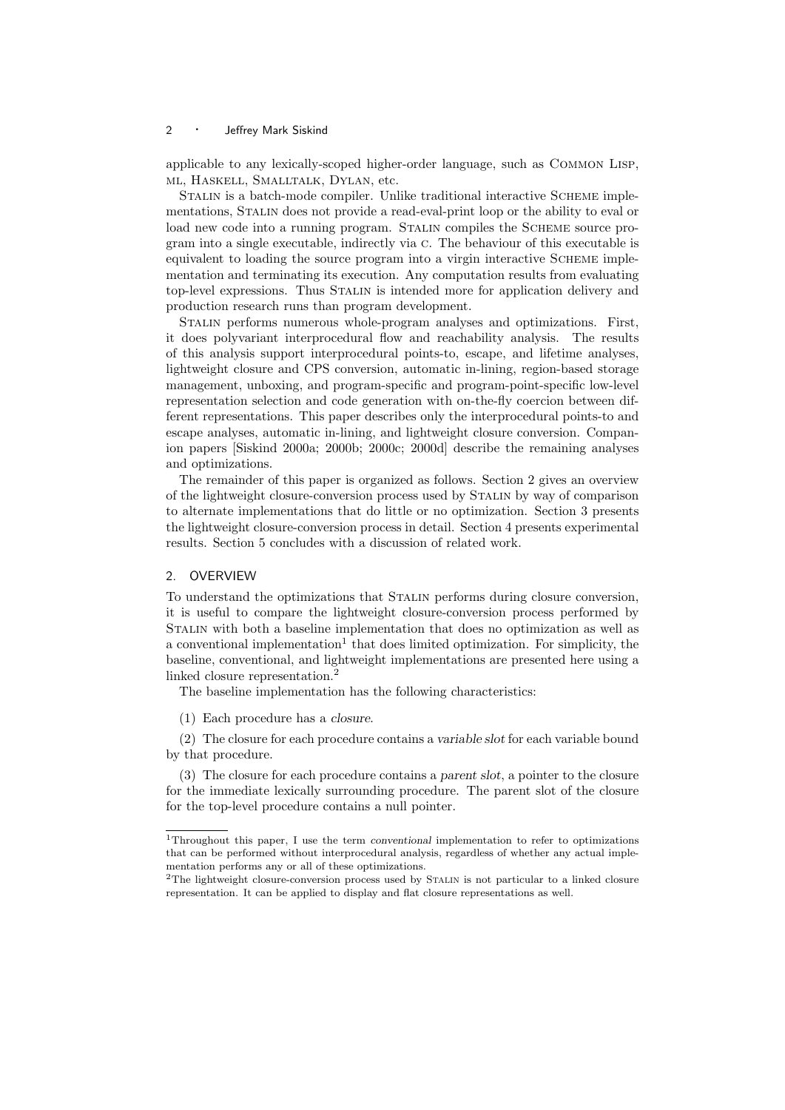applicable to any lexically-scoped higher-order language, such as Common Lisp, ml, Haskell, Smalltalk, Dylan, etc.

STALIN is a batch-mode compiler. Unlike traditional interactive SCHEME implementations, Stalin does not provide a read-eval-print loop or the ability to eval or load new code into a running program. STALIN compiles the SCHEME source program into a single executable, indirectly via c. The behaviour of this executable is equivalent to loading the source program into a virgin interactive Scheme implementation and terminating its execution. Any computation results from evaluating top-level expressions. Thus Stalin is intended more for application delivery and production research runs than program development.

Stalin performs numerous whole-program analyses and optimizations. First, it does polyvariant interprocedural flow and reachability analysis. The results of this analysis support interprocedural points-to, escape, and lifetime analyses, lightweight closure and CPS conversion, automatic in-lining, region-based storage management, unboxing, and program-specific and program-point-specific low-level representation selection and code generation with on-the-fly coercion between different representations. This paper describes only the interprocedural points-to and escape analyses, automatic in-lining, and lightweight closure conversion. Companion papers [Siskind 2000a; 2000b; 2000c; 2000d] describe the remaining analyses and optimizations.

The remainder of this paper is organized as follows. Section 2 gives an overview of the lightweight closure-conversion process used by Stalin by way of comparison to alternate implementations that do little or no optimization. Section 3 presents the lightweight closure-conversion process in detail. Section 4 presents experimental results. Section 5 concludes with a discussion of related work.

#### 2. OVERVIEW

To understand the optimizations that Stalin performs during closure conversion, it is useful to compare the lightweight closure-conversion process performed by Stalin with both a baseline implementation that does no optimization as well as a conventional implementation<sup>1</sup> that does limited optimization. For simplicity, the baseline, conventional, and lightweight implementations are presented here using a linked closure representation.<sup>2</sup>

The baseline implementation has the following characteristics:

(1) Each procedure has a closure.

(2) The closure for each procedure contains a variable slot for each variable bound by that procedure.

(3) The closure for each procedure contains a parent slot, a pointer to the closure for the immediate lexically surrounding procedure. The parent slot of the closure for the top-level procedure contains a null pointer.

<sup>1</sup>Throughout this paper, I use the term conventional implementation to refer to optimizations that can be performed without interprocedural analysis, regardless of whether any actual implementation performs any or all of these optimizations.

<sup>&</sup>lt;sup>2</sup>The lightweight closure-conversion process used by STALIN is not particular to a linked closure representation. It can be applied to display and flat closure representations as well.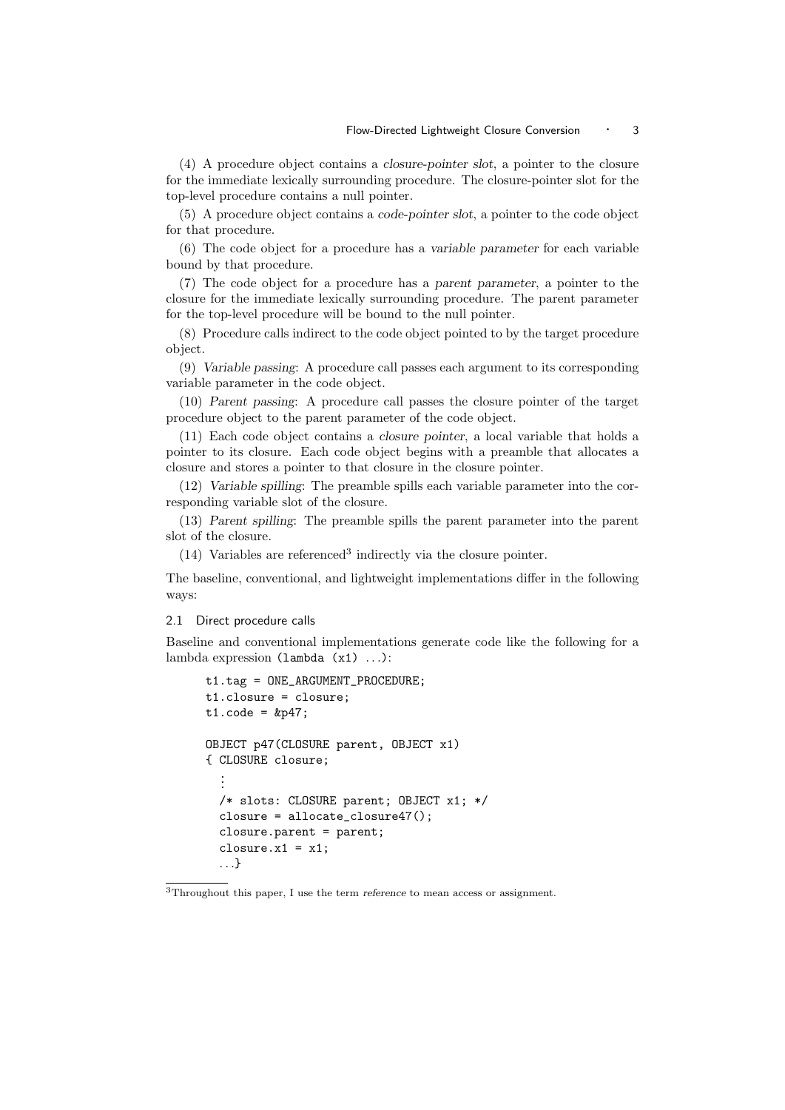(4) A procedure object contains a closure-pointer slot, a pointer to the closure for the immediate lexically surrounding procedure. The closure-pointer slot for the top-level procedure contains a null pointer.

(5) A procedure object contains a code-pointer slot, a pointer to the code object for that procedure.

(6) The code object for a procedure has a variable parameter for each variable bound by that procedure.

(7) The code object for a procedure has a parent parameter, a pointer to the closure for the immediate lexically surrounding procedure. The parent parameter for the top-level procedure will be bound to the null pointer.

(8) Procedure calls indirect to the code object pointed to by the target procedure object.

(9) Variable passing: A procedure call passes each argument to its corresponding variable parameter in the code object.

(10) Parent passing: A procedure call passes the closure pointer of the target procedure object to the parent parameter of the code object.

(11) Each code object contains a closure pointer, a local variable that holds a pointer to its closure. Each code object begins with a preamble that allocates a closure and stores a pointer to that closure in the closure pointer.

(12) Variable spilling: The preamble spills each variable parameter into the corresponding variable slot of the closure.

(13) Parent spilling: The preamble spills the parent parameter into the parent slot of the closure.

(14) Variables are referenced<sup>3</sup> indirectly via the closure pointer.

The baseline, conventional, and lightweight implementations differ in the following ways:

#### 2.1 Direct procedure calls

Baseline and conventional implementations generate code like the following for a lambda expression (lambda (x1) . . .):

```
t1.tag = ONE_ARGUMENT_PROCEDURE;
t1.closure = closure;
t1.code = kp47;OBJECT p47(CLOSURE parent, OBJECT x1)
{ CLOSURE closure;
  .
  .
  .
  /* slots: CLOSURE parent; OBJECT x1; */
  closure = allocate\_closure47();
  closure.parent = parent;
  closure.x1 = x1;
  . . .}
```
<sup>3</sup>Throughout this paper, I use the term reference to mean access or assignment.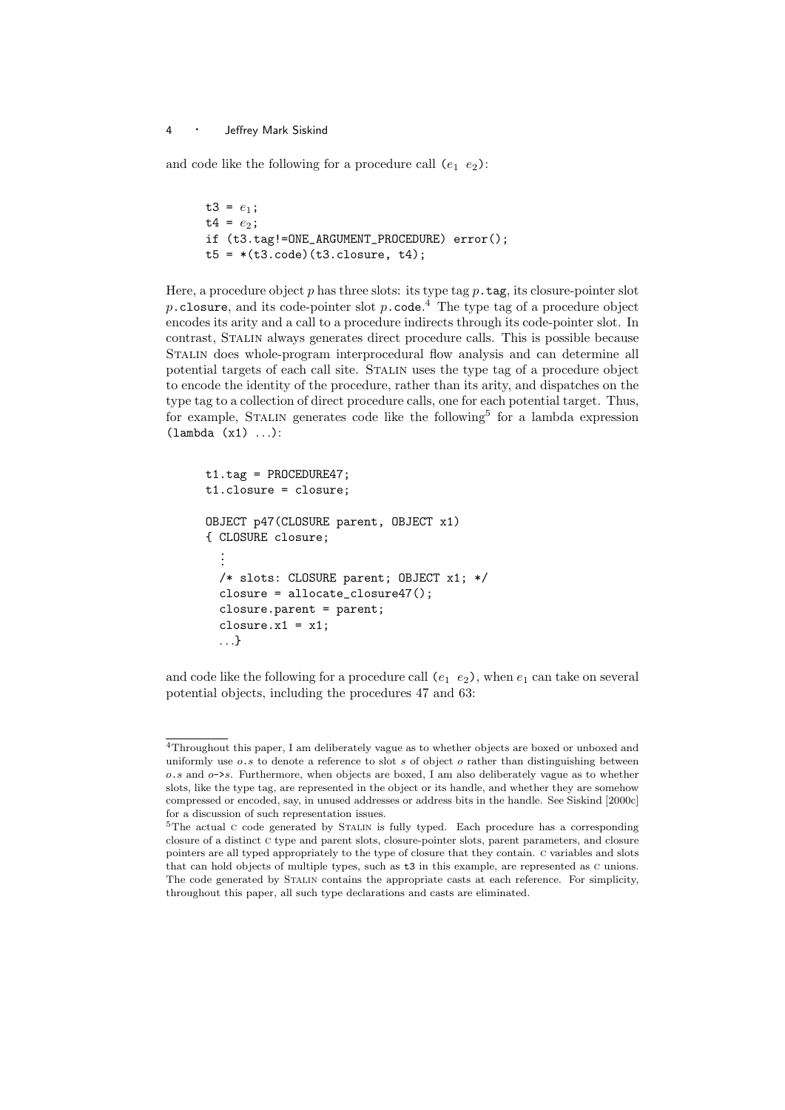and code like the following for a procedure call  $(e_1 \ e_2)$ :

```
t3 = e_1;
t4 = e_2;if (t3.tag!=ONE_ARGUMENT_PROCEDURE) error();
t5 = * (t3. code) (t3. closure, t4);
```
Here, a procedure object p has three slots: its type tag  $p$  tag, its closure-pointer slot p.closure, and its code-pointer slot p.code.<sup>4</sup> The type tag of a procedure object encodes its arity and a call to a procedure indirects through its code-pointer slot. In contrast, Stalin always generates direct procedure calls. This is possible because Stalin does whole-program interprocedural flow analysis and can determine all potential targets of each call site. Stalin uses the type tag of a procedure object to encode the identity of the procedure, rather than its arity, and dispatches on the type tag to a collection of direct procedure calls, one for each potential target. Thus, for example, STALIN generates code like the following<sup>5</sup> for a lambda expression  $(lambda (x1) ...):$ 

```
t1.tag = PROCEDURE47;
t1.closure = closure;
OBJECT p47(CLOSURE parent, OBJECT x1)
{ CLOSURE closure;
  .
  .
  .
  /* slots: CLOSURE parent; OBJECT x1; */
  closure = allocate_closure47();
  closure.parent = parent;
  closure.x1 = x1;
  . . .}
```
and code like the following for a procedure call  $(e_1 \ e_2)$ , when  $e_1$  can take on several potential objects, including the procedures 47 and 63:

<sup>4</sup>Throughout this paper, I am deliberately vague as to whether objects are boxed or unboxed and uniformly use  $o.s$  to denote a reference to slot s of object  $o$  rather than distinguishing between  $\alpha$ , and  $\alpha$ ->s. Furthermore, when objects are boxed. I am also deliberately vague as to whether slots, like the type tag, are represented in the object or its handle, and whether they are somehow compressed or encoded, say, in unused addresses or address bits in the handle. See Siskind [2000c] for a discussion of such representation issues.

<sup>&</sup>lt;sup>5</sup>The actual c code generated by STALIN is fully typed. Each procedure has a corresponding closure of a distinct c type and parent slots, closure-pointer slots, parent parameters, and closure pointers are all typed appropriately to the type of closure that they contain. c variables and slots that can hold objects of multiple types, such as t3 in this example, are represented as c unions. The code generated by Stalin contains the appropriate casts at each reference. For simplicity, throughout this paper, all such type declarations and casts are eliminated.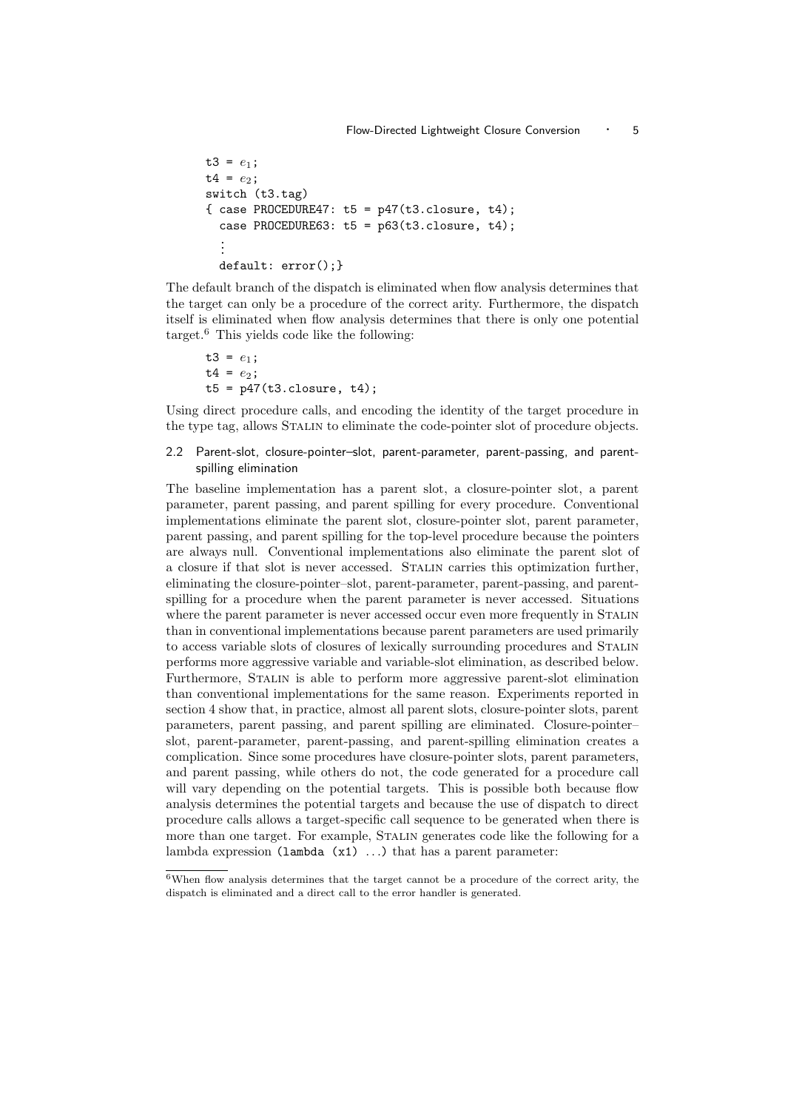```
t3 = e_1;
t4 = e_2;switch (t3.tag)
\{ \text{case } PROCEDURE47: t5 = p47(t3.closeure, t4);case PROCEDURE63: t5 = p63(t3.close).
  .
  .
  default: error();}
```
The default branch of the dispatch is eliminated when flow analysis determines that the target can only be a procedure of the correct arity. Furthermore, the dispatch itself is eliminated when flow analysis determines that there is only one potential target.<sup>6</sup> This yields code like the following:

```
t3 = e_1;
t4 = e_2;t5 = p47(t3. closure, t4);
```
Using direct procedure calls, and encoding the identity of the target procedure in the type tag, allows Stalin to eliminate the code-pointer slot of procedure objects.

#### 2.2 Parent-slot, closure-pointer–slot, parent-parameter, parent-passing, and parentspilling elimination

The baseline implementation has a parent slot, a closure-pointer slot, a parent parameter, parent passing, and parent spilling for every procedure. Conventional implementations eliminate the parent slot, closure-pointer slot, parent parameter, parent passing, and parent spilling for the top-level procedure because the pointers are always null. Conventional implementations also eliminate the parent slot of a closure if that slot is never accessed. Stalin carries this optimization further, eliminating the closure-pointer–slot, parent-parameter, parent-passing, and parentspilling for a procedure when the parent parameter is never accessed. Situations where the parent parameter is never accessed occur even more frequently in STALIN than in conventional implementations because parent parameters are used primarily to access variable slots of closures of lexically surrounding procedures and Stalin performs more aggressive variable and variable-slot elimination, as described below. Furthermore, Stalin is able to perform more aggressive parent-slot elimination than conventional implementations for the same reason. Experiments reported in section 4 show that, in practice, almost all parent slots, closure-pointer slots, parent parameters, parent passing, and parent spilling are eliminated. Closure-pointer– slot, parent-parameter, parent-passing, and parent-spilling elimination creates a complication. Since some procedures have closure-pointer slots, parent parameters, and parent passing, while others do not, the code generated for a procedure call will vary depending on the potential targets. This is possible both because flow analysis determines the potential targets and because the use of dispatch to direct procedure calls allows a target-specific call sequence to be generated when there is more than one target. For example, Stalin generates code like the following for a lambda expression ( $l$ ambda  $(x1)$  ...) that has a parent parameter:

 $6$ When flow analysis determines that the target cannot be a procedure of the correct arity, the dispatch is eliminated and a direct call to the error handler is generated.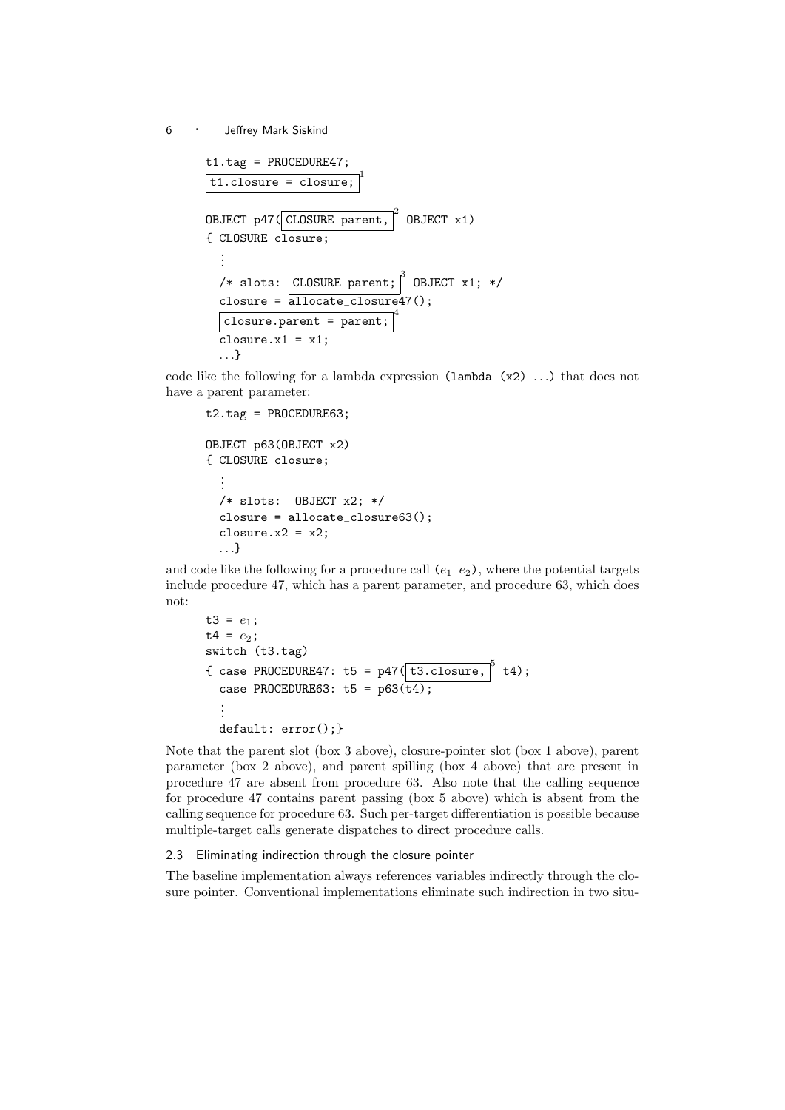```
t1.tag = PROCEDURE47;
t1.closure = closure;
                        1
OBJECT p47( CLOSURE parent,
                             2
                               OBJECT x1)
{ CLOSURE closure;
  .
  .
  .
  /* slots: CLOSURE parent;
                              ^3 OBJECT x1; */
  closure = allocate_closure47();
  closure.parent = parent;
                             4
  closure.x1 = x1;
  . . .}
```
code like the following for a lambda expression (lambda (x2) . . .) that does not have a parent parameter:

```
t2.tag = PROCEDURE63;OBJECT p63(OBJECT x2)
{ CLOSURE closure;
  .
.
.
  /* slots: OBJECT x2; */
  closure = allocate_closure63();
  closure.x2 = x2;
  . . .}
```
and code like the following for a procedure call  $(e_1 \ e_2)$ , where the potential targets include procedure 47, which has a parent parameter, and procedure 63, which does not:

```
t3 = e_1;
t4 = e_2;switch (t3.tag)
{ case PROCEDURE47: t5 = p47(\overline{t3.close} + \overline{t4});case PROCEDURE63: t5 = p63(t4);
  .
.
.
  default: error();}
```
Note that the parent slot (box 3 above), closure-pointer slot (box 1 above), parent parameter (box 2 above), and parent spilling (box 4 above) that are present in procedure 47 are absent from procedure 63. Also note that the calling sequence for procedure 47 contains parent passing (box 5 above) which is absent from the calling sequence for procedure 63. Such per-target differentiation is possible because multiple-target calls generate dispatches to direct procedure calls.

#### 2.3 Eliminating indirection through the closure pointer

The baseline implementation always references variables indirectly through the closure pointer. Conventional implementations eliminate such indirection in two situ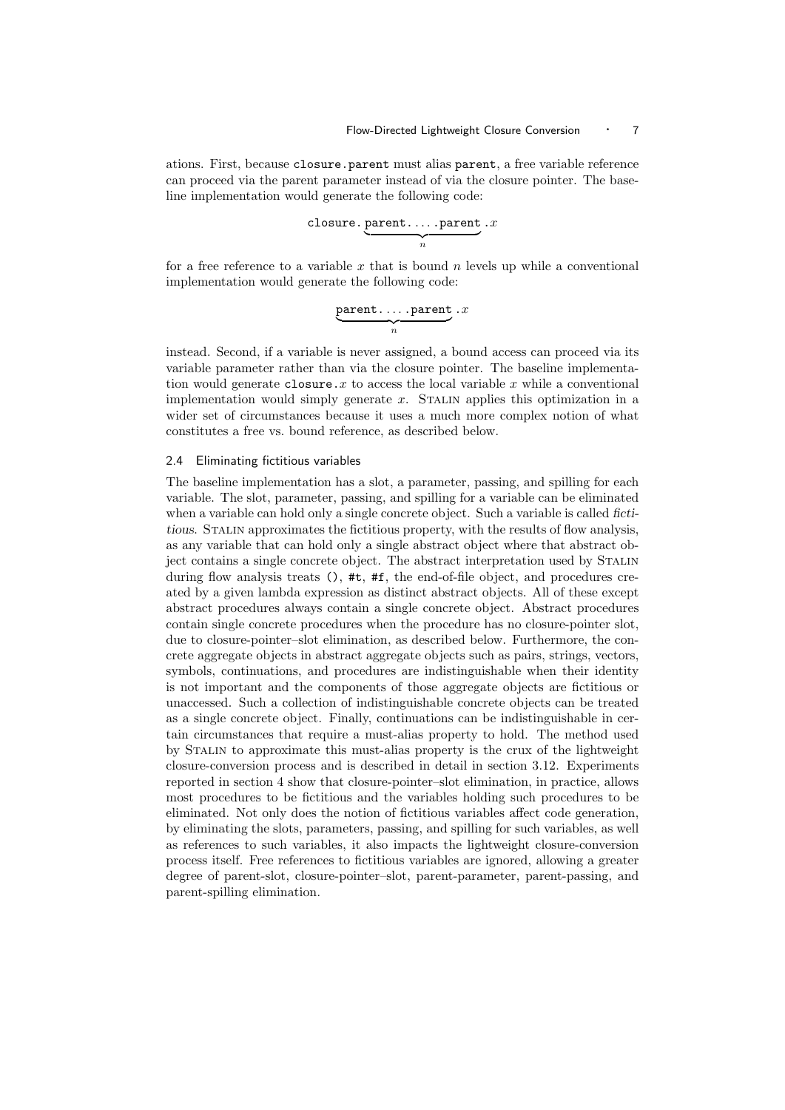ations. First, because closure.parent must alias parent, a free variable reference can proceed via the parent parameter instead of via the closure pointer. The baseline implementation would generate the following code:

$$
\underbrace{\texttt{closure}.\underbrace{\texttt{parent}.\dots.\texttt{parent}}_n.x}
$$

for a free reference to a variable x that is bound n levels up while a conventional implementation would generate the following code:

$$
\underbrace{\texttt{parent}\dots\texttt{.parent}}_n \cdot x
$$

instead. Second, if a variable is never assigned, a bound access can proceed via its variable parameter rather than via the closure pointer. The baseline implementation would generate closure. x to access the local variable  $x$  while a conventional implementation would simply generate  $x$ . STALIN applies this optimization in a wider set of circumstances because it uses a much more complex notion of what constitutes a free vs. bound reference, as described below.

#### 2.4 Eliminating fictitious variables

The baseline implementation has a slot, a parameter, passing, and spilling for each variable. The slot, parameter, passing, and spilling for a variable can be eliminated when a variable can hold only a single concrete object. Such a variable is called fictitious. Stalin approximates the fictitious property, with the results of flow analysis, as any variable that can hold only a single abstract object where that abstract object contains a single concrete object. The abstract interpretation used by STALIN during flow analysis treats (), #t, #f, the end-of-file object, and procedures created by a given lambda expression as distinct abstract objects. All of these except abstract procedures always contain a single concrete object. Abstract procedures contain single concrete procedures when the procedure has no closure-pointer slot, due to closure-pointer–slot elimination, as described below. Furthermore, the concrete aggregate objects in abstract aggregate objects such as pairs, strings, vectors, symbols, continuations, and procedures are indistinguishable when their identity is not important and the components of those aggregate objects are fictitious or unaccessed. Such a collection of indistinguishable concrete objects can be treated as a single concrete object. Finally, continuations can be indistinguishable in certain circumstances that require a must-alias property to hold. The method used by Stalin to approximate this must-alias property is the crux of the lightweight closure-conversion process and is described in detail in section 3.12. Experiments reported in section 4 show that closure-pointer–slot elimination, in practice, allows most procedures to be fictitious and the variables holding such procedures to be eliminated. Not only does the notion of fictitious variables affect code generation, by eliminating the slots, parameters, passing, and spilling for such variables, as well as references to such variables, it also impacts the lightweight closure-conversion process itself. Free references to fictitious variables are ignored, allowing a greater degree of parent-slot, closure-pointer–slot, parent-parameter, parent-passing, and parent-spilling elimination.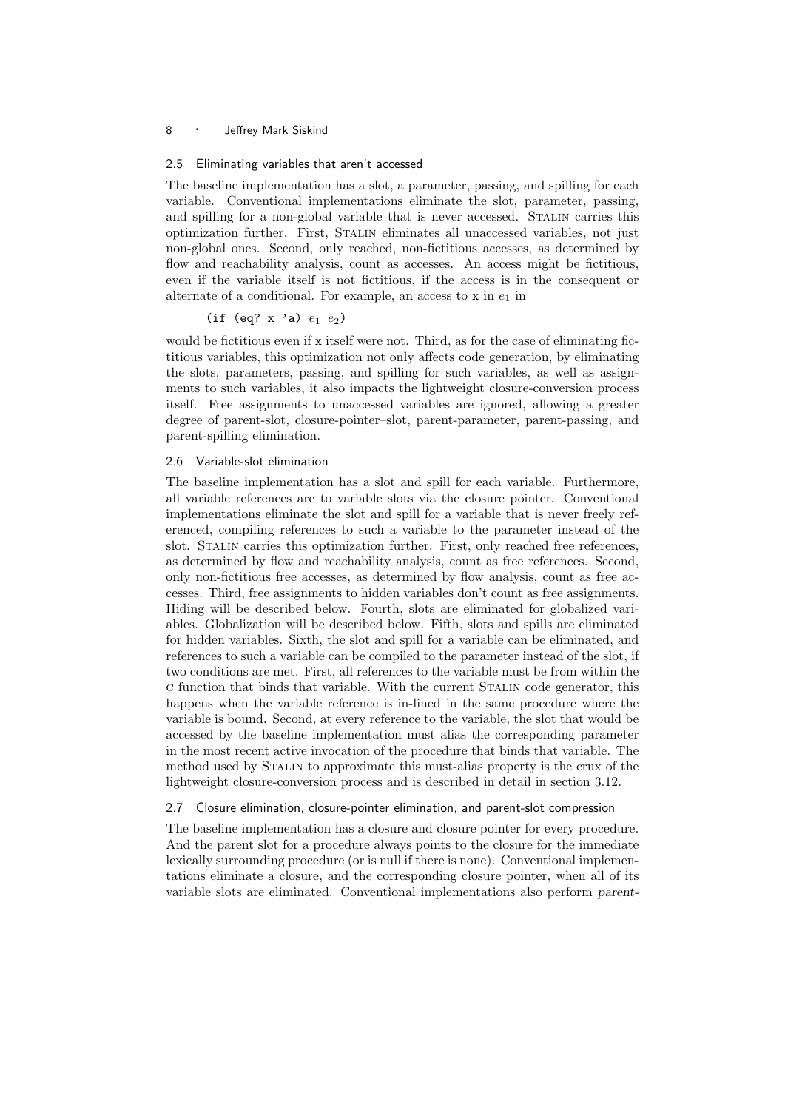#### 2.5 Eliminating variables that aren't accessed

The baseline implementation has a slot, a parameter, passing, and spilling for each variable. Conventional implementations eliminate the slot, parameter, passing, and spilling for a non-global variable that is never accessed. STALIN carries this optimization further. First, Stalin eliminates all unaccessed variables, not just non-global ones. Second, only reached, non-fictitious accesses, as determined by flow and reachability analysis, count as accesses. An access might be fictitious, even if the variable itself is not fictitious, if the access is in the consequent or alternate of a conditional. For example, an access to  $x$  in  $e_1$  in

#### (if (eq? x 'a)  $e_1 e_2$ )

would be fictitious even if x itself were not. Third, as for the case of eliminating fictitious variables, this optimization not only affects code generation, by eliminating the slots, parameters, passing, and spilling for such variables, as well as assignments to such variables, it also impacts the lightweight closure-conversion process itself. Free assignments to unaccessed variables are ignored, allowing a greater degree of parent-slot, closure-pointer–slot, parent-parameter, parent-passing, and parent-spilling elimination.

#### 2.6 Variable-slot elimination

The baseline implementation has a slot and spill for each variable. Furthermore, all variable references are to variable slots via the closure pointer. Conventional implementations eliminate the slot and spill for a variable that is never freely referenced, compiling references to such a variable to the parameter instead of the slot. STALIN carries this optimization further. First, only reached free references, as determined by flow and reachability analysis, count as free references. Second, only non-fictitious free accesses, as determined by flow analysis, count as free accesses. Third, free assignments to hidden variables don't count as free assignments. Hiding will be described below. Fourth, slots are eliminated for globalized variables. Globalization will be described below. Fifth, slots and spills are eliminated for hidden variables. Sixth, the slot and spill for a variable can be eliminated, and references to such a variable can be compiled to the parameter instead of the slot, if two conditions are met. First, all references to the variable must be from within the c function that binds that variable. With the current Stalin code generator, this happens when the variable reference is in-lined in the same procedure where the variable is bound. Second, at every reference to the variable, the slot that would be accessed by the baseline implementation must alias the corresponding parameter in the most recent active invocation of the procedure that binds that variable. The method used by Stalin to approximate this must-alias property is the crux of the lightweight closure-conversion process and is described in detail in section 3.12.

#### 2.7 Closure elimination, closure-pointer elimination, and parent-slot compression

The baseline implementation has a closure and closure pointer for every procedure. And the parent slot for a procedure always points to the closure for the immediate lexically surrounding procedure (or is null if there is none). Conventional implementations eliminate a closure, and the corresponding closure pointer, when all of its variable slots are eliminated. Conventional implementations also perform parent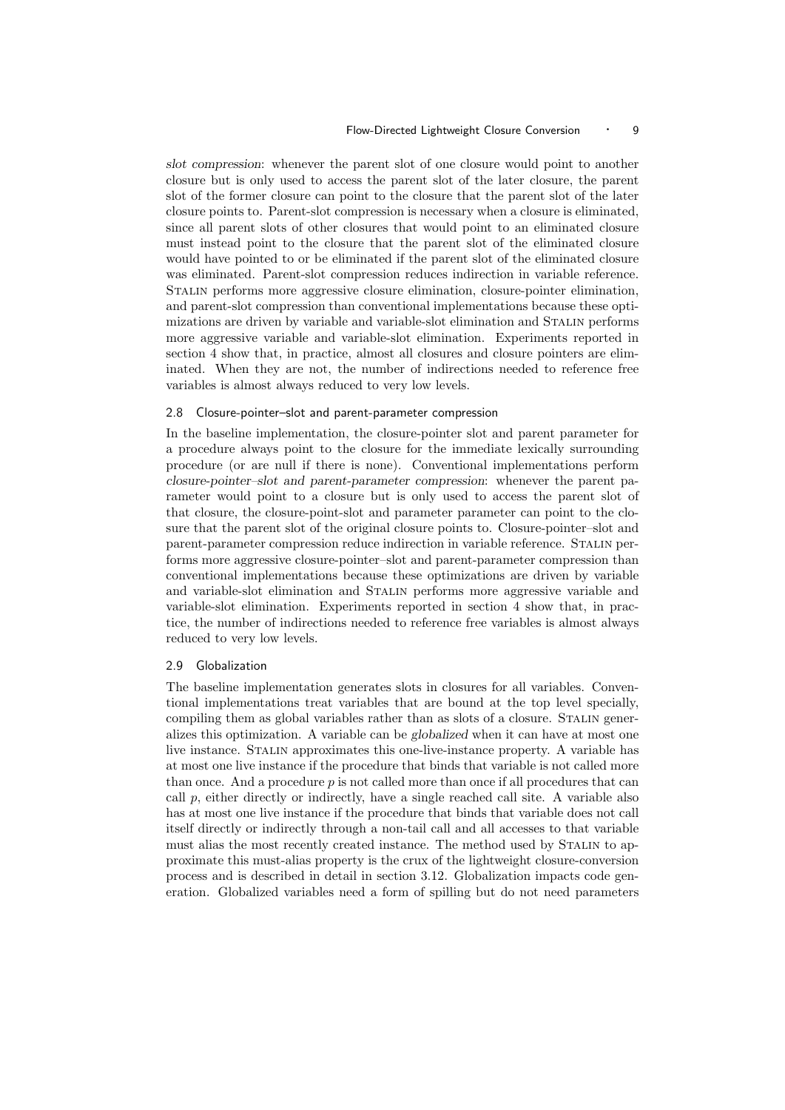slot compression: whenever the parent slot of one closure would point to another closure but is only used to access the parent slot of the later closure, the parent slot of the former closure can point to the closure that the parent slot of the later closure points to. Parent-slot compression is necessary when a closure is eliminated, since all parent slots of other closures that would point to an eliminated closure must instead point to the closure that the parent slot of the eliminated closure would have pointed to or be eliminated if the parent slot of the eliminated closure was eliminated. Parent-slot compression reduces indirection in variable reference. Stalin performs more aggressive closure elimination, closure-pointer elimination, and parent-slot compression than conventional implementations because these optimizations are driven by variable and variable-slot elimination and Stalin performs more aggressive variable and variable-slot elimination. Experiments reported in section 4 show that, in practice, almost all closures and closure pointers are eliminated. When they are not, the number of indirections needed to reference free variables is almost always reduced to very low levels.

#### 2.8 Closure-pointer–slot and parent-parameter compression

In the baseline implementation, the closure-pointer slot and parent parameter for a procedure always point to the closure for the immediate lexically surrounding procedure (or are null if there is none). Conventional implementations perform closure-pointer–slot and parent-parameter compression: whenever the parent parameter would point to a closure but is only used to access the parent slot of that closure, the closure-point-slot and parameter parameter can point to the closure that the parent slot of the original closure points to. Closure-pointer–slot and parent-parameter compression reduce indirection in variable reference. Stalin performs more aggressive closure-pointer–slot and parent-parameter compression than conventional implementations because these optimizations are driven by variable and variable-slot elimination and Stalin performs more aggressive variable and variable-slot elimination. Experiments reported in section 4 show that, in practice, the number of indirections needed to reference free variables is almost always reduced to very low levels.

#### 2.9 Globalization

The baseline implementation generates slots in closures for all variables. Conventional implementations treat variables that are bound at the top level specially, compiling them as global variables rather than as slots of a closure. STALIN generalizes this optimization. A variable can be globalized when it can have at most one live instance. Stalin approximates this one-live-instance property. A variable has at most one live instance if the procedure that binds that variable is not called more than once. And a procedure  $p$  is not called more than once if all procedures that can call  $p$ , either directly or indirectly, have a single reached call site. A variable also has at most one live instance if the procedure that binds that variable does not call itself directly or indirectly through a non-tail call and all accesses to that variable must alias the most recently created instance. The method used by STALIN to approximate this must-alias property is the crux of the lightweight closure-conversion process and is described in detail in section 3.12. Globalization impacts code generation. Globalized variables need a form of spilling but do not need parameters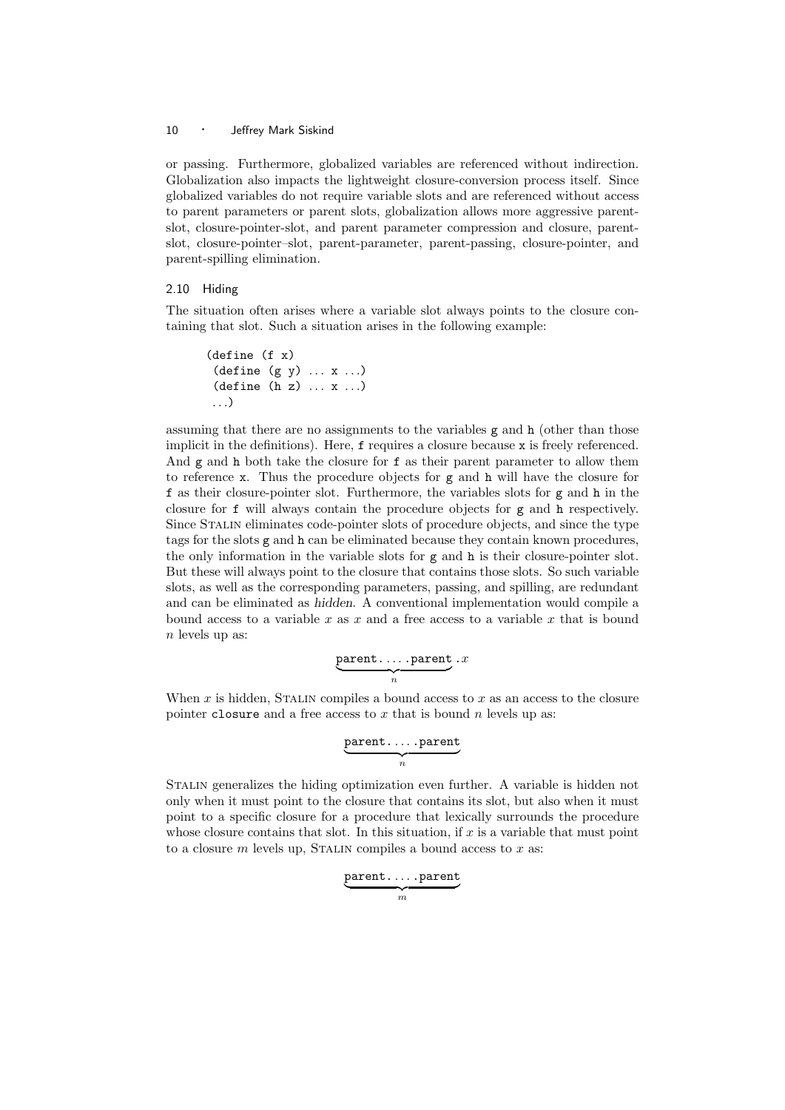or passing. Furthermore, globalized variables are referenced without indirection. Globalization also impacts the lightweight closure-conversion process itself. Since globalized variables do not require variable slots and are referenced without access to parent parameters or parent slots, globalization allows more aggressive parentslot, closure-pointer-slot, and parent parameter compression and closure, parentslot, closure-pointer–slot, parent-parameter, parent-passing, closure-pointer, and parent-spilling elimination.

#### 2.10 Hiding

The situation often arises where a variable slot always points to the closure containing that slot. Such a situation arises in the following example:

```
(define (f x)
 (\text{define } (g y) \dots x \dots)(detine (h z) ... x ...). . .)
```
assuming that there are no assignments to the variables  $g$  and  $h$  (other than those implicit in the definitions). Here, f requires a closure because x is freely referenced. And g and h both take the closure for f as their parent parameter to allow them to reference x. Thus the procedure objects for  $g$  and  $h$  will have the closure for f as their closure-pointer slot. Furthermore, the variables slots for g and h in the closure for f will always contain the procedure objects for g and h respectively. Since Stalin eliminates code-pointer slots of procedure objects, and since the type tags for the slots g and h can be eliminated because they contain known procedures, the only information in the variable slots for g and h is their closure-pointer slot. But these will always point to the closure that contains those slots. So such variable slots, as well as the corresponding parameters, passing, and spilling, are redundant and can be eliminated as hidden. A conventional implementation would compile a bound access to a variable x as x and a free access to a variable x that is bound  $n$  levels up as:

$$
\underbrace{\texttt{parent}\dots\texttt{.parent}}_n \cdot x
$$

When  $x$  is hidden, STALIN compiles a bound access to  $x$  as an access to the closure pointer closure and a free access to  $x$  that is bound  $n$  levels up as:

$$
\underbrace{\texttt{parent}\dots\texttt{.parent}}_n
$$

Stalin generalizes the hiding optimization even further. A variable is hidden not only when it must point to the closure that contains its slot, but also when it must point to a specific closure for a procedure that lexically surrounds the procedure whose closure contains that slot. In this situation, if  $x$  is a variable that must point to a closure  $m$  levels up, STALIN compiles a bound access to  $x$  as:

$$
\underbrace{\texttt{parent}\dots\texttt{.parent}}_m
$$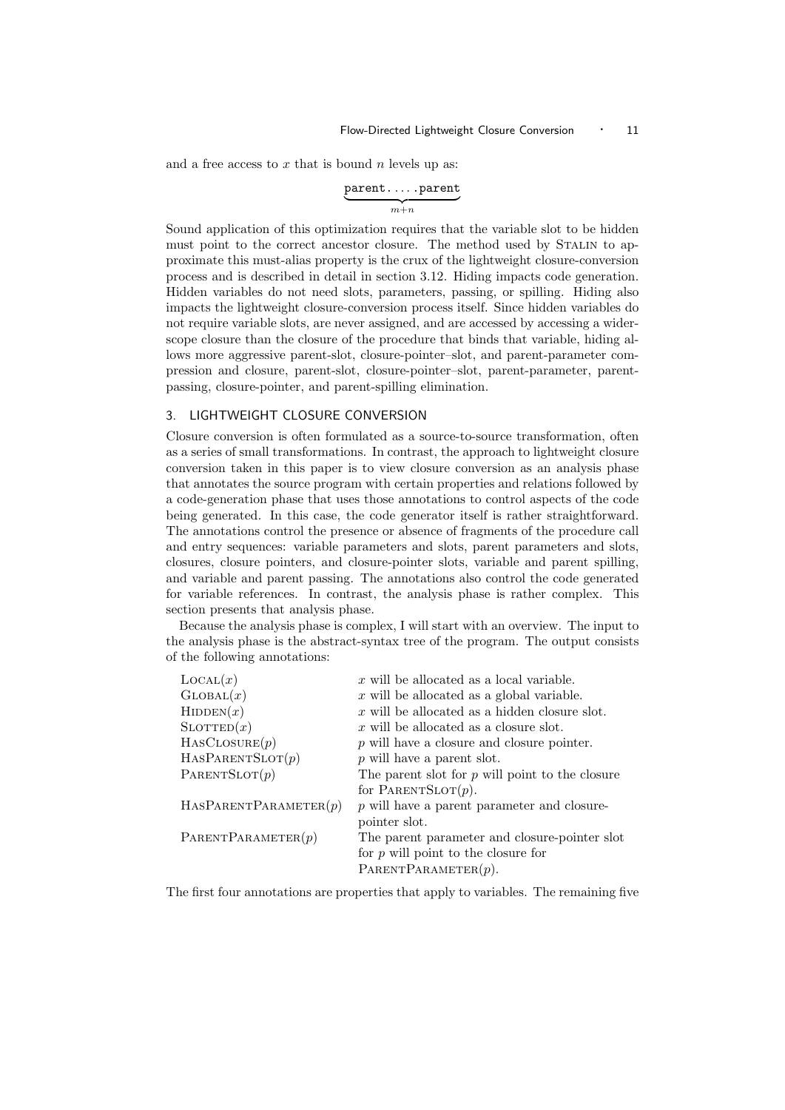and a free access to  $x$  that is bound  $n$  levels up as:

$$
\underbrace{\texttt{parent}\dots\texttt{.parent}}_{m+n}
$$

Sound application of this optimization requires that the variable slot to be hidden must point to the correct ancestor closure. The method used by STALIN to approximate this must-alias property is the crux of the lightweight closure-conversion process and is described in detail in section 3.12. Hiding impacts code generation. Hidden variables do not need slots, parameters, passing, or spilling. Hiding also impacts the lightweight closure-conversion process itself. Since hidden variables do not require variable slots, are never assigned, and are accessed by accessing a widerscope closure than the closure of the procedure that binds that variable, hiding allows more aggressive parent-slot, closure-pointer–slot, and parent-parameter compression and closure, parent-slot, closure-pointer–slot, parent-parameter, parentpassing, closure-pointer, and parent-spilling elimination.

#### 3. LIGHTWEIGHT CLOSURE CONVERSION

Closure conversion is often formulated as a source-to-source transformation, often as a series of small transformations. In contrast, the approach to lightweight closure conversion taken in this paper is to view closure conversion as an analysis phase that annotates the source program with certain properties and relations followed by a code-generation phase that uses those annotations to control aspects of the code being generated. In this case, the code generator itself is rather straightforward. The annotations control the presence or absence of fragments of the procedure call and entry sequences: variable parameters and slots, parent parameters and slots, closures, closure pointers, and closure-pointer slots, variable and parent spilling, and variable and parent passing. The annotations also control the code generated for variable references. In contrast, the analysis phase is rather complex. This section presents that analysis phase.

Because the analysis phase is complex, I will start with an overview. The input to the analysis phase is the abstract-syntax tree of the program. The output consists of the following annotations:

| $\text{Local}(x)$     | $x$ will be allocated as a local variable.        |
|-----------------------|---------------------------------------------------|
| GLOBAL(x)             | $x$ will be allocated as a global variable.       |
| HIDDEN(x)             | $x$ will be allocated as a hidden closure slot.   |
| $\text{SLOTTED}(x)$   | $x$ will be allocated as a closure slot.          |
| HASCLOSURE(p)         | $p$ will have a closure and closure pointer.      |
| HASPARENTSLOT(p)      | $p$ will have a parent slot.                      |
| PARENTSLOT(p)         | The parent slot for $p$ will point to the closure |
|                       | for PARENTSLOT $(p)$ .                            |
| HASPARENTPARAMETER(p) | $p$ will have a parent parameter and closure-     |
|                       | pointer slot.                                     |
| PARENTPARAMETER(p)    | The parent parameter and closure-pointer slot     |
|                       | for $p$ will point to the closure for             |
|                       | PARENTPARAMETER $(p)$ .                           |

The first four annotations are properties that apply to variables. The remaining five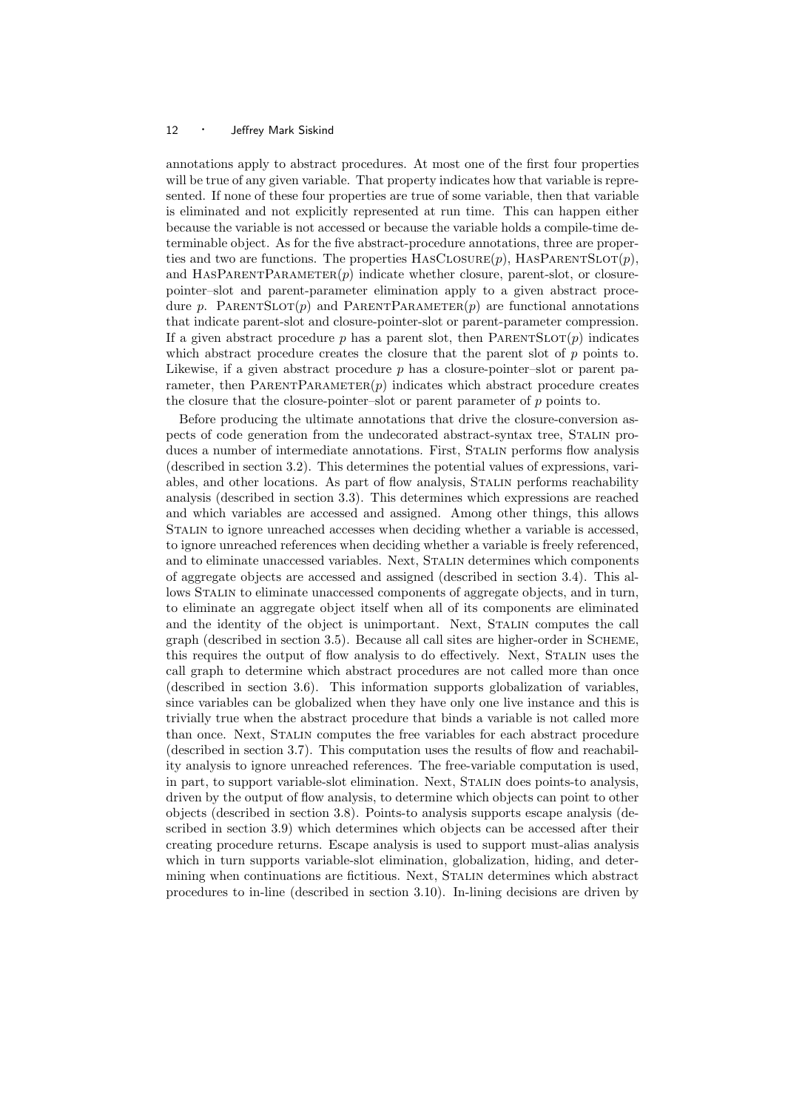annotations apply to abstract procedures. At most one of the first four properties will be true of any given variable. That property indicates how that variable is represented. If none of these four properties are true of some variable, then that variable is eliminated and not explicitly represented at run time. This can happen either because the variable is not accessed or because the variable holds a compile-time determinable object. As for the five abstract-procedure annotations, three are properties and two are functions. The properties  $HASCLOSURE(p)$ ,  $HASPARENTSLOT(p)$ , and HASPARENTPARAMETER $(p)$  indicate whether closure, parent-slot, or closurepointer–slot and parent-parameter elimination apply to a given abstract procedure p. PARENTSLOT $(p)$  and PARENTPARAMETER $(p)$  are functional annotations that indicate parent-slot and closure-pointer-slot or parent-parameter compression. If a given abstract procedure p has a parent slot, then  $\text{PARENTSLOT}(p)$  indicates which abstract procedure creates the closure that the parent slot of p points to. Likewise, if a given abstract procedure  $p$  has a closure-pointer-slot or parent parameter, then  $PARENTPARAMETER(p)$  indicates which abstract procedure creates the closure that the closure-pointer–slot or parent parameter of p points to.

Before producing the ultimate annotations that drive the closure-conversion aspects of code generation from the undecorated abstract-syntax tree, Stalin produces a number of intermediate annotations. First, Stalin performs flow analysis (described in section 3.2). This determines the potential values of expressions, variables, and other locations. As part of flow analysis, STALIN performs reachability analysis (described in section 3.3). This determines which expressions are reached and which variables are accessed and assigned. Among other things, this allows Stalin to ignore unreached accesses when deciding whether a variable is accessed, to ignore unreached references when deciding whether a variable is freely referenced, and to eliminate unaccessed variables. Next, Stalin determines which components of aggregate objects are accessed and assigned (described in section 3.4). This allows Stalin to eliminate unaccessed components of aggregate objects, and in turn, to eliminate an aggregate object itself when all of its components are eliminated and the identity of the object is unimportant. Next, STALIN computes the call graph (described in section 3.5). Because all call sites are higher-order in Scheme, this requires the output of flow analysis to do effectively. Next, Stalin uses the call graph to determine which abstract procedures are not called more than once (described in section 3.6). This information supports globalization of variables, since variables can be globalized when they have only one live instance and this is trivially true when the abstract procedure that binds a variable is not called more than once. Next, Stalin computes the free variables for each abstract procedure (described in section 3.7). This computation uses the results of flow and reachability analysis to ignore unreached references. The free-variable computation is used, in part, to support variable-slot elimination. Next, Stalin does points-to analysis, driven by the output of flow analysis, to determine which objects can point to other objects (described in section 3.8). Points-to analysis supports escape analysis (described in section 3.9) which determines which objects can be accessed after their creating procedure returns. Escape analysis is used to support must-alias analysis which in turn supports variable-slot elimination, globalization, hiding, and determining when continuations are fictitious. Next, Stalin determines which abstract procedures to in-line (described in section 3.10). In-lining decisions are driven by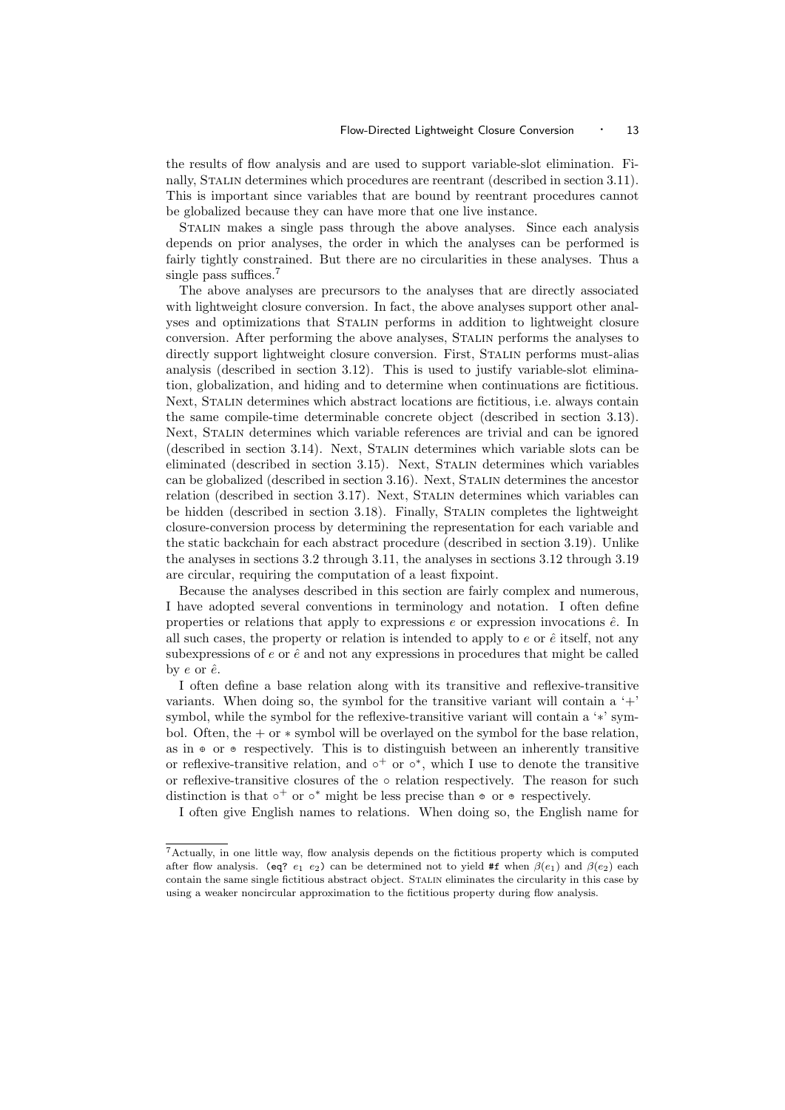the results of flow analysis and are used to support variable-slot elimination. Finally, Stalin determines which procedures are reentrant (described in section 3.11). This is important since variables that are bound by reentrant procedures cannot be globalized because they can have more that one live instance.

Stalin makes a single pass through the above analyses. Since each analysis depends on prior analyses, the order in which the analyses can be performed is fairly tightly constrained. But there are no circularities in these analyses. Thus a single pass suffices.<sup>7</sup>

The above analyses are precursors to the analyses that are directly associated with lightweight closure conversion. In fact, the above analyses support other analyses and optimizations that Stalin performs in addition to lightweight closure conversion. After performing the above analyses, Stalin performs the analyses to directly support lightweight closure conversion. First, STALIN performs must-alias analysis (described in section 3.12). This is used to justify variable-slot elimination, globalization, and hiding and to determine when continuations are fictitious. Next, Stalin determines which abstract locations are fictitious, i.e. always contain the same compile-time determinable concrete object (described in section 3.13). Next, Stalin determines which variable references are trivial and can be ignored (described in section 3.14). Next, Stalin determines which variable slots can be eliminated (described in section 3.15). Next, Stalin determines which variables can be globalized (described in section 3.16). Next, Stalin determines the ancestor relation (described in section 3.17). Next, STALIN determines which variables can be hidden (described in section 3.18). Finally, STALIN completes the lightweight closure-conversion process by determining the representation for each variable and the static backchain for each abstract procedure (described in section 3.19). Unlike the analyses in sections 3.2 through 3.11, the analyses in sections 3.12 through 3.19 are circular, requiring the computation of a least fixpoint.

Because the analyses described in this section are fairly complex and numerous, I have adopted several conventions in terminology and notation. I often define properties or relations that apply to expressions  $e$  or expression invocations  $\hat{e}$ . In all such cases, the property or relation is intended to apply to  $e$  or  $\hat{e}$  itself, not any subexpressions of  $e$  or  $\hat{e}$  and not any expressions in procedures that might be called by  $e$  or  $\hat{e}$ .

I often define a base relation along with its transitive and reflexive-transitive variants. When doing so, the symbol for the transitive variant will contain a  $^{\circ}$ + symbol, while the symbol for the reflexive-transitive variant will contain a '\*' symbol. Often, the  $+$  or  $*$  symbol will be overlayed on the symbol for the base relation, as in  $\bullet$  or  $\bullet$  respectively. This is to distinguish between an inherently transitive or reflexive-transitive relation, and  $\circ^+$  or  $\circ^*$ , which I use to denote the transitive or reflexive-transitive closures of the  $\circ$  relation respectively. The reason for such distinction is that  $\circ^+$  or  $\circ^*$  might be less precise than  $\circ$  or  $\circ$  respectively.

I often give English names to relations. When doing so, the English name for

<sup>7</sup>Actually, in one little way, flow analysis depends on the fictitious property which is computed after flow analysis. (eq?  $e_1$   $e_2$ ) can be determined not to yield #f when  $\beta(e_1)$  and  $\beta(e_2)$  each contain the same single fictitious abstract object. Stalin eliminates the circularity in this case by using a weaker noncircular approximation to the fictitious property during flow analysis.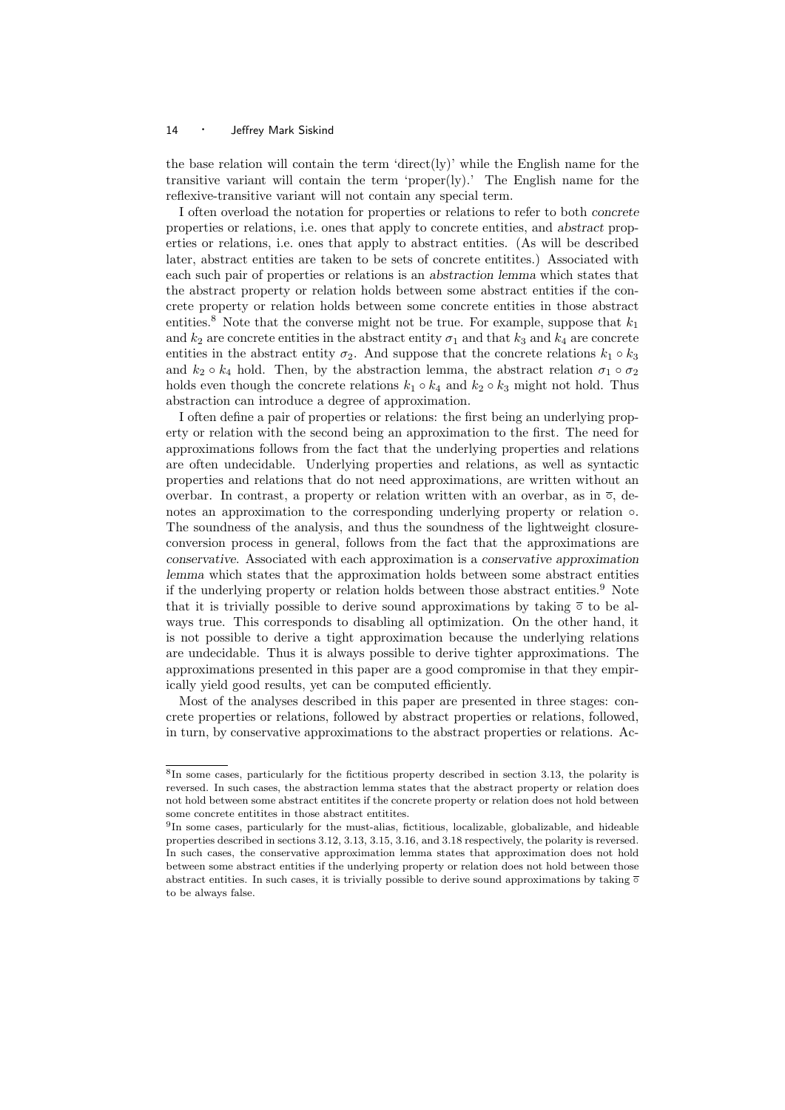the base relation will contain the term 'direct(ly)' while the English name for the transitive variant will contain the term 'proper(ly).' The English name for the reflexive-transitive variant will not contain any special term.

I often overload the notation for properties or relations to refer to both concrete properties or relations, i.e. ones that apply to concrete entities, and abstract properties or relations, i.e. ones that apply to abstract entities. (As will be described later, abstract entities are taken to be sets of concrete entitites.) Associated with each such pair of properties or relations is an abstraction lemma which states that the abstract property or relation holds between some abstract entities if the concrete property or relation holds between some concrete entities in those abstract entities.<sup>8</sup> Note that the converse might not be true. For example, suppose that  $k_1$ and  $k_2$  are concrete entities in the abstract entity  $\sigma_1$  and that  $k_3$  and  $k_4$  are concrete entities in the abstract entity  $\sigma_2$ . And suppose that the concrete relations  $k_1 \circ k_3$ and  $k_2 \circ k_4$  hold. Then, by the abstraction lemma, the abstract relation  $\sigma_1 \circ \sigma_2$ holds even though the concrete relations  $k_1 \circ k_4$  and  $k_2 \circ k_3$  might not hold. Thus abstraction can introduce a degree of approximation.

I often define a pair of properties or relations: the first being an underlying property or relation with the second being an approximation to the first. The need for approximations follows from the fact that the underlying properties and relations are often undecidable. Underlying properties and relations, as well as syntactic properties and relations that do not need approximations, are written without an overbar. In contrast, a property or relation written with an overbar, as in  $\overline{\circ}$ , denotes an approximation to the corresponding underlying property or relation ◦. The soundness of the analysis, and thus the soundness of the lightweight closureconversion process in general, follows from the fact that the approximations are conservative. Associated with each approximation is a conservative approximation lemma which states that the approximation holds between some abstract entities if the underlying property or relation holds between those abstract entities.<sup>9</sup> Note that it is trivially possible to derive sound approximations by taking  $\overline{\circ}$  to be always true. This corresponds to disabling all optimization. On the other hand, it is not possible to derive a tight approximation because the underlying relations are undecidable. Thus it is always possible to derive tighter approximations. The approximations presented in this paper are a good compromise in that they empirically yield good results, yet can be computed efficiently.

Most of the analyses described in this paper are presented in three stages: concrete properties or relations, followed by abstract properties or relations, followed, in turn, by conservative approximations to the abstract properties or relations. Ac-

<sup>8</sup> In some cases, particularly for the fictitious property described in section 3.13, the polarity is reversed. In such cases, the abstraction lemma states that the abstract property or relation does not hold between some abstract entitites if the concrete property or relation does not hold between some concrete entitites in those abstract entitites.

<sup>&</sup>lt;sup>9</sup>In some cases, particularly for the must-alias, fictitious, localizable, globalizable, and hideable properties described in sections 3.12, 3.13, 3.15, 3.16, and 3.18 respectively, the polarity is reversed. In such cases, the conservative approximation lemma states that approximation does not hold between some abstract entities if the underlying property or relation does not hold between those abstract entities. In such cases, it is trivially possible to derive sound approximations by taking  $\overline{\circ}$ to be always false.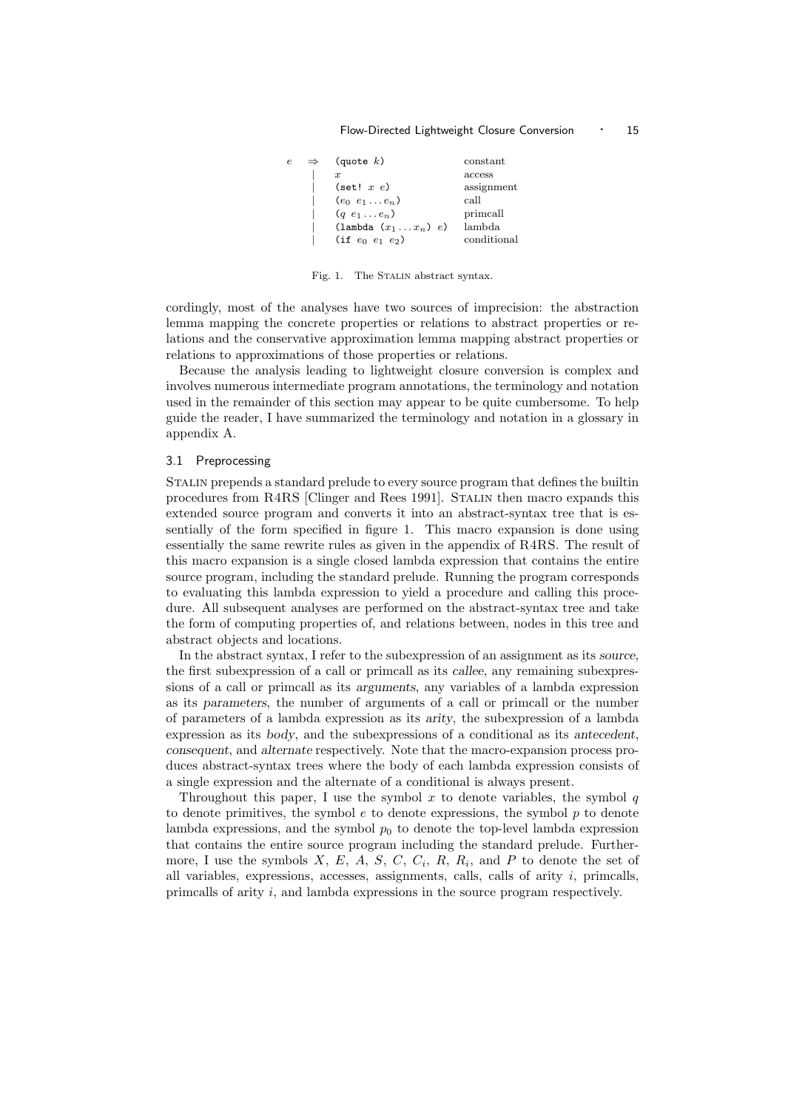#### Flow-Directed Lightweight Closure Conversion · 15

| e | $\Rightarrow$ | (quote $k$ )                          | constant    |
|---|---------------|---------------------------------------|-------------|
|   |               | $\boldsymbol{x}$                      | access      |
|   |               | $(\text{set}! \ x \ e)$               | assignment  |
|   |               | $(e_0 \, e_1 \ldots e_n)$             | call        |
|   |               | $(q e_1 \ldots e_n)$                  | primcall    |
|   |               | $(\texttt{lambda}(x_1 \ldots x_n) e)$ | lambda      |
|   |               | (if $e_0$ $e_1$ $e_2$ )               | conditional |

Fig. 1. The STALIN abstract syntax.

cordingly, most of the analyses have two sources of imprecision: the abstraction lemma mapping the concrete properties or relations to abstract properties or relations and the conservative approximation lemma mapping abstract properties or relations to approximations of those properties or relations.

Because the analysis leading to lightweight closure conversion is complex and involves numerous intermediate program annotations, the terminology and notation used in the remainder of this section may appear to be quite cumbersome. To help guide the reader, I have summarized the terminology and notation in a glossary in appendix A.

#### 3.1 Preprocessing

Stalin prepends a standard prelude to every source program that defines the builtin procedures from R4RS [Clinger and Rees 1991]. Stalin then macro expands this extended source program and converts it into an abstract-syntax tree that is essentially of the form specified in figure 1. This macro expansion is done using essentially the same rewrite rules as given in the appendix of R4RS. The result of this macro expansion is a single closed lambda expression that contains the entire source program, including the standard prelude. Running the program corresponds to evaluating this lambda expression to yield a procedure and calling this procedure. All subsequent analyses are performed on the abstract-syntax tree and take the form of computing properties of, and relations between, nodes in this tree and abstract objects and locations.

In the abstract syntax, I refer to the subexpression of an assignment as its source, the first subexpression of a call or primcall as its callee, any remaining subexpressions of a call or primcall as its arguments, any variables of a lambda expression as its parameters, the number of arguments of a call or primcall or the number of parameters of a lambda expression as its arity, the subexpression of a lambda expression as its body, and the subexpressions of a conditional as its antecedent, consequent, and alternate respectively. Note that the macro-expansion process produces abstract-syntax trees where the body of each lambda expression consists of a single expression and the alternate of a conditional is always present.

Throughout this paper, I use the symbol x to denote variables, the symbol  $q$ to denote primitives, the symbol  $e$  to denote expressions, the symbol  $p$  to denote lambda expressions, and the symbol  $p_0$  to denote the top-level lambda expression that contains the entire source program including the standard prelude. Furthermore, I use the symbols  $X, E, A, S, C, C_i, R, R_i$ , and P to denote the set of all variables, expressions, accesses, assignments, calls, calls of arity  $i$ , primcalls, primcalls of arity i, and lambda expressions in the source program respectively.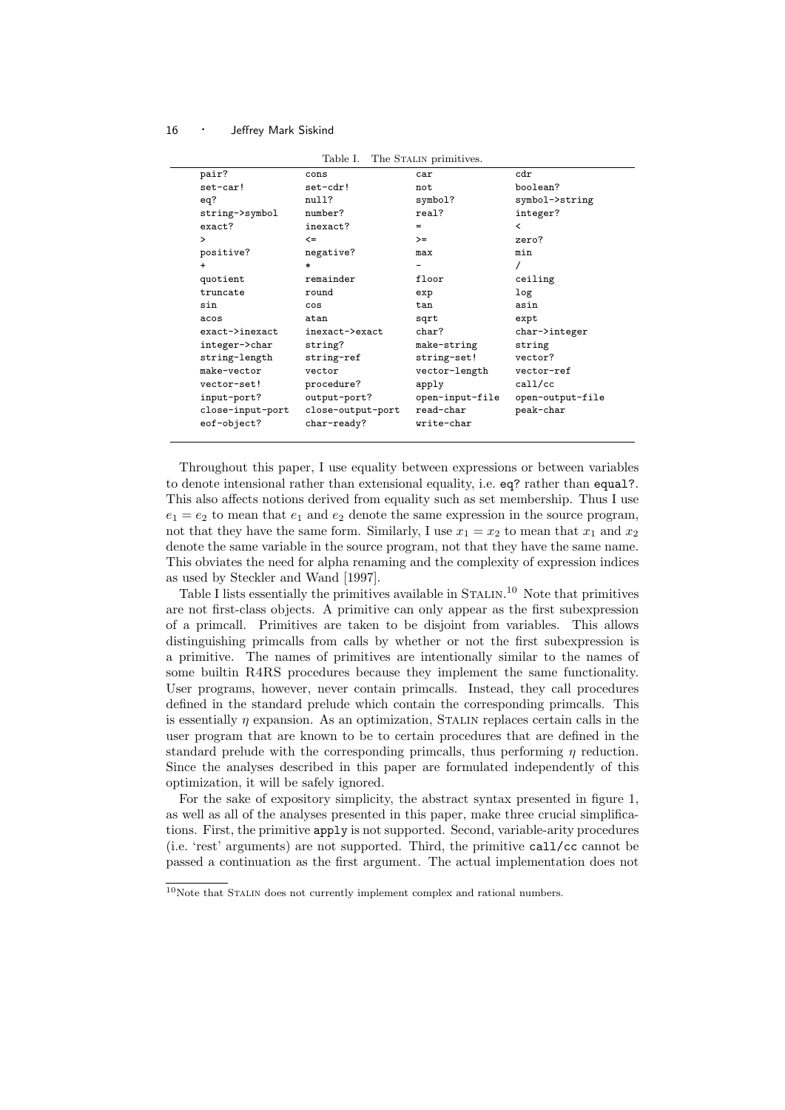|                     | Table I.          | The STALIN primitives. |                          |
|---------------------|-------------------|------------------------|--------------------------|
| pair?               | cons              | car                    | cdr                      |
| set-car!            | set-cdr!          | not                    | boolean?                 |
| eq?                 | null?             | symbol?                | symbol->string           |
| string->symbol      | number?           | real?                  | integer?                 |
| exact?              | inexact?          | $=$                    | $\overline{\phantom{a}}$ |
| $\mathbf{L}$        | $\leq$            | $>=$                   | zero?                    |
| positive?           | negative?         | max                    | min                      |
| $\ddot{}$           | $\ast$            |                        |                          |
| quotient            | remainder         | floor                  | ceiling                  |
| truncate            | round             | exp                    | log                      |
| sin                 | cos               | tan                    | asin                     |
| acos                | atan              | sqrt                   | expt                     |
| $exact$ $>$ inexact | inexact->exact    | char?                  | char->integer            |
| integer->char       | string?           | make-string            | string                   |
| string-length       | string-ref        | string-set!            | vector?                  |
| make-vector         | vector            | vector-length          | vector-ref               |
| vector-set!         | procedure?        | apply                  | cal1/cc                  |
| input-port?         | output-port?      | open-input-file        | open-output-file         |
| close-input-port    | close-output-port | read-char              | peak-char                |
| eof-object?         | char-ready?       | write-char             |                          |

Throughout this paper, I use equality between expressions or between variables to denote intensional rather than extensional equality, i.e. eq? rather than equal?. This also affects notions derived from equality such as set membership. Thus I use  $e_1 = e_2$  to mean that  $e_1$  and  $e_2$  denote the same expression in the source program, not that they have the same form. Similarly, I use  $x_1 = x_2$  to mean that  $x_1$  and  $x_2$ denote the same variable in the source program, not that they have the same name. This obviates the need for alpha renaming and the complexity of expression indices as used by Steckler and Wand [1997].

Table I lists essentially the primitives available in STALIN.<sup>10</sup> Note that primitives are not first-class objects. A primitive can only appear as the first subexpression of a primcall. Primitives are taken to be disjoint from variables. This allows distinguishing primcalls from calls by whether or not the first subexpression is a primitive. The names of primitives are intentionally similar to the names of some builtin R4RS procedures because they implement the same functionality. User programs, however, never contain primcalls. Instead, they call procedures defined in the standard prelude which contain the corresponding primcalls. This is essentially  $\eta$  expansion. As an optimization, STALIN replaces certain calls in the user program that are known to be to certain procedures that are defined in the standard prelude with the corresponding primcalls, thus performing  $\eta$  reduction. Since the analyses described in this paper are formulated independently of this optimization, it will be safely ignored.

For the sake of expository simplicity, the abstract syntax presented in figure 1, as well as all of the analyses presented in this paper, make three crucial simplifications. First, the primitive apply is not supported. Second, variable-arity procedures (i.e. 'rest' arguments) are not supported. Third, the primitive call/cc cannot be passed a continuation as the first argument. The actual implementation does not

 $10$ Note that STALIN does not currently implement complex and rational numbers.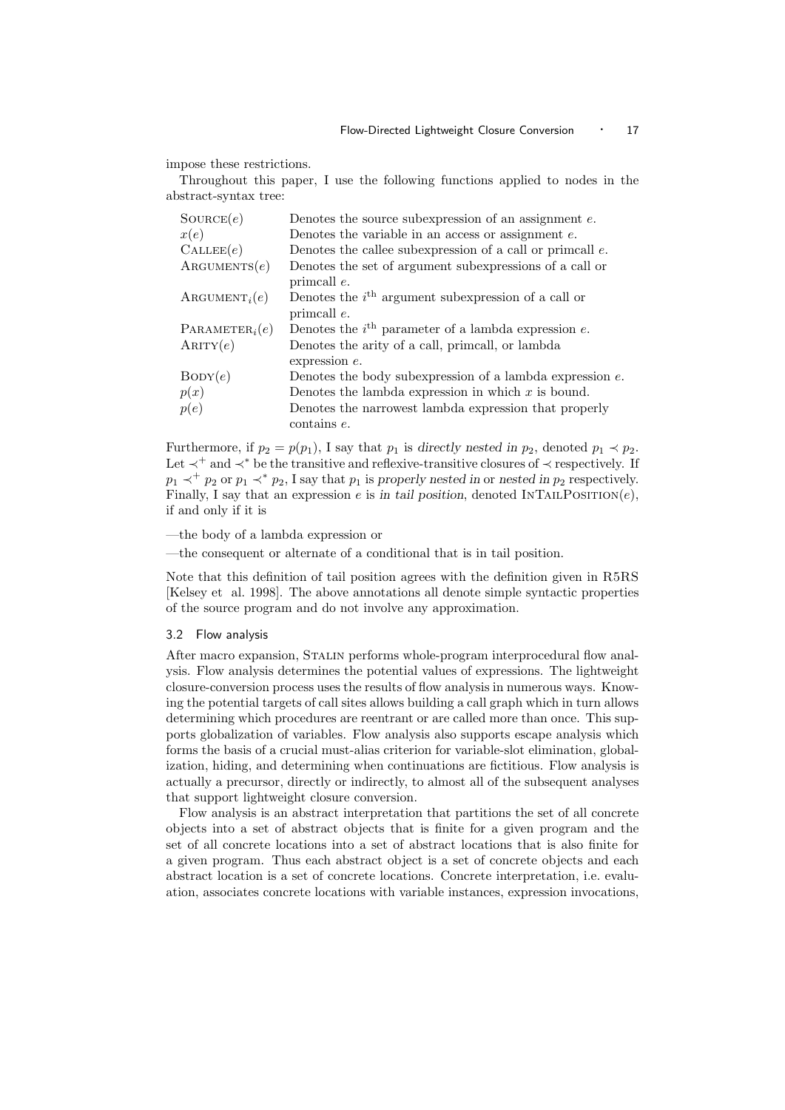impose these restrictions.

Throughout this paper, I use the following functions applied to nodes in the abstract-syntax tree:

| $\text{Source}(e)$           | Denotes the source subexpression of an assignment $e$ .      |
|------------------------------|--------------------------------------------------------------|
| x(e)                         | Denotes the variable in an access or assignment $e$ .        |
| $\text{CALLEE}(e)$           | Denotes the callee subexpression of a call or primcall $e$ . |
| $\text{ARGUMENTS}(e)$        | Denotes the set of argument subexpressions of a call or      |
|                              | primcall e.                                                  |
| $\text{ARGUMENT}_i(e)$       | Denotes the $ith$ argument subexpression of a call or        |
|                              | primcall e.                                                  |
| PARAMETER <sub>i</sub> $(e)$ | Denotes the $ith$ parameter of a lambda expression e.        |
| ARITY(e)                     | Denotes the arity of a call, primcall, or lambda             |
|                              | expression $e$ .                                             |
| BODY(e)                      | Denotes the body subexpression of a lambda expression $e$ .  |
| p(x)                         | Denotes the lambda expression in which $x$ is bound.         |
| p(e)                         | Denotes the narrowest lambda expression that properly        |
|                              | $\frac{1}{2}$ contains $e$ .                                 |

Furthermore, if  $p_2 = p(p_1)$ , I say that  $p_1$  is directly nested in  $p_2$ , denoted  $p_1 \prec p_2$ . Let ≺<sup>+</sup> and ≺<sup>∗</sup> be the transitive and reflexive-transitive closures of ≺ respectively. If  $p_1 \prec^+ p_2$  or  $p_1 \prec^* p_2$ , I say that  $p_1$  is properly nested in or nested in  $p_2$  respectively. Finally, I say that an expression e is in tail position, denoted INTAILPOSITION(e), if and only if it is

—the body of a lambda expression or

—the consequent or alternate of a conditional that is in tail position.

Note that this definition of tail position agrees with the definition given in R5RS [Kelsey et al. 1998]. The above annotations all denote simple syntactic properties of the source program and do not involve any approximation.

#### 3.2 Flow analysis

After macro expansion, STALIN performs whole-program interprocedural flow analysis. Flow analysis determines the potential values of expressions. The lightweight closure-conversion process uses the results of flow analysis in numerous ways. Knowing the potential targets of call sites allows building a call graph which in turn allows determining which procedures are reentrant or are called more than once. This supports globalization of variables. Flow analysis also supports escape analysis which forms the basis of a crucial must-alias criterion for variable-slot elimination, globalization, hiding, and determining when continuations are fictitious. Flow analysis is actually a precursor, directly or indirectly, to almost all of the subsequent analyses that support lightweight closure conversion.

Flow analysis is an abstract interpretation that partitions the set of all concrete objects into a set of abstract objects that is finite for a given program and the set of all concrete locations into a set of abstract locations that is also finite for a given program. Thus each abstract object is a set of concrete objects and each abstract location is a set of concrete locations. Concrete interpretation, i.e. evaluation, associates concrete locations with variable instances, expression invocations,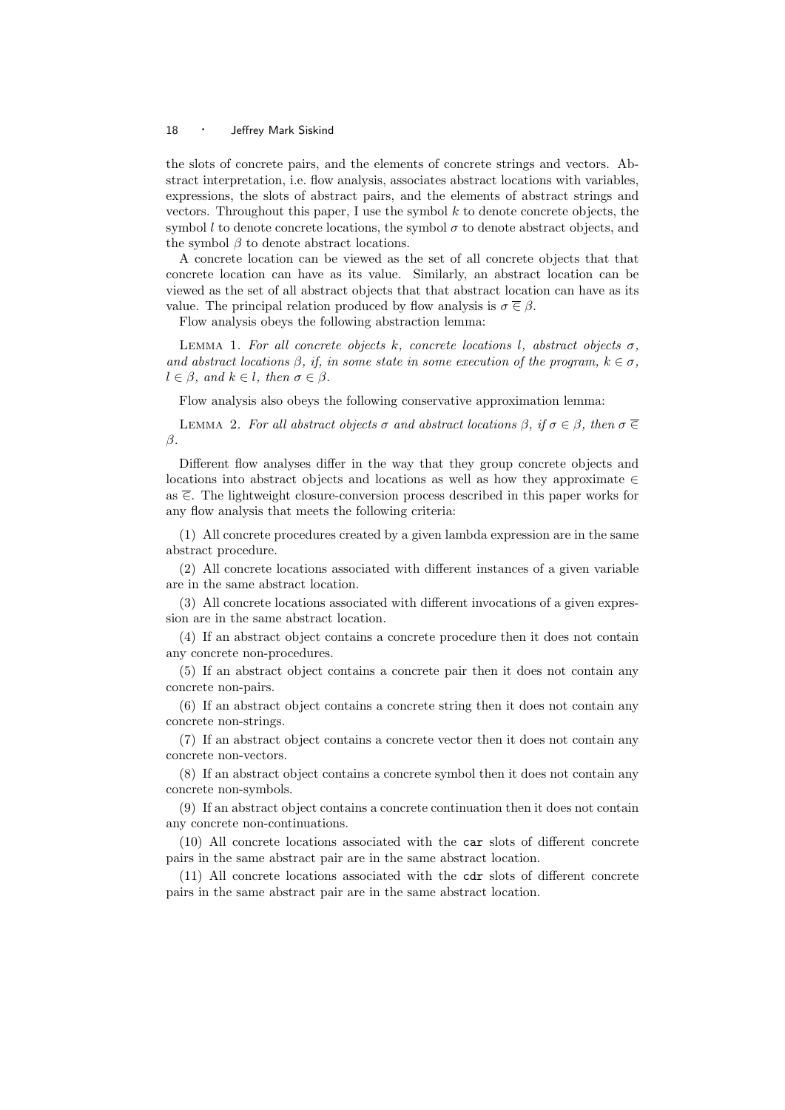the slots of concrete pairs, and the elements of concrete strings and vectors. Abstract interpretation, i.e. flow analysis, associates abstract locations with variables, expressions, the slots of abstract pairs, and the elements of abstract strings and vectors. Throughout this paper, I use the symbol  $k$  to denote concrete objects, the symbol l to denote concrete locations, the symbol  $\sigma$  to denote abstract objects, and the symbol  $\beta$  to denote abstract locations.

A concrete location can be viewed as the set of all concrete objects that that concrete location can have as its value. Similarly, an abstract location can be viewed as the set of all abstract objects that that abstract location can have as its value. The principal relation produced by flow analysis is  $\sigma \in \beta$ .

Flow analysis obeys the following abstraction lemma:

LEMMA 1. For all concrete objects k, concrete locations l, abstract objects  $\sigma$ , and abstract locations  $\beta$ , if, in some state in some execution of the program,  $k \in \sigma$ ,  $l \in \beta$ , and  $k \in l$ , then  $\sigma \in \beta$ .

Flow analysis also obeys the following conservative approximation lemma:

LEMMA 2. For all abstract objects  $\sigma$  and abstract locations  $\beta$ , if  $\sigma \in \beta$ , then  $\sigma \in \mathcal{C}$  $\beta$ .

Different flow analyses differ in the way that they group concrete objects and locations into abstract objects and locations as well as how they approximate ∈ as  $\overline{\epsilon}$ . The lightweight closure-conversion process described in this paper works for any flow analysis that meets the following criteria:

(1) All concrete procedures created by a given lambda expression are in the same abstract procedure.

(2) All concrete locations associated with different instances of a given variable are in the same abstract location.

(3) All concrete locations associated with different invocations of a given expression are in the same abstract location.

(4) If an abstract object contains a concrete procedure then it does not contain any concrete non-procedures.

(5) If an abstract object contains a concrete pair then it does not contain any concrete non-pairs.

(6) If an abstract object contains a concrete string then it does not contain any concrete non-strings.

(7) If an abstract object contains a concrete vector then it does not contain any concrete non-vectors.

(8) If an abstract object contains a concrete symbol then it does not contain any concrete non-symbols.

(9) If an abstract object contains a concrete continuation then it does not contain any concrete non-continuations.

(10) All concrete locations associated with the car slots of different concrete pairs in the same abstract pair are in the same abstract location.

(11) All concrete locations associated with the cdr slots of different concrete pairs in the same abstract pair are in the same abstract location.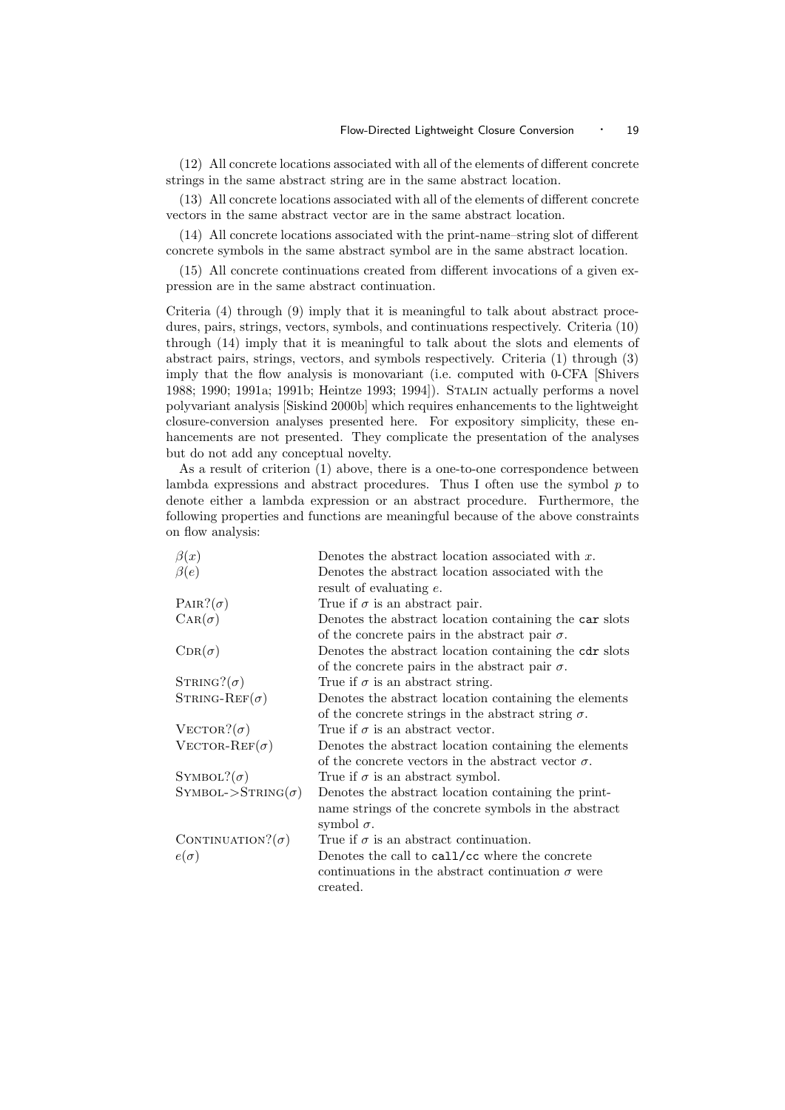(12) All concrete locations associated with all of the elements of different concrete strings in the same abstract string are in the same abstract location.

(13) All concrete locations associated with all of the elements of different concrete vectors in the same abstract vector are in the same abstract location.

(14) All concrete locations associated with the print-name–string slot of different concrete symbols in the same abstract symbol are in the same abstract location.

(15) All concrete continuations created from different invocations of a given expression are in the same abstract continuation.

Criteria (4) through (9) imply that it is meaningful to talk about abstract procedures, pairs, strings, vectors, symbols, and continuations respectively. Criteria (10) through (14) imply that it is meaningful to talk about the slots and elements of abstract pairs, strings, vectors, and symbols respectively. Criteria (1) through (3) imply that the flow analysis is monovariant (i.e. computed with 0-CFA [Shivers 1988; 1990; 1991a; 1991b; Heintze 1993; 1994]). Stalin actually performs a novel polyvariant analysis [Siskind 2000b] which requires enhancements to the lightweight closure-conversion analyses presented here. For expository simplicity, these enhancements are not presented. They complicate the presentation of the analyses but do not add any conceptual novelty.

As a result of criterion (1) above, there is a one-to-one correspondence between lambda expressions and abstract procedures. Thus I often use the symbol  $p$  to denote either a lambda expression or an abstract procedure. Furthermore, the following properties and functions are meaningful because of the above constraints on flow analysis:

| $\beta(x)$                 | Denotes the abstract location associated with $x$ .       |
|----------------------------|-----------------------------------------------------------|
| $\beta(e)$                 | Denotes the abstract location associated with the         |
|                            | result of evaluating $e$ .                                |
| $\text{PAIR}$ ? $(\sigma)$ | True if $\sigma$ is an abstract pair.                     |
| $\text{CAR}(\sigma)$       | Denotes the abstract location containing the car slots    |
|                            | of the concrete pairs in the abstract pair $\sigma$ .     |
| $CDR(\sigma)$              | Denotes the abstract location containing the cdr slots    |
|                            | of the concrete pairs in the abstract pair $\sigma$ .     |
| $STRING?(\sigma)$          | True if $\sigma$ is an abstract string.                   |
| STRING-REF $(\sigma)$      | Denotes the abstract location containing the elements     |
|                            | of the concrete strings in the abstract string $\sigma$ . |
| VECTOR? $(\sigma)$         | True if $\sigma$ is an abstract vector.                   |
| VECTOR-REF( $\sigma$ )     | Denotes the abstract location containing the elements     |
|                            | of the concrete vectors in the abstract vector $\sigma$ . |
| SYMBOL? $(\sigma)$         | True if $\sigma$ is an abstract symbol.                   |
| $SYMBOL->STRING(\sigma)$   | Denotes the abstract location containing the print-       |
|                            | name strings of the concrete symbols in the abstract      |
|                            | symbol $\sigma$ .                                         |
| CONTINUATION? $(\sigma)$   | True if $\sigma$ is an abstract continuation.             |
| $e(\sigma)$                | Denotes the call to call/cc where the concrete            |
|                            | continuations in the abstract continuation $\sigma$ were  |
|                            | created.                                                  |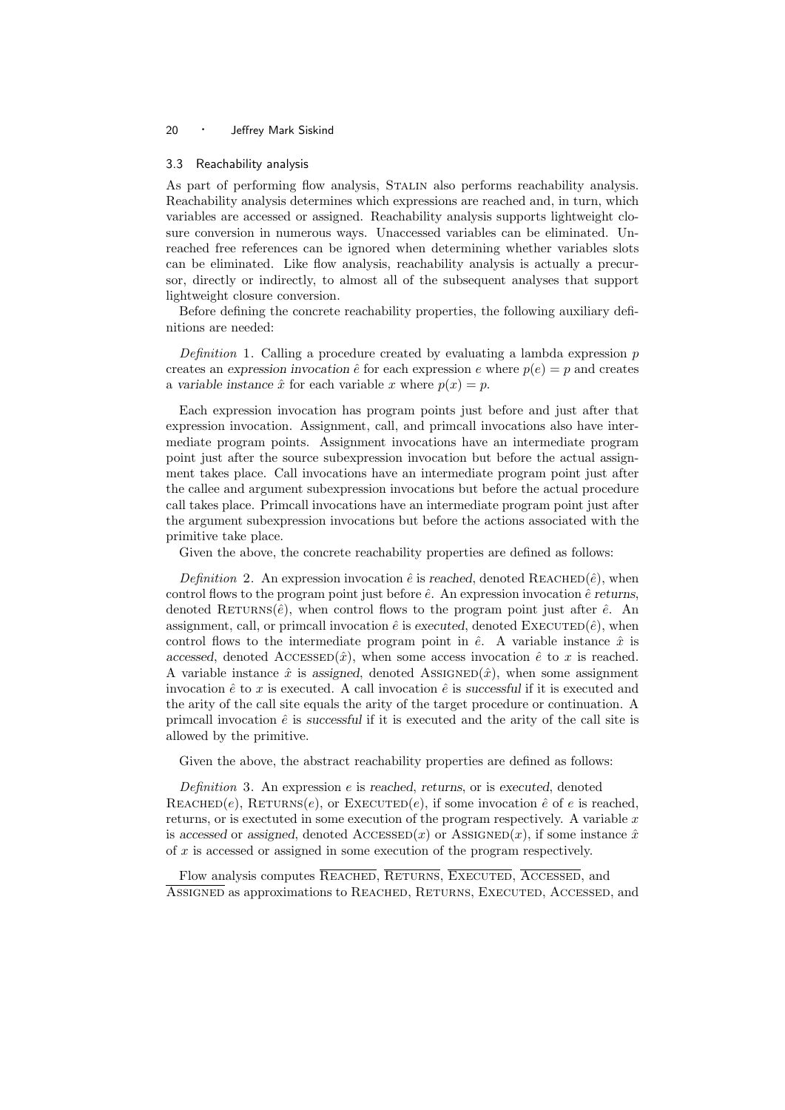#### 3.3 Reachability analysis

As part of performing flow analysis, Stalin also performs reachability analysis. Reachability analysis determines which expressions are reached and, in turn, which variables are accessed or assigned. Reachability analysis supports lightweight closure conversion in numerous ways. Unaccessed variables can be eliminated. Unreached free references can be ignored when determining whether variables slots can be eliminated. Like flow analysis, reachability analysis is actually a precursor, directly or indirectly, to almost all of the subsequent analyses that support lightweight closure conversion.

Before defining the concrete reachability properties, the following auxiliary definitions are needed:

Definition 1. Calling a procedure created by evaluating a lambda expression  $p$ creates an expression invocation  $\hat{e}$  for each expression e where  $p(e) = p$  and creates a variable instance  $\hat{x}$  for each variable x where  $p(x) = p$ .

Each expression invocation has program points just before and just after that expression invocation. Assignment, call, and primcall invocations also have intermediate program points. Assignment invocations have an intermediate program point just after the source subexpression invocation but before the actual assignment takes place. Call invocations have an intermediate program point just after the callee and argument subexpression invocations but before the actual procedure call takes place. Primcall invocations have an intermediate program point just after the argument subexpression invocations but before the actions associated with the primitive take place.

Given the above, the concrete reachability properties are defined as follows:

Definition 2. An expression invocation  $\hat{e}$  is reached, denoted REACHED $(\hat{e})$ , when control flows to the program point just before  $\hat{e}$ . An expression invocation  $\hat{e}$  returns, denoted RETURNS( $\hat{e}$ ), when control flows to the program point just after  $\hat{e}$ . An assignment, call, or primcall invocation  $\hat{e}$  is executed, denoted EXECUTED $(\hat{e})$ , when control flows to the intermediate program point in  $\hat{e}$ . A variable instance  $\hat{x}$  is accessed, denoted ACCESSED $(\hat{x})$ , when some access invocation  $\hat{e}$  to x is reached. A variable instance  $\hat{x}$  is assigned, denoted Assigned( $\hat{x}$ ), when some assignment invocation  $\hat{e}$  to x is executed. A call invocation  $\hat{e}$  is successful if it is executed and the arity of the call site equals the arity of the target procedure or continuation. A primcall invocation  $\hat{e}$  is successful if it is executed and the arity of the call site is allowed by the primitive.

Given the above, the abstract reachability properties are defined as follows:

Definition 3. An expression  $e$  is reached, returns, or is executed, denoted REACHED $(e)$ , RETURNS $(e)$ , or EXECUTED $(e)$ , if some invocation  $\hat{e}$  of  $e$  is reached, returns, or is exectuted in some execution of the program respectively. A variable  $x$ is accessed or assigned, denoted  $\text{AccessED}(x)$  or  $\text{ASSIGNED}(x)$ , if some instance  $\hat{x}$ of x is accessed or assigned in some execution of the program respectively.

Flow analysis computes REACHED, RETURNS, EXECUTED, ACCESSED, and Assigned as approximations to Reached, Returns, Executed, Accessed, and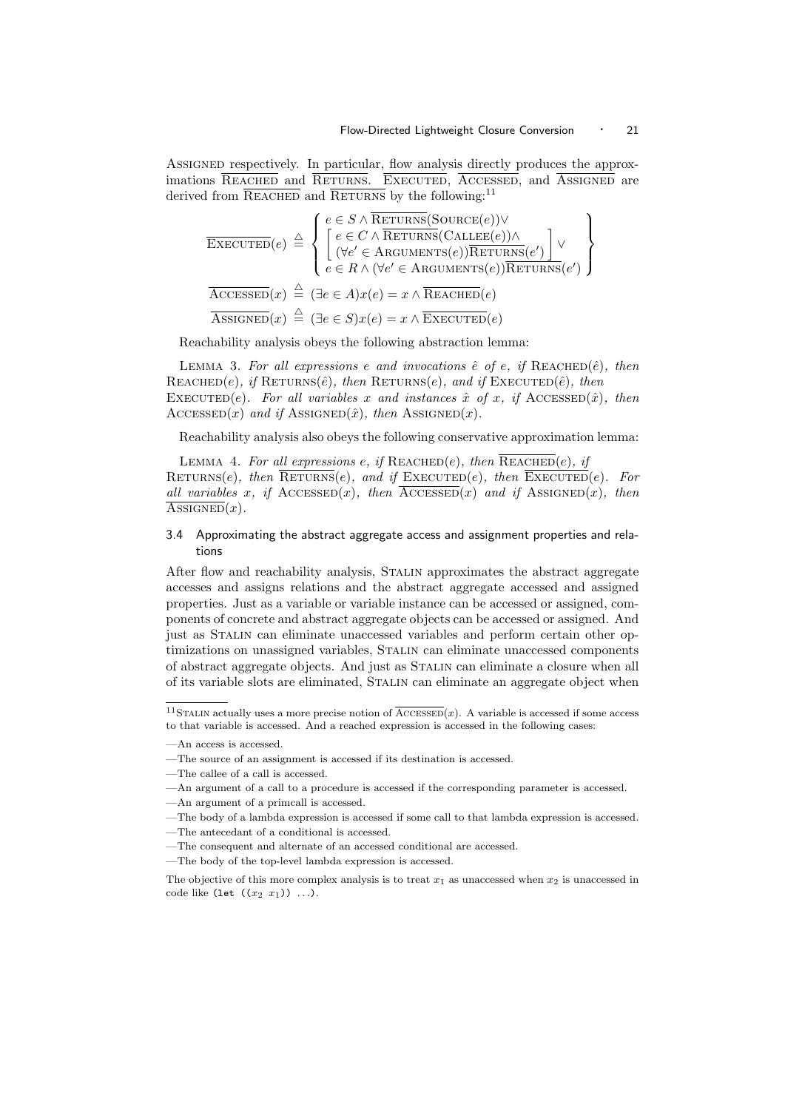ASSIGNED respectively. In particular, flow analysis directly produces the approximations REACHED and RETURNS. EXECUTED, ACCESSED, and ASSIGNED are derived from  $\overline{\text{REACHED}}$  and  $\overline{\text{RETURNS}}$  by the following:<sup>11</sup>

$$
\overline{\text{EXECUTED}}(e) \triangleq \left\{ \begin{aligned} e &\in S \wedge \overline{\text{RETURNS}}(\text{Source}(e)) \vee \\ e &\in C \wedge \overline{\text{RETURNS}}(\text{CALLEE}(e)) \wedge \\ ( \forall e' \in \text{ARGUMENTS}(e)) \overline{\text{RETURNS}}(e') \end{aligned} \right\} \vee \overline{\text{ACESSED}}(x) \triangleq (\exists e \in A) x(e) = x \wedge \overline{\text{REACHED}}(e) \overline{\text{ASETURNS}}(e') \right\}
$$
\n
$$
\overline{\text{ASSGNED}}(x) \triangleq (\exists e \in A) x(e) = x \wedge \overline{\text{REACHED}}(e) \overline{\text{ASEUTED}}(e)
$$

Reachability analysis obeys the following abstraction lemma:

LEMMA 3. For all expressions e and invocations  $\hat{e}$  of e, if REACHED( $\hat{e}$ ), then REACHED(e), if RETURNS( $\hat{e}$ ), then RETURNS(e), and if EXECUTED( $\hat{e}$ ), then EXECUTED(e). For all variables x and instances  $\hat{x}$  of x, if ACCESSED( $\hat{x}$ ), then  $\text{AccessED}(x)$  and if  $\text{ASSIGNED}(\hat{x})$ , then  $\text{ASSIGNED}(x)$ .

Reachability analysis also obeys the following conservative approximation lemma:

LEMMA 4. For all expressions e, if  $REACHED(e)$ , then  $REACHED(e)$ , if RETURNS(e), then  $\overline{\text{RETURNS}}(e)$ , and if  $\text{EXECUTED}(e)$ , then  $\overline{\text{EXECUTED}}(e)$ . For all variables x, if  $\text{AccessED}(x)$ , then  $\overline{\text{AccessED}}(x)$  and if  $\text{ASSIGNED}(x)$ , then  $\text{ASSIGNED}(x)$ .

#### 3.4 Approximating the abstract aggregate access and assignment properties and relations

After flow and reachability analysis, Stalin approximates the abstract aggregate accesses and assigns relations and the abstract aggregate accessed and assigned properties. Just as a variable or variable instance can be accessed or assigned, components of concrete and abstract aggregate objects can be accessed or assigned. And just as Stalin can eliminate unaccessed variables and perform certain other optimizations on unassigned variables, Stalin can eliminate unaccessed components of abstract aggregate objects. And just as Stalin can eliminate a closure when all of its variable slots are eliminated, Stalin can eliminate an aggregate object when

<sup>&</sup>lt;sup>11</sup>STALIN actually uses a more precise notion of  $\overline{\text{ACCESSED}}(x)$ . A variable is accessed if some access to that variable is accessed. And a reached expression is accessed in the following cases:

<sup>—</sup>An access is accessed.

<sup>—</sup>The source of an assignment is accessed if its destination is accessed.

<sup>—</sup>The callee of a call is accessed.

<sup>—</sup>An argument of a call to a procedure is accessed if the corresponding parameter is accessed.

<sup>—</sup>An argument of a primcall is accessed.

<sup>—</sup>The body of a lambda expression is accessed if some call to that lambda expression is accessed. —The antecedant of a conditional is accessed.

<sup>—</sup>The consequent and alternate of an accessed conditional are accessed.

<sup>—</sup>The body of the top-level lambda expression is accessed.

The objective of this more complex analysis is to treat  $x_1$  as unaccessed when  $x_2$  is unaccessed in code like (let  $((x_2 x_1))$  ...).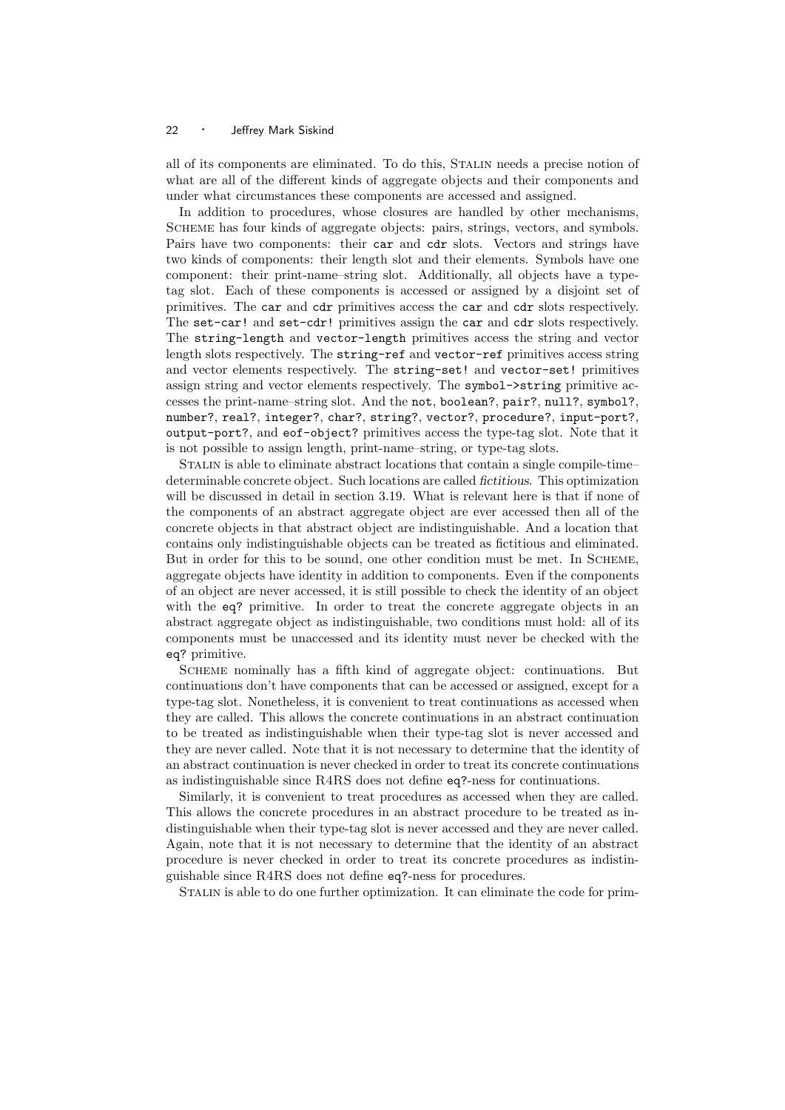all of its components are eliminated. To do this, Stalin needs a precise notion of what are all of the different kinds of aggregate objects and their components and under what circumstances these components are accessed and assigned.

In addition to procedures, whose closures are handled by other mechanisms, Scheme has four kinds of aggregate objects: pairs, strings, vectors, and symbols. Pairs have two components: their car and cdr slots. Vectors and strings have two kinds of components: their length slot and their elements. Symbols have one component: their print-name–string slot. Additionally, all objects have a typetag slot. Each of these components is accessed or assigned by a disjoint set of primitives. The car and cdr primitives access the car and cdr slots respectively. The set-car! and set-cdr! primitives assign the car and cdr slots respectively. The string-length and vector-length primitives access the string and vector length slots respectively. The string-ref and vector-ref primitives access string and vector elements respectively. The string-set! and vector-set! primitives assign string and vector elements respectively. The symbol->string primitive accesses the print-name–string slot. And the not, boolean?, pair?, null?, symbol?, number?, real?, integer?, char?, string?, vector?, procedure?, input-port?, output-port?, and eof-object? primitives access the type-tag slot. Note that it is not possible to assign length, print-name–string, or type-tag slots.

Stalin is able to eliminate abstract locations that contain a single compile-time– determinable concrete object. Such locations are called fictitious. This optimization will be discussed in detail in section 3.19. What is relevant here is that if none of the components of an abstract aggregate object are ever accessed then all of the concrete objects in that abstract object are indistinguishable. And a location that contains only indistinguishable objects can be treated as fictitious and eliminated. But in order for this to be sound, one other condition must be met. In SCHEME, aggregate objects have identity in addition to components. Even if the components of an object are never accessed, it is still possible to check the identity of an object with the eq? primitive. In order to treat the concrete aggregate objects in an abstract aggregate object as indistinguishable, two conditions must hold: all of its components must be unaccessed and its identity must never be checked with the eq? primitive.

Scheme nominally has a fifth kind of aggregate object: continuations. But continuations don't have components that can be accessed or assigned, except for a type-tag slot. Nonetheless, it is convenient to treat continuations as accessed when they are called. This allows the concrete continuations in an abstract continuation to be treated as indistinguishable when their type-tag slot is never accessed and they are never called. Note that it is not necessary to determine that the identity of an abstract continuation is never checked in order to treat its concrete continuations as indistinguishable since R4RS does not define eq?-ness for continuations.

Similarly, it is convenient to treat procedures as accessed when they are called. This allows the concrete procedures in an abstract procedure to be treated as indistinguishable when their type-tag slot is never accessed and they are never called. Again, note that it is not necessary to determine that the identity of an abstract procedure is never checked in order to treat its concrete procedures as indistinguishable since R4RS does not define eq?-ness for procedures.

Stalin is able to do one further optimization. It can eliminate the code for prim-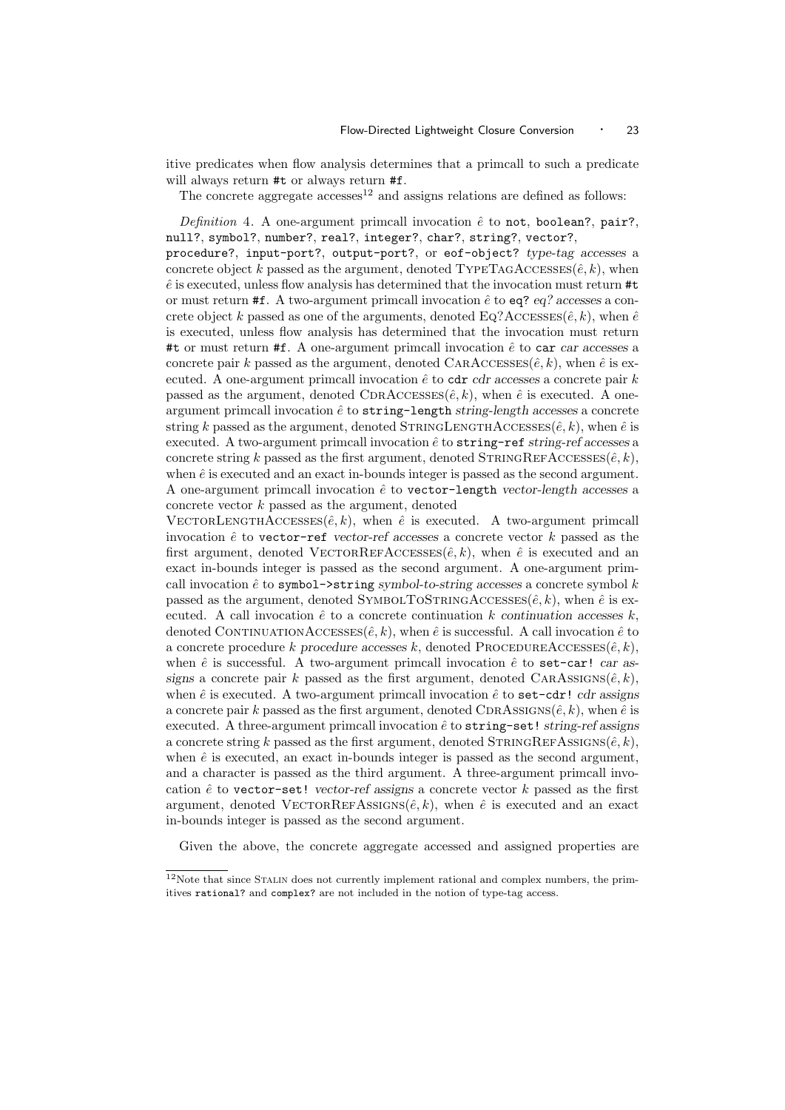itive predicates when flow analysis determines that a primcall to such a predicate will always return  $#t$  or always return  $#f$ .

The concrete aggregate  $accesses<sup>12</sup>$  and assigns relations are defined as follows:

Definition 4. A one-argument primcall invocation  $\hat{e}$  to not, boolean?, pair?, null?, symbol?, number?, real?, integer?, char?, string?, vector?,

procedure?, input-port?, output-port?, or eof-object? type-tag accesses a concrete object k passed as the argument, denoted TYPETAGACCESSES( $\hat{e}, k$ ), when  $\hat{e}$  is executed, unless flow analysis has determined that the invocation must return  $\#t$ or must return #f. A two-argument primcall invocation  $\hat{e}$  to eq? eq? accesses a concrete object k passed as one of the arguments, denoted Eq?Accesses( $\hat{e}, k$ ), when  $\hat{e}$ is executed, unless flow analysis has determined that the invocation must return #t or must return #f. A one-argument primcall invocation  $\hat{e}$  to car car accesses a concrete pair k passed as the argument, denoted CARACCESSES $(\hat{e}, k)$ , when  $\hat{e}$  is executed. A one-argument primcall invocation  $\hat{e}$  to cdr *cdr* accesses a concrete pair k passed as the argument, denoted CDRACCESSES( $\hat{e}, k$ ), when  $\hat{e}$  is executed. A oneargument primcall invocation  $\hat{e}$  to string-length string-length accesses a concrete string k passed as the argument, denoted STRINGLENGTHACCESSES( $\hat{e}, k$ ), when  $\hat{e}$  is executed. A two-argument primcall invocation  $\hat{e}$  to string-ref string-ref accesses a concrete string k passed as the first argument, denoted  $STRINGREFACCESSE(s(\hat{e}, k))$ , when  $\hat{e}$  is executed and an exact in-bounds integer is passed as the second argument. A one-argument primcall invocation  $\hat{e}$  to vector-length vector-length accesses a concrete vector k passed as the argument, denoted

VECTORLENGTHACCESSES $(\hat{e}, k)$ , when  $\hat{e}$  is executed. A two-argument primcall invocation  $\hat{e}$  to vector-ref vector-ref accesses a concrete vector k passed as the first argument, denoted VECTORREFACCESSES $(\hat{e}, k)$ , when  $\hat{e}$  is executed and an exact in-bounds integer is passed as the second argument. A one-argument primcall invocation  $\hat{e}$  to symbol- $\geq$ string symbol-to-string accesses a concrete symbol k passed as the argument, denoted  ${\rm SYMBOLTOSTRINGACCESSE}(ê, k)$ , when  $\hat{e}$  is executed. A call invocation  $\hat{e}$  to a concrete continuation k continuation accesses k, denoted CONTINUATIONACCESSES $(\hat{e}, k)$ , when  $\hat{e}$  is successful. A call invocation  $\hat{e}$  to a concrete procedure k procedure accesses k, denoted PROCEDUREACCESSES $(\hat{e}, k)$ , when  $\hat{e}$  is successful. A two-argument primcall invocation  $\hat{e}$  to set-car! car assigns a concrete pair k passed as the first argument, denoted CARAsSIGNS $(\hat{e}, k)$ , when  $\hat{e}$  is executed. A two-argument primcall invocation  $\hat{e}$  to set-cdr! cdr assigns a concrete pair k passed as the first argument, denoted CDRAssiGNS $(\hat{e}, k)$ , when  $\hat{e}$  is executed. A three-argument primcall invocation  $\hat{e}$  to string-set! string-ref assigns a concrete string k passed as the first argument, denoted  $STRINGREFASSIGNS(\hat{e}, k),$ when  $\hat{e}$  is executed, an exact in-bounds integer is passed as the second argument, and a character is passed as the third argument. A three-argument primcall invocation  $\hat{e}$  to vector-set! vector-ref assigns a concrete vector  $k$  passed as the first argument, denoted VECTORREFASSIGNS( $\hat{e}, k$ ), when  $\hat{e}$  is executed and an exact in-bounds integer is passed as the second argument.

Given the above, the concrete aggregate accessed and assigned properties are

 $12$ Note that since STALIN does not currently implement rational and complex numbers, the primitives rational? and complex? are not included in the notion of type-tag access.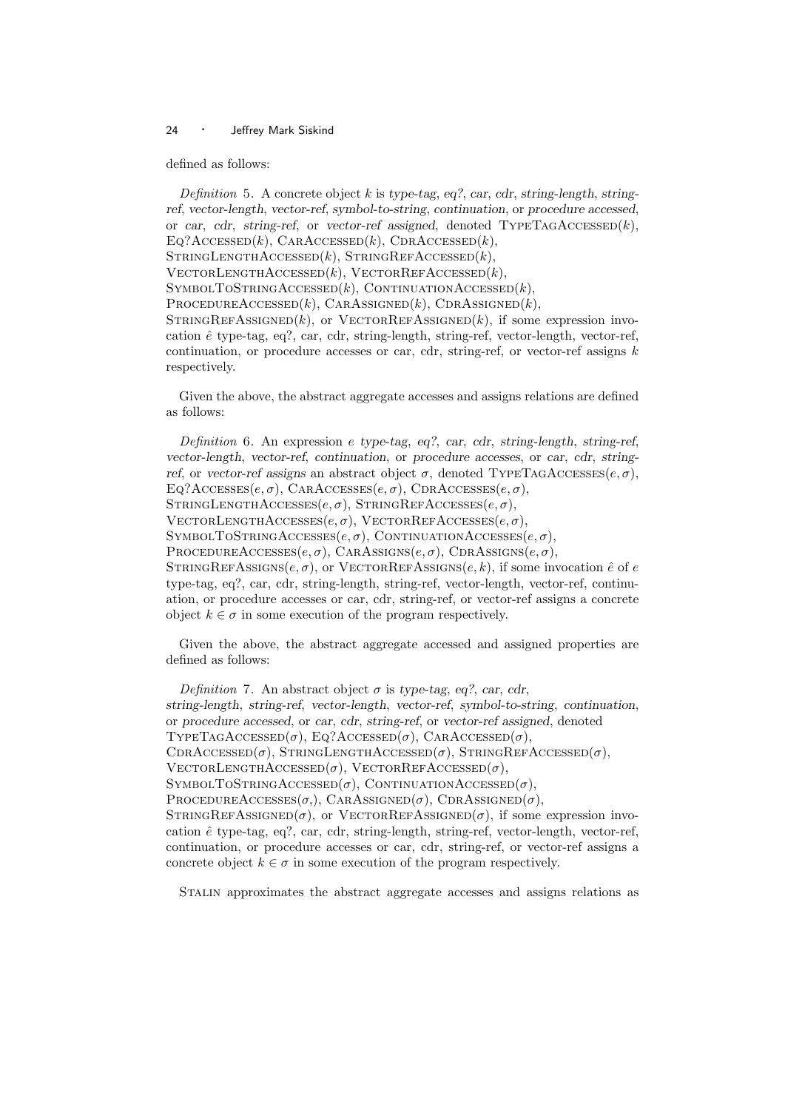defined as follows:

Definition 5. A concrete object  $k$  is type-tag, eq?, car, cdr, string-length, stringref, vector-length, vector-ref, symbol-to-string, continuation, or procedure accessed, or car, cdr, string-ref, or vector-ref assigned, denoted  $\text{TypeTAGACCESSED}(k)$ ,  $EQ?$ ACCESSED $(k)$ , CARACCESSED $(k)$ , CDRACCESSED $(k)$ ,  $STRINGLENGTHACCESSED(k), STRINGREFACCESSED(k),$  $V$ ECTORLENGTHACCESSED $(k)$ , VECTORREFACCESSED $(k)$ ,  $SYMBOLTOSTRINGACCESSED(k), CONTINUATIONACCESSED(k),$  $PROCEDUREACCESSED(k), CARASSIGNED(k), CORASSIGNED(k),$  $STRINGREFASSIGNED(k)$ , or  $VECTORREFASSIGNED(k)$ , if some expression invocation  $\hat{e}$  type-tag, eq?, car, cdr, string-length, string-ref, vector-length, vector-ref, continuation, or procedure accesses or car, cdr, string-ref, or vector-ref assigns  $k$ respectively.

Given the above, the abstract aggregate accesses and assigns relations are defined as follows:

Definition 6. An expression e type-tag, eq?, car, cdr, string-length, string-ref, vector-length, vector-ref, continuation, or procedure accesses, or car, cdr, stringref, or vector-ref assigns an abstract object  $\sigma$ , denoted TYPETAGACCESSES $(e, \sigma)$ ,  $Eq?Accesses(e, \sigma)$ , CARACCESSES $(e, \sigma)$ , CDRACCESSES $(e, \sigma)$ ,  $STRINGLENGTHACCESSES(e, \sigma)$ ,  $STRINGREFACCESSES(e, \sigma)$ ,  $V$ ECTORLENGTHACCESSES $(e, \sigma)$ , VECTORREFACCESSES $(e, \sigma)$ , SYMBOLTOSTRINGACCESSES $(e, \sigma)$ , CONTINUATIONACCESSES $(e, \sigma)$ , PROCEDUREACCESSES $(e, \sigma)$ , CARASSIGNS $(e, \sigma)$ , CDRASSIGNS $(e, \sigma)$ , STRINGREFASSIGNS $(e, \sigma)$ , or VECTORREFASSIGNS $(e, k)$ , if some invocation  $\hat{e}$  of  $e$ type-tag, eq?, car, cdr, string-length, string-ref, vector-length, vector-ref, continuation, or procedure accesses or car, cdr, string-ref, or vector-ref assigns a concrete object  $k \in \sigma$  in some execution of the program respectively.

Given the above, the abstract aggregate accessed and assigned properties are defined as follows:

Definition 7. An abstract object  $\sigma$  is type-tag, eq?, car, cdr, string-length, string-ref, vector-length, vector-ref, symbol-to-string, continuation, or procedure accessed, or car, cdr, string-ref, or vector-ref assigned, denoted TYPETAGACCESSED( $\sigma$ ), EQ?ACCESSED( $\sigma$ ), CARACCESSED( $\sigma$ ), CDRACCESSED( $\sigma$ ), STRINGLENGTHACCESSED( $\sigma$ ), STRINGREFACCESSED( $\sigma$ ),  $V$ ectorLengthAccessed( $\sigma$ ), VectorRefAccessed( $\sigma$ ), SYMBOLTOSTRINGACCESSED( $\sigma$ ), CONTINUATIONACCESSED( $\sigma$ ), PROCEDUREACCESSES $(\sigma)$ , CARASSIGNED $(\sigma)$ , CDRASSIGNED $(\sigma)$ ,  $STRINGREFASSIGNED(\sigma)$ , or  $VECTORREFASSIGNED(\sigma)$ , if some expression invocation  $\hat{e}$  type-tag, eq?, car, cdr, string-length, string-ref, vector-length, vector-ref, continuation, or procedure accesses or car, cdr, string-ref, or vector-ref assigns a concrete object  $k \in \sigma$  in some execution of the program respectively.

Stalin approximates the abstract aggregate accesses and assigns relations as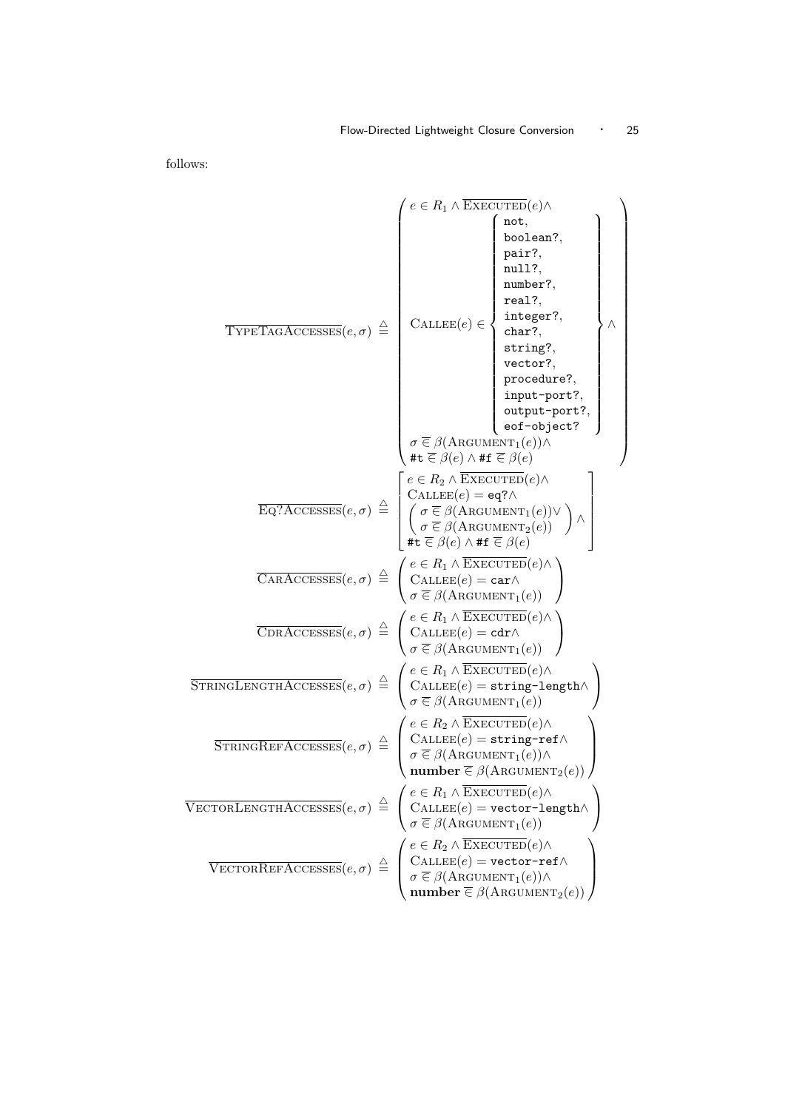follows:

$$
\overbrace{\text{TPFTAGACCSSES}}(e, \sigma) \triangleq \begin{pmatrix} e \in R_1 \land \text{EXECUTE}(e) \land \text{nonlinear7}, \\ \text{pair7}, \\ \text{number7}, \\ \text{temp8}, \\ \text{error7}, \\ \text{output-port7}, \\ \text{output-port7}, \\ \text{output-port7}, \\ \text{output-port7}, \\ \text{output-port7}, \\ \text{output-port7}, \\ \text{output-port7}, \\ \text{output-port7}, \\ \text{output-port7}, \\ \text{output-port7}, \\ \text{output-port7}, \\ \text{output-port7}, \\ \text{output-port7}, \\ \text{output-port7}, \\ \text{output-port7}, \\ \text{output-port7}, \\ \text{output-port7}, \\ \text{output-port7}, \\ \text{output-port7}, \\ \text{output-port7}, \\ \text{output-port7}, \\ \text{output-port7}, \\ \text{output-port7}, \\ \text{output-port7}, \\ \text{output-port7}, \\ \text{output-port7}, \\ \text{output-port7}, \\ \text{output-port7}, \\ \text{output-port7}, \\ \text{output-port7}, \\ \text{output-port7}, \\ \text{output-port8}, \\ \text{train=p-int8}, \\ \text{train=p-int9}, \\ \text{train=p-int9}, \\ \text{train=p-int9}, \\ \text{train=p-int9}, \\ \text{train=p-int9}, \\ \text{train=p-int9}, \\ \text{train=p-int9}, \\ \text{train=p-int9}, \\ \text{train=p-int9}, \\ \text{train=p-int9}, \\ \text{train=p-int9}, \\ \text{train=p-int9}, \\ \text{train=p-int9}, \\ \text{train=p-int9}, \\ \text{train=p-int9}, \\ \text{train=p-int9}, \\ \text{train=p-int9}, \\ \text{train=p-int9}, \\ \text{train=p-int9}, \\ \text{train=p-int9}, \\ \text{train=p-int9}, \\ \text{train=p-int9}, \\ \text{train=p-int9}, \\ \text{train=p-int9}, \\ \text{train=p-int9}, \\ \text{train=p-int9}, \\ \text{train=p-int9}, \\ \text{train=p-int9}, \\ \text{train=p-int9}, \\ \text{train=p-int9}, \\ \text{train=p-int9}, \\ \text{train=p-int9}, \\ \text{train=p-int9}, \\ \text{train=p-int9}, \\ \text{train=p-int9}, \\ \text{train=p-int9}, \\ \text{train=p-int9}, \\ \text{train=p-int9}, \\ \text{train=p-int9}, \\ \text{train=p-int9}, \\ \text{train=p-int9}, \\ \text{train=p-int9}, \\ \text
$$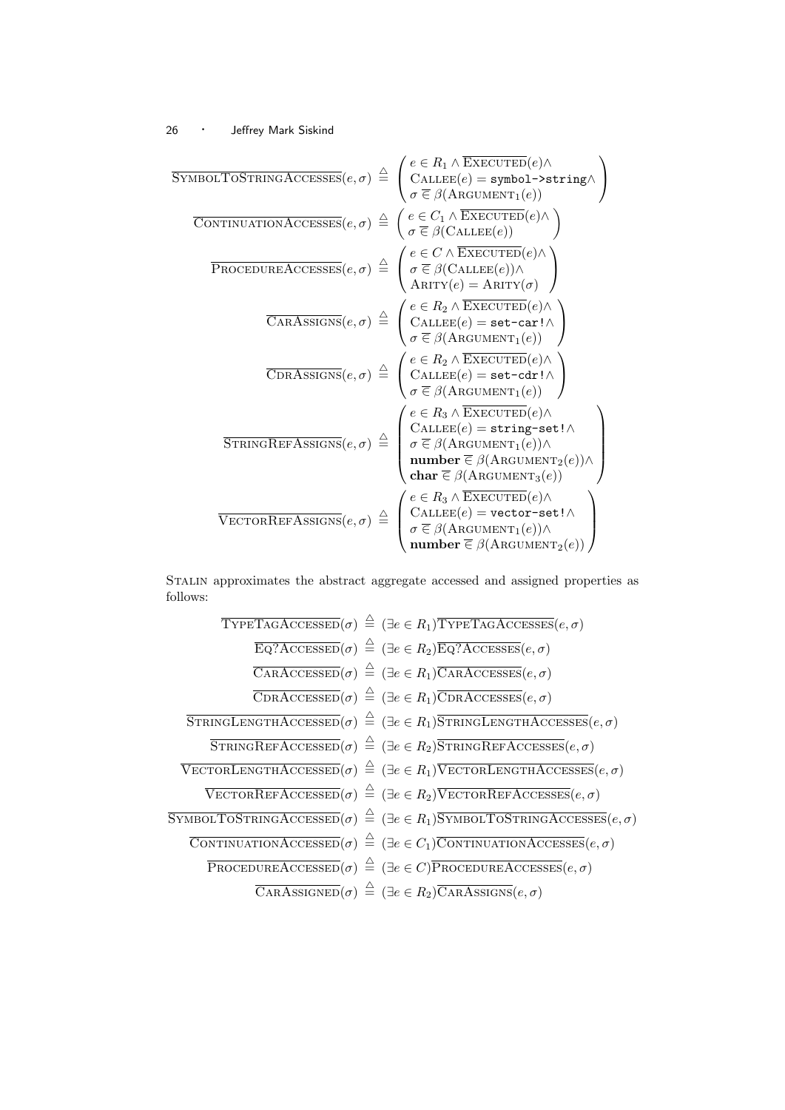$$
\begin{array}{c}\n\text{SYMBOLTOSTRINGACCESSES}(e, \sigma) \stackrel{\triangle}{=} \begin{pmatrix}\ne \in R_1 \land \text{EXECUTED}(e) \land \\
\text{CALLEE}(e) = \text{symbol->string} \land \\
\sigma \in \beta(\text{ARGUMENT}_1(e))\n\end{pmatrix} \\
\hline\n\begin{array}{c}\n\text{CONTINUATIONACCESSES}(e, \sigma) \stackrel{\triangle}{=} \begin{pmatrix}\ne \in C_1 \land \text{EXECUTED}(e) \land \\
\sigma \in \beta(\text{CALLEE}(e))\n\end{pmatrix} \\
\hline\n\begin{array}{c}\n\text{PROCEDUREACCESSES}(e, \sigma) \stackrel{\triangle}{=} \begin{pmatrix}\ne \in C \land \text{EXECUTED}(e) \land \\
\sigma \in \beta(\text{CALLEE}(e)) \land \\
\text{ARITY}(e) = \text{ARITY}(\sigma)\n\end{pmatrix} \\
\hline\n\begin{array}{c}\n\text{CARASSIGNS}(e, \sigma) \stackrel{\triangle}{=} \begin{pmatrix}\ne \in R_2 \land \text{EXECUTED}(e) \land \\
\text{CALLEE}(e) = \text{set--car1} \land \\
\sigma \in \beta(\text{ARGUMENT}_1(e))\n\end{pmatrix} \\
\hline\n\begin{array}{c}\n\text{OrRASSIGNS}(e, \sigma) \stackrel{\triangle}{=} \begin{pmatrix}\ne \in R_2 \land \text{EXECUTED}(e) \land \\
\text{CALLEE}(e) = \text{set--car1} \land \\
\sigma \in \beta(\text{ARGIMENT}_1(e))\n\end{pmatrix} \\
\hline\n\begin{array}{c}\n\text{STRINGREFASSGNS}(e, \sigma) \stackrel{\triangle}{=} \begin{pmatrix}\ne \in R_3 \land \text{EXECUTED}(e) \land \\
\text{CALLEE}(e) = \text{string--set1} \land \\
\sigma \in \beta(\text{ARGUMENT}_1(e)) \land \\
\text{clar} \in \beta(\text{ARGUMENT}_2(e))\n\end{pmatrix} \\
\hline\n\begin{array}{c}\n\text{VECTORREFASSGNS}(e, \sigma) \stackrel{\triangle}{=} \begin{pmatrix}\ne \in R_3 \land \text{EXECUTED}(e) \land \\
\text{CALLEE}(e) = \text{set--cat1} \land \\
\sigma \in \beta(\text{ARGUMENT}_1(e)) \land \\
\sigma \in \beta(\text{ARGUMENT}_2(e))\n\end{pmatrix}\n\end{
$$

 $\overline{ }$ 

Stalin approximates the abstract aggregate accessed and assigned properties as follows:

TYPETAGACCESSED(
$$
\sigma
$$
)  $\stackrel{\triangle}{=}$  ( $\exists e \in R_1$ ) $\overline{TPFTAGACCESSES}(e, \sigma)$   
\n $\overline{EQ?ACCESSED}(\sigma) \stackrel{\triangle}{=}$  ( $\exists e \in R_2$ ) $\overline{EQ?ACCESSES}(e, \sigma)$   
\n $\overline{CARACCESSED}(\sigma) \stackrel{\triangle}{=}$  ( $\exists e \in R_1$ ) $\overline{CARACCESSES}(e, \sigma)$   
\n $\overline{CDRACCESSED}(\sigma) \stackrel{\triangle}{=}$  ( $\exists e \in R_1$ ) $\overline{CDRACCESSES}(e, \sigma)$   
\n $\overline{STRINGLENGTHACCESSED}(\sigma) \stackrel{\triangle}{=}$  ( $\exists e \in R_1$ ) $\overline{STRINGLENGTHACCESSES}(e, \sigma)$   
\n $\overline{STRINGREFACCESSED}(\sigma) \stackrel{\triangle}{=}$  ( $\exists e \in R_2$ ) $\overline{STRINGREFACCESSES}(e, \sigma)$   
\n $\overline{VECTORREFACCESED}(\sigma) \stackrel{\triangle}{=}$  ( $\exists e \in R_2$ ) $\overline{VECTORREFACCESES}(e, \sigma)$   
\n $\overline{SYMBOLTOSTRINGACCESSED}(\sigma) \stackrel{\triangle}{=}$  ( $\exists e \in R_2$ ) $\overline{VECTORREFACCESES}(e, \sigma)$   
\n $\overline{SYMBOLTOSTRINGACCESSED}(\sigma) \stackrel{\triangle}{=}$  ( $\exists e \in R_1$ ) $\overline{SYMBOLTOSTRINGACCESSES}(e, \sigma)$   
\n $\overline{CONTINUATIONACCESSED}(\sigma) \stackrel{\triangle}{=}$  ( $\exists e \in C_1$ ) $\overline{CONTINUATIONACCESSES}(e, \sigma)$   
\n $\overline{CARASSIGNED}(\sigma) \stackrel{\triangle}{=}$  ( $\exists e \in R_2$ ) $\overline{CARASSIGNS}(e, \sigma)$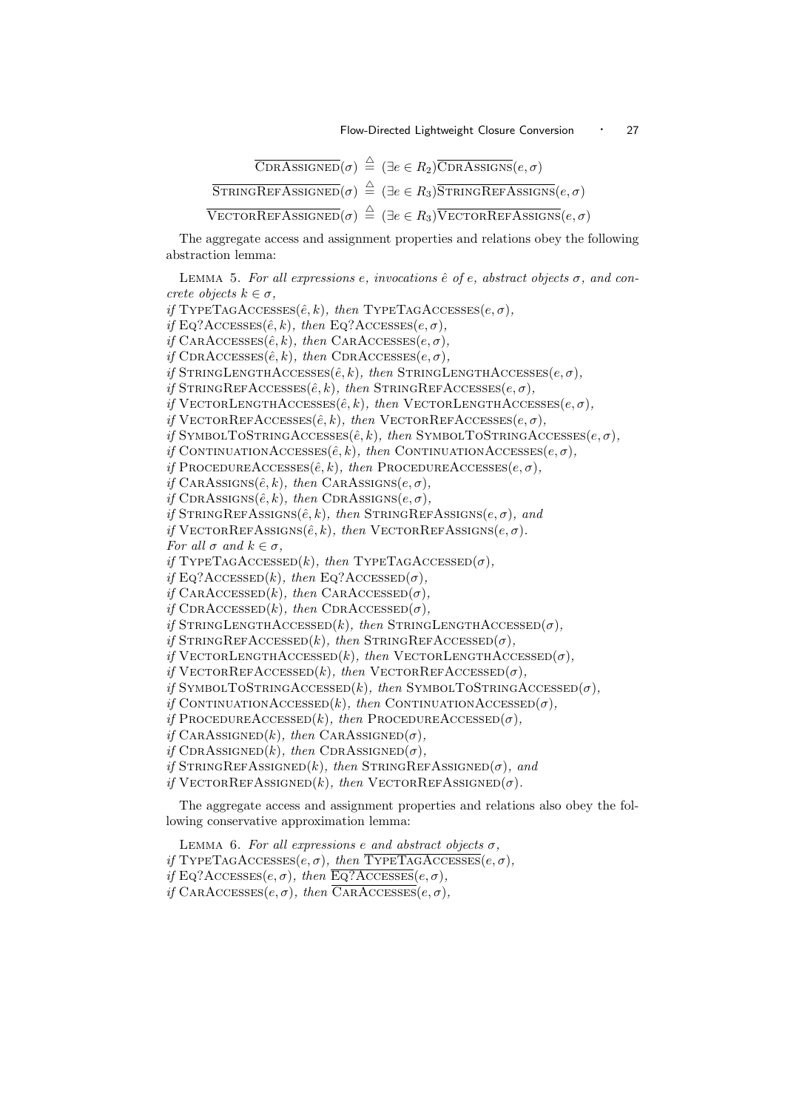$$
\overline{\text{CDRASSIGNED}}(\sigma) \stackrel{\triangle}{=} (\exists e \in R_2) \overline{\text{CDRASSIGNSE}}(e, \sigma)
$$
\n
$$
\overline{\text{STRINGREFASSIGNED}}(\sigma) \stackrel{\triangle}{=} (\exists e \in R_3) \overline{\text{STRINGREFASSIGNSE}}(e, \sigma)
$$
\n
$$
\overline{\text{VECTORREFASSIGNED}}(\sigma) \stackrel{\triangle}{=} (\exists e \in R_3) \overline{\text{VECTORREFASSIGNSE}}(e, \sigma)
$$

The aggregate access and assignment properties and relations obey the following abstraction lemma:

```
LEMMA 5. For all expressions e, invocations \hat{e} of e, abstract objects \sigma, and con-
crete objects k \in \sigma,
if TYPETAGACCESSES(\hat{e}, k), then TYPETAGACCESSES(e, \sigma),
if Eq?Accesses(\hat{e}, k), then Eq?Accesses(e, \sigma),
if CARAccessES(\hat{e}, k), then CARACESSE(s, \sigma).
if CDRACCESSES(\hat{e}, k), then CDRACCESSES(e, \sigma),
if STRINGLENGTHACCESSES(\hat{e}, k), then STRINGLENGTHACCESSES(e, \sigma),
if STRINGREFACCESSES(\hat{e}, k), then STRINGREFACCESSES(e, \sigma),
if VECTORLENGTHACCESSES(\hat{e}, k), then VECTORLENGTHACCESSES(e, \sigma),
if VECTORREFACCESSES(\hat{e}, k), then VECTORREFACCESSES(e, \sigma),
if SYMBOLTOSTRINGACCESSES(\hat{e}, k), then SYMBOLTOSTRINGACCESSES(e, \sigma),
if CONTINUATIONACCESSES(\hat{e}, k), then CONTINUATIONACCESSES(e, \sigma),
if PROCEDUREACCESSES(\hat{e}, k), then PROCEDUREACCESSES(e, \sigma),
if CARASSIGNS(\hat{e}, k), then CARASSIGNS(e, \sigma),
if CDRASSIGNS(\hat{e}, k), then CDRASSIGNS(e, \sigma),
if STRINGREFASSIGNS(\hat{e},k), then STRINGREFASSIS(S(\hat{e},\sigma)), and
if VECTORREFASSIGNS(\hat{e}, k), then VECTORREFASSIGNS(e, \sigma).
For all \sigma and k \in \sigma,
if TYPETAGACCESSED(k), then TYPETAGACCESSED(\sigma),
if Eq?Accessed(k), then Eq?Accessed(\sigma),
if CARACCESSED(k), then CARACCESSED(\sigma),
if CDRACCESSED(k), then CDRACCESSED(\sigma),
if STRINGLENGTHACCESSED(k), then STRINGLENGTHACCESSED(\sigma),
if STRINGREFACCESSED(k), then STRINGREFACCESSED(\sigma),
if VECTORLENGTHACCESSED(k), then VECTORLENGTHACCESSED(\sigma),
if V_{\text{ECTORREFACCESED}(k), then V_{\text{ECTORREFACCESED}(\sigma)}.
if SYMBOLTOSTRINGACCESSED(k), then SYMBOLTOSTRINGACCESSED(\sigma),
if CONTINUATIONACCESSED(k), then CONTINUATIONACCESSED(\sigma),
if PROCEDUREACCESSED(k), then PROCEDUREACCESSED(\sigma),
if CARASSIGNED(k), then CARASSIGNED(\sigma),
if CDRASSIGNED(k), then CDRASSIGNED(\sigma),
if STRINGREFASSIGNED(k), then STRINGREFASSIGNED(\sigma), and
if VECTORREFASSIGNED(k), then VECTORREFASSIGNED(\sigma).
```
The aggregate access and assignment properties and relations also obey the following conservative approximation lemma:

LEMMA 6. For all expressions e and abstract objects  $\sigma$ , if TYPETAGACCESSES $(e, \sigma)$ , then TYPETAGACCESSES $(e, \sigma)$ , if Eq?Accesses $(e, \sigma)$ , then Eq?Accesses $(e, \sigma)$ , if  $CARAccesses(e, \sigma)$ , then  $\overline{CARAccesses}(e, \sigma)$ ,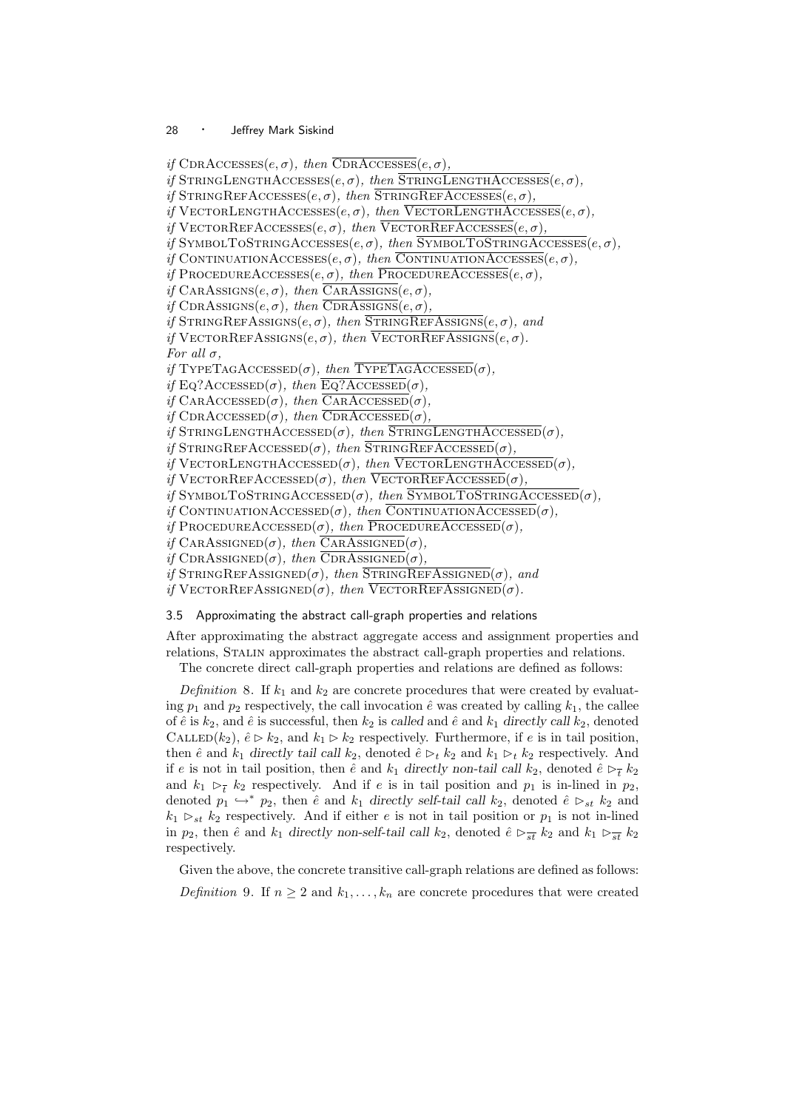if  $CDRACCESSEs(e, \sigma)$ , then  $\overline{CDRACCESSEs}(e, \sigma)$ , if STRINGLENGTHACCESSES $(e, \sigma)$ , then STRINGLENGTHACCESSES $(e, \sigma)$ , if  $STRINGREFACCESSES(e, \sigma)$ , then  $STRINGREFACCESSES(e, \sigma)$ , if VECTORLENGTHACCESSES $(e, \sigma)$ , then VECTORLENGTHACCESSES $(e, \sigma)$ , if  $V$ ECTORREFACCESSES $(e, \sigma)$ , then  $V$ ECTORREFACCESSES $(e, \sigma)$ , if SYMBOLTOSTRINGACCESSES $(e, \sigma)$ , then SYMBOLTOSTRINGACCESSES $(e, \sigma)$ , if CONTINUATIONACCESSES $(e, \sigma)$ , then CONTINUATIONACCESSES $(e, \sigma)$ , if PROCEDUREACCESSES $(e, \sigma)$ , then PROCEDUREACCESSES $(e, \sigma)$ , if CARASSIGNS $(e, \sigma)$ , then CARASSIGNS $(e, \sigma)$ , if CDRASSIGNS $(e, \sigma)$ , then  $\overline{\text{CDRASSIGNS}}(e, \sigma)$ , if  $STRINGREFASSIGNS(e, \sigma)$ , then  $STRINGREFASSIGNS(e, \sigma)$ , and if VECTORREFASSIGNS $(e, \sigma)$ , then VECTORREFASSIGNS $(e, \sigma)$ . For all  $\sigma$ , if TYPETAGACCESSED( $\sigma$ ), then TYPETAGACCESSED( $\sigma$ ), if Eq?Accessed( $\sigma$ ), then Eq?Accessed( $\sigma$ ), if  $CAR$ ACCESSED( $\sigma$ ), then CARACCESSED( $\sigma$ ), if  $CDRACCESSED(\sigma)$ , then  $CDRACCESSED(\sigma)$ , if STRINGLENGTHACCESSED( $\sigma$ ), then STRINGLENGTHACCESSED( $\sigma$ ), if STRINGREFACCESSED( $\sigma$ ), then STRINGREFACCESSED( $\sigma$ ), if VECTORLENGTHACCESSED( $\sigma$ ), then VECTORLENGTHACCESSED( $\sigma$ ), if  $V$ ECTORREFACCESSED $(\sigma)$ , then  $V$ ECTORREFACCESSED $(\sigma)$ , if SYMBOLTOSTRINGACCESSED( $\sigma$ ), then SYMBOLTOSTRINGACCESSED( $\sigma$ ). if CONTINUATIONACCESSED( $\sigma$ ), then CONTINUATIONACCESSED( $\sigma$ ), if PROCEDUREACCESSED( $\sigma$ ), then PROCEDUREACCESSED( $\sigma$ ), if CARASSIGNED( $\sigma$ ), then CARASSIGNED( $\sigma$ ), if CDRASSIGNED( $\sigma$ ), then CDRASSIGNED( $\sigma$ ), if STRINGREFASSIGNED( $\sigma$ ), then STRINGREFASSIGNED( $\sigma$ ), and if VECTORREFASSIGNED( $\sigma$ ), then VECTORREFASSIGNED( $\sigma$ ).

#### 3.5 Approximating the abstract call-graph properties and relations

After approximating the abstract aggregate access and assignment properties and relations, Stalin approximates the abstract call-graph properties and relations.

The concrete direct call-graph properties and relations are defined as follows:

Definition 8. If  $k_1$  and  $k_2$  are concrete procedures that were created by evaluating  $p_1$  and  $p_2$  respectively, the call invocation  $\hat{e}$  was created by calling  $k_1$ , the callee of  $\hat{e}$  is  $k_2$ , and  $\hat{e}$  is successful, then  $k_2$  is called and  $\hat{e}$  and  $k_1$  directly call  $k_2$ , denoted CALLED(k<sub>2</sub>),  $\hat{e} \triangleright k_2$ , and  $k_1 \triangleright k_2$  respectively. Furthermore, if e is in tail position, then  $\hat{e}$  and  $k_1$  directly tail call  $k_2$ , denoted  $\hat{e} \triangleright_t k_2$  and  $k_1 \triangleright_t k_2$  respectively. And if e is not in tail position, then  $\hat{e}$  and  $k_1$  directly non-tail call  $k_2$ , denoted  $\hat{e} \rhd_{\overline{t}} k_2$ and  $k_1 \rhd_{\overline{t}} k_2$  respectively. And if e is in tail position and  $p_1$  is in-lined in  $p_2$ , denoted  $p_1 \hookrightarrow^* p_2$ , then  $\hat{e}$  and  $k_1$  directly self-tail call  $k_2$ , denoted  $\hat{e} \rhd_{st} k_2$  and  $k_1 \rhd_{st} k_2$  respectively. And if either e is not in tail position or  $p_1$  is not in-lined in  $p_2$ , then  $\hat{e}$  and  $k_1$  directly non-self-tail call  $k_2$ , denoted  $\hat{e} \rhd_{\overline{st}} k_2$  and  $k_1 \rhd_{\overline{st}} k_2$ respectively.

Given the above, the concrete transitive call-graph relations are defined as follows: Definition 9. If  $n \geq 2$  and  $k_1, \ldots, k_n$  are concrete procedures that were created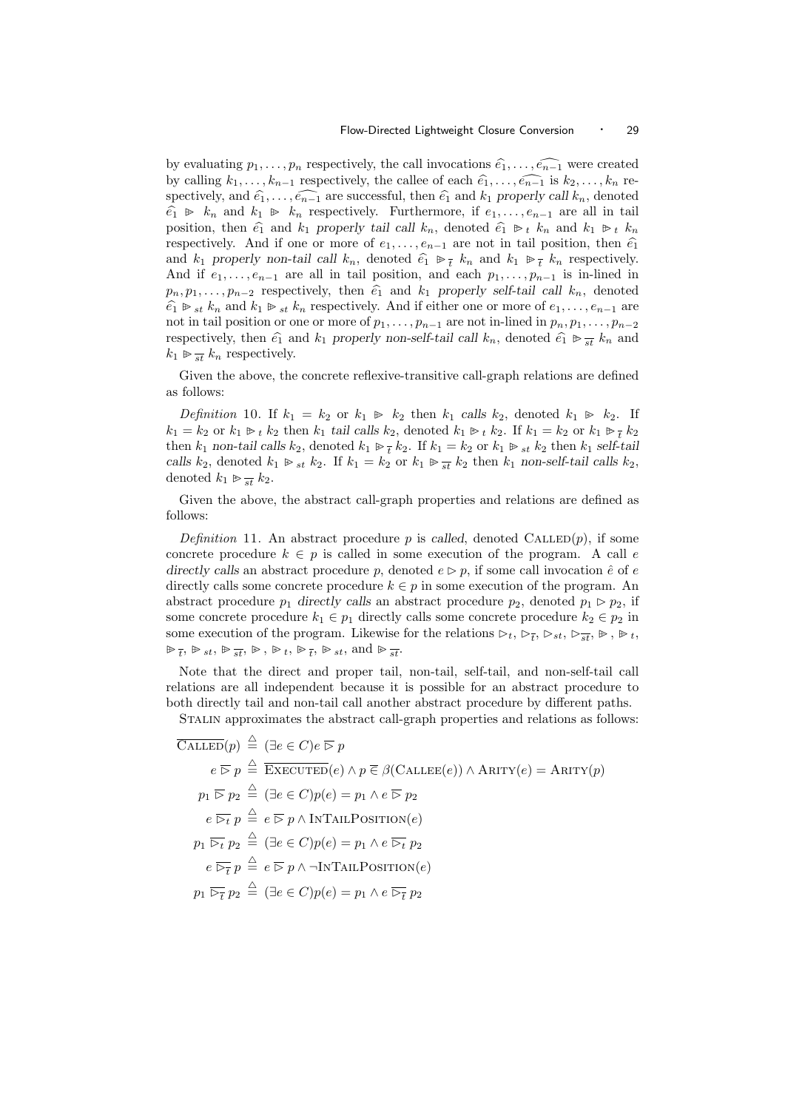by evaluating  $p_1, \ldots, p_n$  respectively, the call invocations  $\widehat{e_1}, \ldots, \widehat{e_{n-1}}$  were created by calling  $k_1, \ldots, k_{n-1}$  respectively, the callee of each  $\hat{e}_1, \ldots, \hat{e}_{n-1}$  is  $k_2, \ldots, k_n$  respectively, and  $\widehat{e_1}, \ldots, \widehat{e_{n-1}}$  are successful, then  $\widehat{e_1}$  and  $k_1$  properly call  $k_n$ , denoted  $\hat{e}_1 \geq k_n$  and  $k_1 \geq k_n$  respectively. Furthermore, if  $e_1, \ldots, e_{n-1}$  are all in tail position, then  $\hat{e}_1$  and  $k_1$  properly tail call  $k_n$ , denoted  $\hat{e}_1 \not\Rightarrow_t k_n$  and  $k_1 \not\Rightarrow_t k_n$ respectively. And if one or more of  $e_1, \ldots, e_{n-1}$  are not in tail position, then  $\hat{e}_1$ and  $k_1$  properly non-tail call  $k_n$ , denoted  $\hat{e}_1 \oplus \frac{1}{t} k_n$  and  $k_1 \oplus \frac{1}{t} k_n$  respectively. And if  $e_1, \ldots, e_{n-1}$  are all in tail position, and each  $p_1, \ldots, p_{n-1}$  is in-lined in  $p_1, p_1, \ldots, p_{n-2}$  respectively, then  $\hat{e}_1$  and  $k_1$  properly self-tail call  $k_n$ , denoted  $\hat{e}_1 \triangleright_{st} k_n$  and  $k_1 \triangleright_{st} k_n$  respectively. And if either one or more of  $e_1, \ldots, e_{n-1}$  are not in tail position or one or more of  $p_1, \ldots, p_{n-1}$  are not in-lined in  $p_n, p_1, \ldots, p_{n-2}$ respectively, then  $\hat{e}_1$  and  $k_1$  properly non-self-tail call  $k_n$ , denoted  $\hat{e}_1 \triangleright \frac{1}{st} k_n$  and  $k_1 \triangleright \frac{1}{st} k_n$  respectively  $k_1 \trianglerighteq \frac{1}{st} k_n$  respectively.

Given the above, the concrete reflexive-transitive call-graph relations are defined as follows:

Definition 10. If  $k_1 = k_2$  or  $k_1 \ge k_2$  then  $k_1$  calls  $k_2$ , denoted  $k_1 \ge k_2$ . If  $k_1 = k_2$  or  $k_1 \triangleright_t k_2$  then  $k_1$  tail calls  $k_2$ , denoted  $k_1 \triangleright_t k_2$ . If  $k_1 = k_2$  or  $k_1 \triangleright_t k_2$ then  $k_1$  non-tail calls  $k_2$ , denoted  $k_1 \triangleright_{\tau} k_2$ . If  $k_1 = k_2$  or  $k_1 \triangleright_{st} k_2$  then  $k_1$  self-tail calls  $k_2$ , denoted  $k_1 \triangleright_{st} k_2$ . If  $k_1 = k_2$  or  $k_1 \triangleright_{st} k_2$  then  $k_1$  non-self-tail calls  $k_2$ , denoted  $k_1 \gg \frac{1}{st} k_2$ .

Given the above, the abstract call-graph properties and relations are defined as follows:

Definition 11. An abstract procedure p is called, denoted CALLED $(p)$ , if some concrete procedure  $k \in p$  is called in some execution of the program. A call e directly calls an abstract procedure p, denoted  $e \triangleright p$ , if some call invocation  $\hat{e}$  of e directly calls some concrete procedure  $k \in p$  in some execution of the program. An abstract procedure  $p_1$  directly calls an abstract procedure  $p_2$ , denoted  $p_1 \triangleright p_2$ , if some concrete procedure  $k_1 \in p_1$  directly calls some concrete procedure  $k_2 \in p_2$  in some execution of the program. Likewise for the relations  $\triangleright_t$ ,  $\triangleright_{\overline{t}}$ ,  $\triangleright_{st}$ ,  $\triangleright_{st}$ ,  $\triangleright_t$ ,  $\triangleright_t$  $\forall t \in \mathbb{R}$ ,  $\forall t \in \mathbb{R}$ ,  $\forall t \in \mathbb{R}$ ,  $\forall t \in \mathbb{R}$ ,  $\forall t \in \mathbb{R}$ , and  $\forall t \in \mathbb{R}$ .

Note that the direct and proper tail, non-tail, self-tail, and non-self-tail call relations are all independent because it is possible for an abstract procedure to both directly tail and non-tail call another abstract procedure by different paths.

Stalin approximates the abstract call-graph properties and relations as follows:

$$
\overline{\text{CALLED}}(p) \stackrel{\triangle}{=} (\exists e \in C) e \overline{\triangleright} p
$$
\n
$$
e \overline{\triangleright} p \stackrel{\triangle}{=} \overline{\text{EXECUTED}}(e) \land p \overline{\in} \beta(\text{CALLEE}(e)) \land \text{ARITY}(e) = \text{ARITY}(p)
$$
\n
$$
p_1 \overline{\triangleright} p_2 \stackrel{\triangle}{=} (\exists e \in C) p(e) = p_1 \land e \overline{\triangleright} p_2
$$
\n
$$
e \overline{\triangleright} t p \stackrel{\triangle}{=} e \overline{\triangleright} p \land \text{INTAILPOSITION}(e)
$$
\n
$$
p_1 \overline{\triangleright} t p_2 \stackrel{\triangle}{=} (\exists e \in C) p(e) = p_1 \land e \overline{\triangleright} t p_2
$$
\n
$$
e \overline{\triangleright} \overline{t} p \stackrel{\triangle}{=} e \overline{\triangleright} p \land \neg \text{INTAILPOSITION}(e)
$$
\n
$$
p_1 \overline{\triangleright} \overline{t} p_2 \stackrel{\triangle}{=} (\exists e \in C) p(e) = p_1 \land e \overline{\triangleright} \overline{t} p_2
$$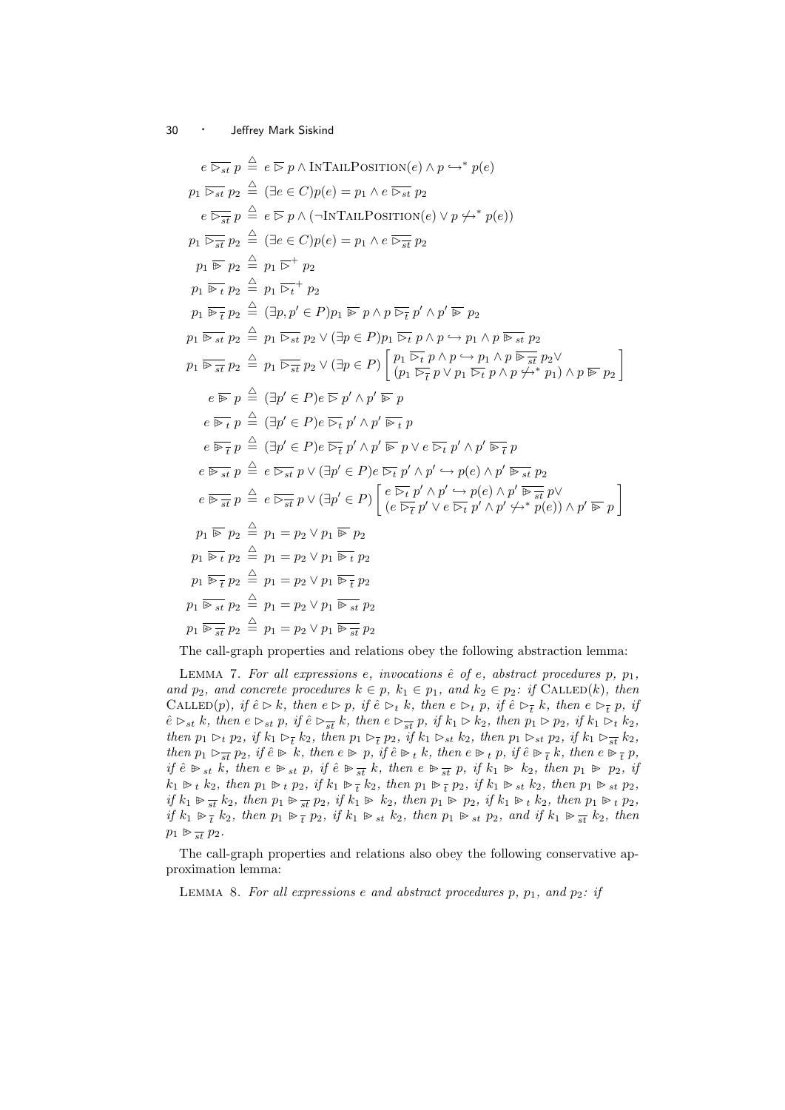$$
e \overline{\triangleright_{st}} p \stackrel{\triangle}{=} e \overline{\triangleright p} \wedge \text{INTAILPOSITION}(e) \wedge p \rightarrow^* p(e)
$$
\n
$$
p_1 \overline{\triangleright_{st}} p_2 \stackrel{\triangle}{=} (\exists e \in C)p(e) = p_1 \wedge e \overline{\triangleright_{st}} p_2
$$
\n
$$
e \overline{\triangleright_{st}} p_2 \stackrel{\triangle}{=} (\exists e \in C)p(e) = p_1 \wedge e \overline{\triangleright_{st}} p_2
$$
\n
$$
p_1 \overline{\triangleright_{st}} p_2 \stackrel{\triangle}{=} (e \in C)p(e) = p_1 \wedge e \overline{\triangleright_{st}} p_2
$$
\n
$$
p_1 \overline{\triangleright_{st}} p_2 \stackrel{\triangle}{=} p_1 \overline{\triangleright_{t}}^+ p_2
$$
\n
$$
p_1 \overline{\triangleright_{t}} p_2 \stackrel{\triangle}{=} p_1 \overline{\triangleright_{t}}^+ p_2
$$
\n
$$
p_1 \overline{\triangleright_{t}} p_2 \stackrel{\triangle}{=} p_1 \overline{\triangleright_{t}}^+ p_2
$$
\n
$$
p_1 \overline{\triangleright_{st}} p_2 \stackrel{\triangle}{=} p_1 \overline{\triangleright_{st}}^+ p_2
$$
\n
$$
p_1 \overline{\triangleright_{st}} p_2 \stackrel{\triangle}{=} p_1 \overline{\triangleright_{st}}^+ p_2 \vee (\exists p \in P) p_1 \overline{\triangleright_{t}} p \wedge p \rightarrow p_1 \wedge p \overline{\triangleright_{st}} p_2
$$
\n
$$
p_1 \overline{\triangleright_{st}} p_2 \stackrel{\triangle}{=} p_1 \overline{\triangleright_{st}}^+ p_2 \vee (\exists p \in P) p_1 \overline{\triangleright_{t}}^+ p \wedge p \rightarrow p_1 \wedge p \overline{\triangleright_{st}}^+ p_2
$$
\n
$$
p_1 \overline{\triangleright_{st}} p_2 \stackrel{\triangle}{=} p_1 \overline{\triangleright_{st}}^+ p_2 \vee (\exists p \in P) p_1 \overline{\triangleright_{t}}^+ p \wedge p \rightarrow p_1 \wedge p \overline{\triangleright_{st}}^+ p_2
$$
\n

The call-graph properties and relations obey the following abstraction lemma:

LEMMA 7. For all expressions e, invocations  $\hat{e}$  of e, abstract procedures p,  $p_1$ , and  $p_2$ , and concrete procedures  $k \in p$ ,  $k_1 \in p_1$ , and  $k_2 \in p_2$ : if CALLED(k), then CALLED $(p)$ , if  $\hat{e} \triangleright k$ , then  $e \triangleright p$ , if  $\hat{e} \triangleright_t k$ , then  $e \triangleright_t p$ , if  $\hat{e} \triangleright_t k$ , then  $e \triangleright_t p$ , if  $\hat{e} \rhd_{st} k$ , then  $e \rhd_{st} p$ , if  $\hat{e} \rhd_{st} k$ , then  $e \rhd_{st} p$ , if  $k_1 \rhd k_2$ , then  $p_1 \rhd p_2$ , if  $k_1 \rhd_k k_2$ , then  $p_1 \rhd_t p_2$ , if  $k_1 \rhd_{\overline{t}} k_2$ , then  $p_1 \rhd_{\overline{t}} p_2$ , if  $k_1 \rhd_{st} k_2$ , then  $p_1 \rhd_{st} p_2$ , if  $k_1 \rhd_{\overline{st}} k_2$ , then  $p_1 \rhd_{\overline{st}} p_2$ , if  $\hat{e} \rhd k$ , then  $e \rhd p$ , if  $\hat{e} \rhd_t k$ , then  $e \rhd_t p$ , if  $\hat{e} \rhd_{\overline{t}} k$ , then  $e \rhd_{\overline{t}} p$ , if  $\hat{e} \not\Rightarrow_{st} k$ , then  $e \not\Rightarrow_{st} p$ , if  $\hat{e} \not\Rightarrow_{st} k$ , then  $e \not\Rightarrow_{st} p$ , if  $k_1 \not\Rightarrow k_2$ , then  $p_1 \not\Rightarrow p_2$ , if  $k_1 \triangleright_t k_2$ , then  $p_1 \triangleright_t p_2$ , if  $k_1 \triangleright_t \frac{1}{t} k_2$ , then  $p_1 \triangleright_t \frac{1}{t} p_2$ , if  $k_1 \triangleright_{st} k_2$ , then  $p_1 \triangleright_{st} p_2$ , if  $k_1 \trianglerighteq \frac{1}{st} k_2$ , then  $p_1 \trianglerighteq \frac{1}{st} p_2$ , if  $k_1 \trianglerighteq k_2$ , then  $p_1 \trianglerighteq p_2$ , if  $k_1 \trianglerighteq t$ , then  $p_1 \trianglerighteq t$ ,  $p_2$ , if  $k_1 \triangleright \overline{t}$   $k_2$ , then  $p_1 \triangleright \overline{t}$   $p_2$ , if  $k_1 \triangleright$   $s_t$   $k_2$ , then  $p_1 \triangleright s_t$   $p_2$ , and if  $k_1 \triangleright \overline{t}$   $k_2$ , then  $p_1 \gg \frac{1}{st} p_2$ .

The call-graph properties and relations also obey the following conservative approximation lemma:

LEMMA 8. For all expressions e and abstract procedures  $p, p_1,$  and  $p_2$ : if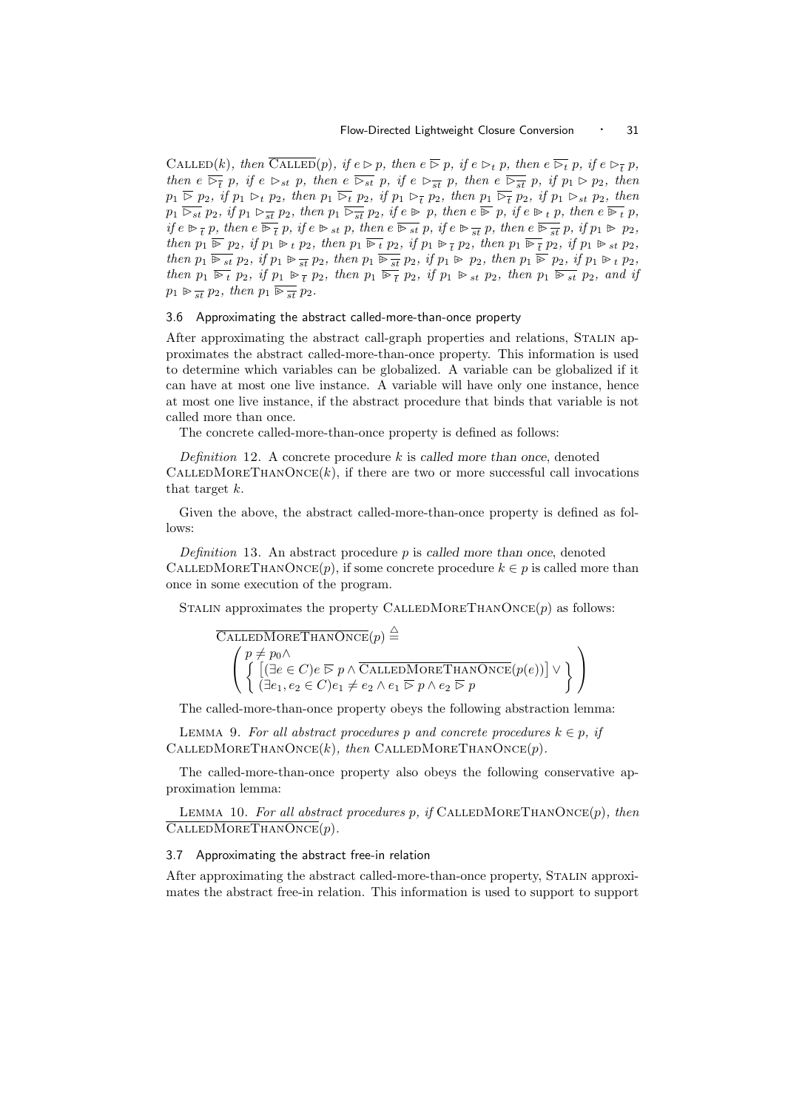CALLED(k), then  $\overline{\text{CALLED}}(p)$ , if  $e \rhd p$ , then  $e \rhd p$ , if  $e \rhd_t p$ , then  $e \rhd_t p$ , if  $e \rhd_t p$ , then  $e \nightharpoonup_{\overline{t}} p$ , if  $e \rightharpoonup_{st} p$ , then  $e \rightharpoonup_{st} p$ , then  $e \rightharpoonup_{st} \overline{p}$ , if  $p_1 \rightharpoonup p_2$ , then  $p_1 \nightharpoonup p_2$ , if  $p_1 \rightharpoonup_t p_2$ , then  $p_1 \rightharpoonup_t p_2$ , if  $p_1 \rightharpoonup_t p_2$ , then  $p_1 \rightharpoonup_t p_2$ , if  $p_1 \rightharpoonup_{st} p_2$ , then  $p_1 \overline{\triangleright_{st}} p_2$ , if  $p_1 \triangleright_{st} p_2$ , then  $p_1 \overline{\triangleright_{st}} p_2$ , if  $e \triangleright p$ , then  $e \overline{\triangleright p}$ , if  $e \triangleright_{t} p$ , then  $e \overline{\triangleright_{t}} p$ , if  $e \triangleright_{\overline{t}} p$ , then  $e \stackrel{\overline{\smile_{\bigcirc}}}{\triangleright_{\overline{t}}} p$ , if  $e \triangleright_{st} p$ , then  $e \stackrel{\overline{\triangleright_{st}}}{\triangleright_{st}} p$ , then  $e \stackrel{\overline{\triangleright_{st}}}{\triangleright_{st}} p$ , if  $p_1 \triangleright p_2$ , then  $p_1 \nightharpoonup p_2$ , if  $p_1 \nightharpoonup_t p_2$ , then  $p_1 \nightharpoonup_t p_2$ , if  $p_1 \nightharpoonup_t p_2$ , if  $p_1 \nightharpoonup_t p_2$ , if  $p_1 \nightharpoonup_t p_2$ , then  $p_1 \overline{\triangleright}_{st} p_2$ , if  $p_1 \triangleright_{st} p_2$ , then  $p_1 \overline{\triangleright}_{st} p_2$ , if  $p_1 \triangleright_{st} p_2$ , if  $p_1 \triangleright_{st} p_2$ , then  $p_1 \nightharpoonup_t p_2$ , if  $p_1 \nightharpoonup_t \overline{p_2}$ , then  $p_1 \nightharpoonup_t \overline{p_2}$ , if  $p_1 \nightharpoonup_{st} p_2$ , then  $p_1 \nightharpoonup_{st} p_2$ , and if  $p_1 \gg \frac{1}{st} p_2$ , then  $p_1 \overline{\mathscr{F}_{st}} p_2$ .

#### 3.6 Approximating the abstract called-more-than-once property

After approximating the abstract call-graph properties and relations, Stalin approximates the abstract called-more-than-once property. This information is used to determine which variables can be globalized. A variable can be globalized if it can have at most one live instance. A variable will have only one instance, hence at most one live instance, if the abstract procedure that binds that variable is not called more than once.

The concrete called-more-than-once property is defined as follows:

Definition 12. A concrete procedure  $k$  is called more than once, denoted  $CALEDMoRETHANONCE(k)$ , if there are two or more successful call invocations that target k.

Given the above, the abstract called-more-than-once property is defined as follows:

Definition 13. An abstract procedure  $p$  is called more than once, denoted CALLEDMORETHANONCE $(p)$ , if some concrete procedure  $k \in p$  is called more than once in some execution of the program.

STALIN approximates the property CALLEDMORETHANONCE $(p)$  as follows:

CALLEDMOREFHANONCE(p) ≦

\n
$$
\left\{\n\begin{array}{l}\np \neq p_0 \land \\
\left\{\n\left[\left(\exists e \in C\right) e \, \overline{\triangleright} \, p \land \overline{\text{CALLEDMOREFHANONCE}}(p(e))\right] \lor \right\} \\
\left\{\n\left(\exists e_1, e_2 \in C\right) e_1 \neq e_2 \land e_1 \, \overline{\triangleright} \, p \land e_2 \, \overline{\triangleright} \, p\n\end{array}\n\right\}\n\right\}
$$

The called-more-than-once property obeys the following abstraction lemma:

LEMMA 9. For all abstract procedures p and concrete procedures  $k \in p$ , if CALLEDMORETHANONCE $(k)$ , then CALLEDMORETHANONCE $(p)$ .

The called-more-than-once property also obeys the following conservative approximation lemma:

LEMMA 10. For all abstract procedures p, if CALLEDMORETHANONCE $(p)$ , then  $CALLEDMOREE$ HANONCE $(p)$ .

#### 3.7 Approximating the abstract free-in relation

After approximating the abstract called-more-than-once property, Stalin approximates the abstract free-in relation. This information is used to support to support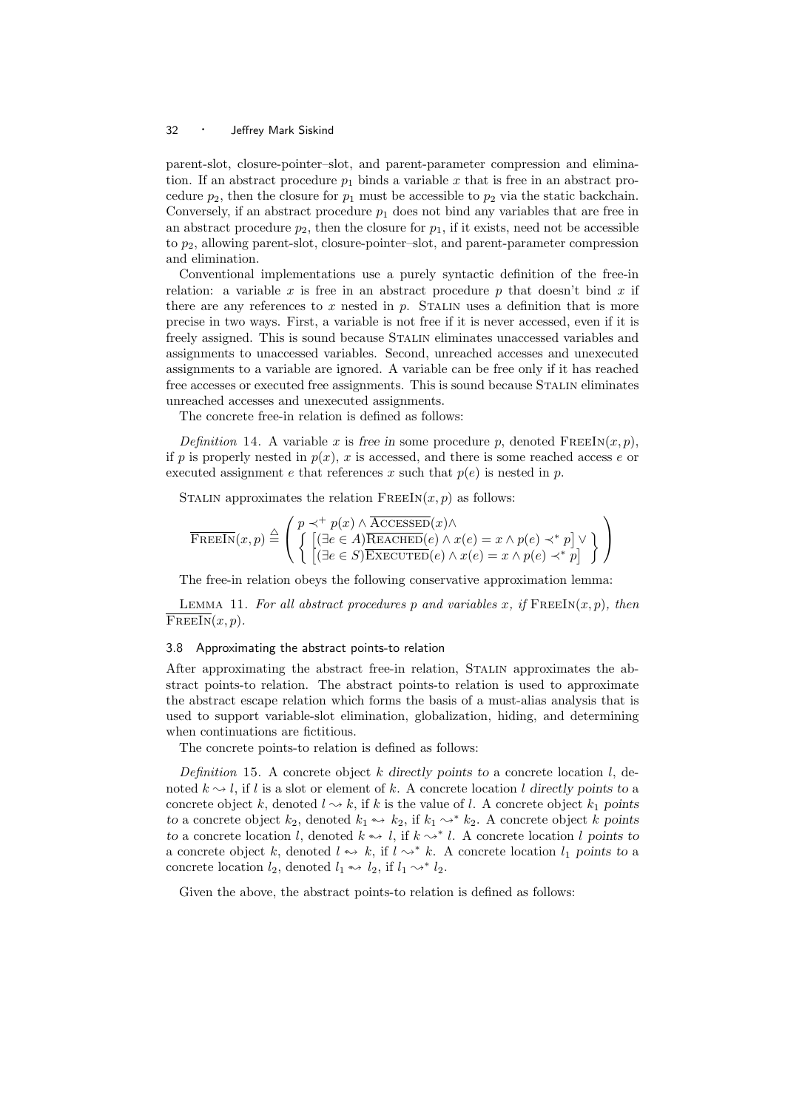parent-slot, closure-pointer–slot, and parent-parameter compression and elimination. If an abstract procedure  $p_1$  binds a variable x that is free in an abstract procedure  $p_2$ , then the closure for  $p_1$  must be accessible to  $p_2$  via the static backchain. Conversely, if an abstract procedure  $p_1$  does not bind any variables that are free in an abstract procedure  $p_2$ , then the closure for  $p_1$ , if it exists, need not be accessible to  $p_2$ , allowing parent-slot, closure-pointer–slot, and parent-parameter compression and elimination.

Conventional implementations use a purely syntactic definition of the free-in relation: a variable x is free in an abstract procedure p that doesn't bind x if there are any references to x nested in  $p$ . STALIN uses a definition that is more precise in two ways. First, a variable is not free if it is never accessed, even if it is freely assigned. This is sound because STALIN eliminates unaccessed variables and assignments to unaccessed variables. Second, unreached accesses and unexecuted assignments to a variable are ignored. A variable can be free only if it has reached free accesses or executed free assignments. This is sound because Stalin eliminates unreached accesses and unexecuted assignments.

The concrete free-in relation is defined as follows:

Definition 14. A variable x is free in some procedure p, denoted  $\text{FREEIN}(x, p)$ , if p is properly nested in  $p(x)$ , x is accessed, and there is some reached access e or executed assignment e that references x such that  $p(e)$  is nested in p.

STALIN approximates the relation  $FREEIN(x, p)$  as follows:

$$
\overline{\text{FREEIN}}(x, p) \stackrel{\triangle}{=} \left( \begin{array}{l} p \prec^+ p(x) \land \overline{\text{ACCESSED}}(x) \land \\ \left\{ \begin{array}{l} \left[ (\exists e \in A) \overline{\text{REACHED}}(e) \land x(e) = x \land p(e) \prec^* p \right] \lor \\ \left[ (\exists e \in S) \overline{\text{EXECUTED}}(e) \land x(e) = x \land p(e) \prec^* p \right] \end{array} \right\} \right)
$$

The free-in relation obeys the following conservative approximation lemma:

LEMMA 11. For all abstract procedures p and variables x, if  $\text{FREEN}(x, p)$ , then  $\overline{\text{FREEIn}(x, p)}$ .

#### 3.8 Approximating the abstract points-to relation

After approximating the abstract free-in relation, Stalin approximates the abstract points-to relation. The abstract points-to relation is used to approximate the abstract escape relation which forms the basis of a must-alias analysis that is used to support variable-slot elimination, globalization, hiding, and determining when continuations are fictitious.

The concrete points-to relation is defined as follows:

Definition 15. A concrete object k directly points to a concrete location l, denoted  $k \sim l$ , if l is a slot or element of k. A concrete location l directly points to a concrete object k, denoted  $l \rightarrow k$ , if k is the value of l. A concrete object  $k_1$  points to a concrete object  $k_2$ , denoted  $k_1 \rightarrow k_2$ , if  $k_1 \rightarrow k_2$ . A concrete object k points to a concrete location l, denoted  $k \rightsquigarrow l$ , if  $k \rightsquigarrow l$ . A concrete location l points to a concrete object k, denoted  $l \leftrightarrow k$ , if  $l \rightarrow k$ . A concrete location  $l_1$  points to a concrete location  $l_2$ , denoted  $l_1 \leftrightarrow l_2$ , if  $l_1 \rightsquigarrow^* l_2$ .

Given the above, the abstract points-to relation is defined as follows: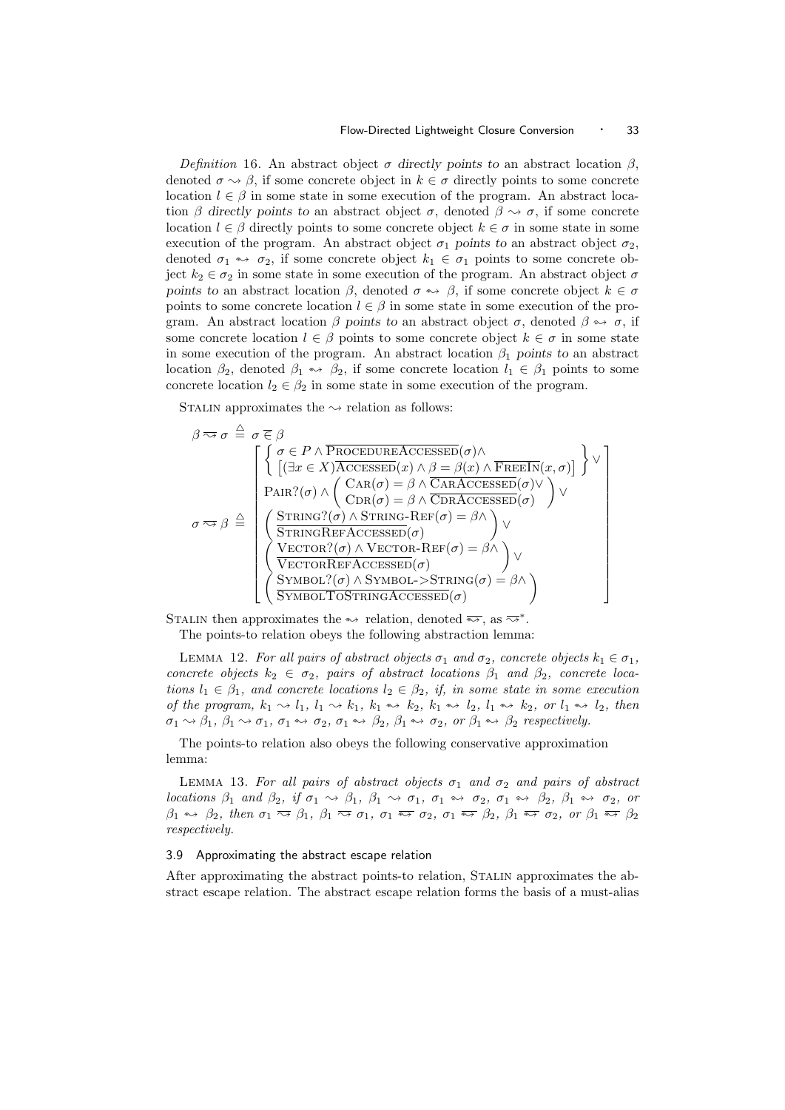Definition 16. An abstract object  $\sigma$  directly points to an abstract location  $\beta$ , denoted  $\sigma \sim \beta$ , if some concrete object in  $k \in \sigma$  directly points to some concrete location  $l \in \beta$  in some state in some execution of the program. An abstract location  $\beta$  directly points to an abstract object  $\sigma$ , denoted  $\beta \rightsquigarrow \sigma$ , if some concrete location  $l \in \beta$  directly points to some concrete object  $k \in \sigma$  in some state in some execution of the program. An abstract object  $\sigma_1$  points to an abstract object  $\sigma_2$ , denoted  $\sigma_1 \leftrightarrow \sigma_2$ , if some concrete object  $k_1 \in \sigma_1$  points to some concrete object  $k_2 \in \sigma_2$  in some state in some execution of the program. An abstract object  $\sigma$ points to an abstract location  $\beta$ , denoted  $\sigma \leftrightarrow \beta$ , if some concrete object  $k \in \sigma$ points to some concrete location  $l \in \beta$  in some state in some execution of the program. An abstract location  $\beta$  points to an abstract object  $\sigma$ , denoted  $\beta \leftrightarrow \sigma$ , if some concrete location  $l \in \beta$  points to some concrete object  $k \in \sigma$  in some state in some execution of the program. An abstract location  $\beta_1$  points to an abstract location  $\beta_2$ , denoted  $\beta_1 \leftrightarrow \beta_2$ , if some concrete location  $l_1 \in \beta_1$  points to some concrete location  $l_2 \in \beta_2$  in some state in some execution of the program.

STALIN approximates the  $\leadsto$  relation as follows:

$$
\beta \approx \sigma \stackrel{\triangle}{=} \sigma \stackrel{\triangle}{\in} \beta
$$
\n
$$
\sigma \approx \beta \stackrel{\triangle}{=} \left\{ \begin{array}{l} \left\{ \sigma \in P \land \overline{\text{PROCEDUREACCESSED}}(\sigma) \land \\ \left[ (\exists x \in X) \overline{\text{ACCESSED}}(x) \land \beta = \beta(x) \land \overline{\text{FREEIn}}(x, \sigma) \right] \right\} \lor \\ \text{PAR?}(\sigma) \land \left( \begin{array}{l} \text{CAR}(\sigma) = \beta \land \overline{\text{CARACCESSED}}(\sigma) \lor \\ \text{CAR}(\sigma) = \beta \land \overline{\text{CDRACCESSED}}(\sigma) \lor \\ \text{STRING?}(\sigma) \land \text{STRING-REF}(\sigma) = \beta \land \\ \overline{\text{STRINGREFACCESSED}}(\sigma) \end{array} \right) \lor \\ \left( \begin{array}{l} \text{STETOR?}(\sigma) \land \text{VEROR-REF}(\sigma) = \beta \land \\ \overline{\text{VECTORREFACCESSED}}(\sigma) \end{array} \right) \lor \\ \left( \begin{array}{l} \text{SEATORREFACCESSED}(\sigma) \\ \overline{\text{SYMBDL?}(\sigma) \land \text{SYMBDL-}\text{STRING}}(\sigma) = \beta \land \\ \overline{\text{SYMBDL:7OSTRINGACCESSED}}(\sigma) \end{array} \right) \lor \\ \end{array} \right\}
$$

STALIN then approximates the  $\rightarrow$  relation, denoted  $\overline{\rightarrow}$ , as  $\overline{\rightarrow}$ \*. The points-to relation obeys the following abstraction lemma:

LEMMA 12. For all pairs of abstract objects  $\sigma_1$  and  $\sigma_2$ , concrete objects  $k_1 \in \sigma_1$ , concrete objects  $k_2 \in \sigma_2$ , pairs of abstract locations  $\beta_1$  and  $\beta_2$ , concrete locations  $l_1 \in \beta_1$ , and concrete locations  $l_2 \in \beta_2$ , if, in some state in some execution of the program,  $k_1 \rightarrow l_1$ ,  $l_1 \rightarrow k_1$ ,  $k_1 \rightarrow k_2$ ,  $k_1 \rightarrow l_2$ ,  $l_1 \rightarrow k_2$ , or  $l_1 \rightarrow l_2$ , then  $\sigma_1 \rightsquigarrow \beta_1$ ,  $\beta_1 \rightsquigarrow \sigma_1$ ,  $\sigma_1 \rightsquigarrow \sigma_2$ ,  $\sigma_1 \rightsquigarrow \beta_2$ ,  $\beta_1 \rightsquigarrow \sigma_2$ , or  $\beta_1 \rightsquigarrow \beta_2$  respectively.

The points-to relation also obeys the following conservative approximation lemma:

LEMMA 13. For all pairs of abstract objects  $\sigma_1$  and  $\sigma_2$  and pairs of abstract locations  $\beta_1$  and  $\beta_2$ , if  $\sigma_1 \leadsto \beta_1$ ,  $\beta_1 \leadsto \sigma_1$ ,  $\sigma_1 \leftrightarrow \sigma_2$ ,  $\sigma_1 \leftrightarrow \beta_2$ ,  $\beta_1 \leftrightarrow \sigma_2$ , or  $\beta_1 \rightsquigarrow \beta_2$ , then  $\sigma_1 \stackrel{\overline{\sim}}{\sim} \beta_1$ ,  $\beta_1 \stackrel{\overline{\sim}}{\sim} \sigma_1$ ,  $\sigma_1 \stackrel{\overline{\sim}}{\sim} \sigma_2$ ,  $\sigma_1 \stackrel{\overline{\sim}}{\sim} \beta_2$ ,  $\beta_1 \stackrel{\overline{\sim}}{\sim} \sigma_2$ , or  $\beta_1 \stackrel{\overline{\sim}}{\sim} \beta_2$ respectively.

#### 3.9 Approximating the abstract escape relation

After approximating the abstract points-to relation, Stalin approximates the abstract escape relation. The abstract escape relation forms the basis of a must-alias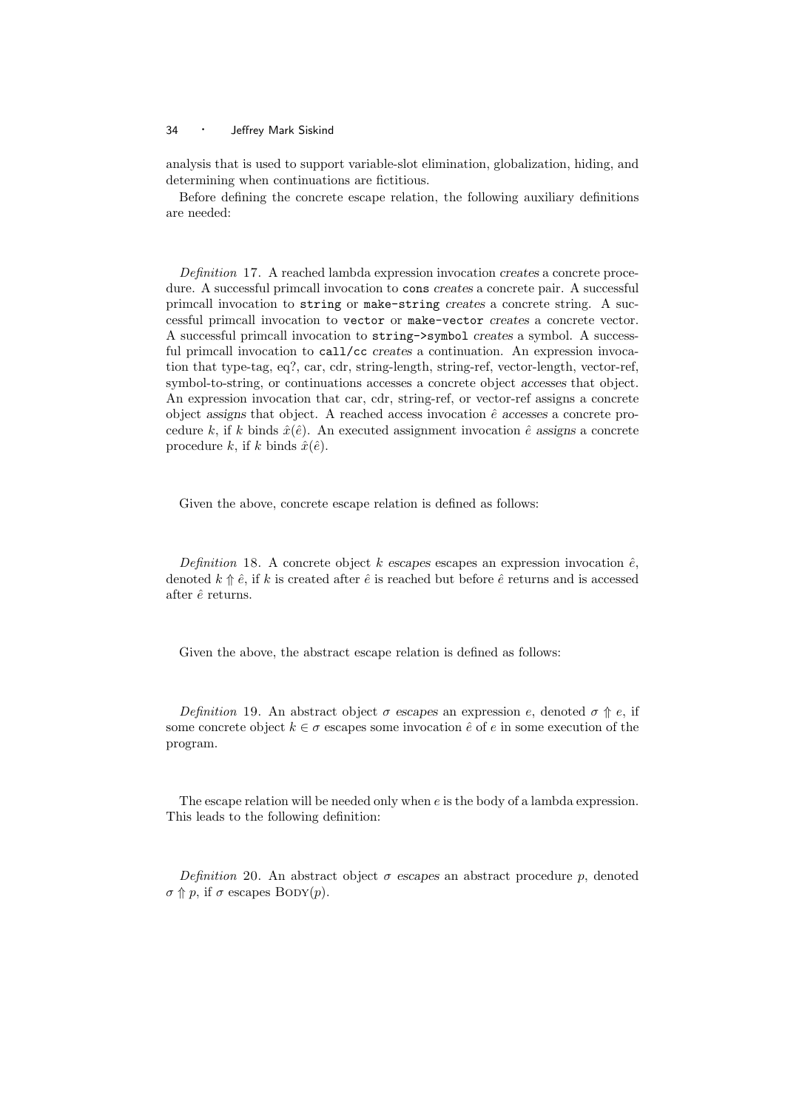analysis that is used to support variable-slot elimination, globalization, hiding, and determining when continuations are fictitious.

Before defining the concrete escape relation, the following auxiliary definitions are needed:

Definition 17. A reached lambda expression invocation creates a concrete procedure. A successful primcall invocation to cons creates a concrete pair. A successful primcall invocation to string or make-string creates a concrete string. A successful primcall invocation to vector or make-vector creates a concrete vector. A successful primcall invocation to string->symbol creates a symbol. A successful primcall invocation to call/cc creates a continuation. An expression invocation that type-tag, eq?, car, cdr, string-length, string-ref, vector-length, vector-ref, symbol-to-string, or continuations accesses a concrete object accesses that object. An expression invocation that car, cdr, string-ref, or vector-ref assigns a concrete object assigns that object. A reached access invocation  $\hat{e}$  accesses a concrete procedure k, if k binds  $\hat{x}(\hat{e})$ . An executed assignment invocation  $\hat{e}$  assigns a concrete procedure k, if k binds  $\hat{x}(\hat{e})$ .

Given the above, concrete escape relation is defined as follows:

Definition 18. A concrete object k escapes escapes an expression invocation  $\hat{e}$ , denoted  $k \nightharpoonup \hat{e}$ , if k is created after  $\hat{e}$  is reached but before  $\hat{e}$  returns and is accessed after  $\hat{e}$  returns.

Given the above, the abstract escape relation is defined as follows:

Definition 19. An abstract object  $\sigma$  escapes an expression e, denoted  $\sigma \Uparrow e$ , if some concrete object  $k \in \sigma$  escapes some invocation  $\hat{e}$  of  $e$  in some execution of the program.

The escape relation will be needed only when e is the body of a lambda expression. This leads to the following definition:

Definition 20. An abstract object  $\sigma$  escapes an abstract procedure p, denoted  $\sigma \Uparrow p$ , if  $\sigma$  escapes BODY(p).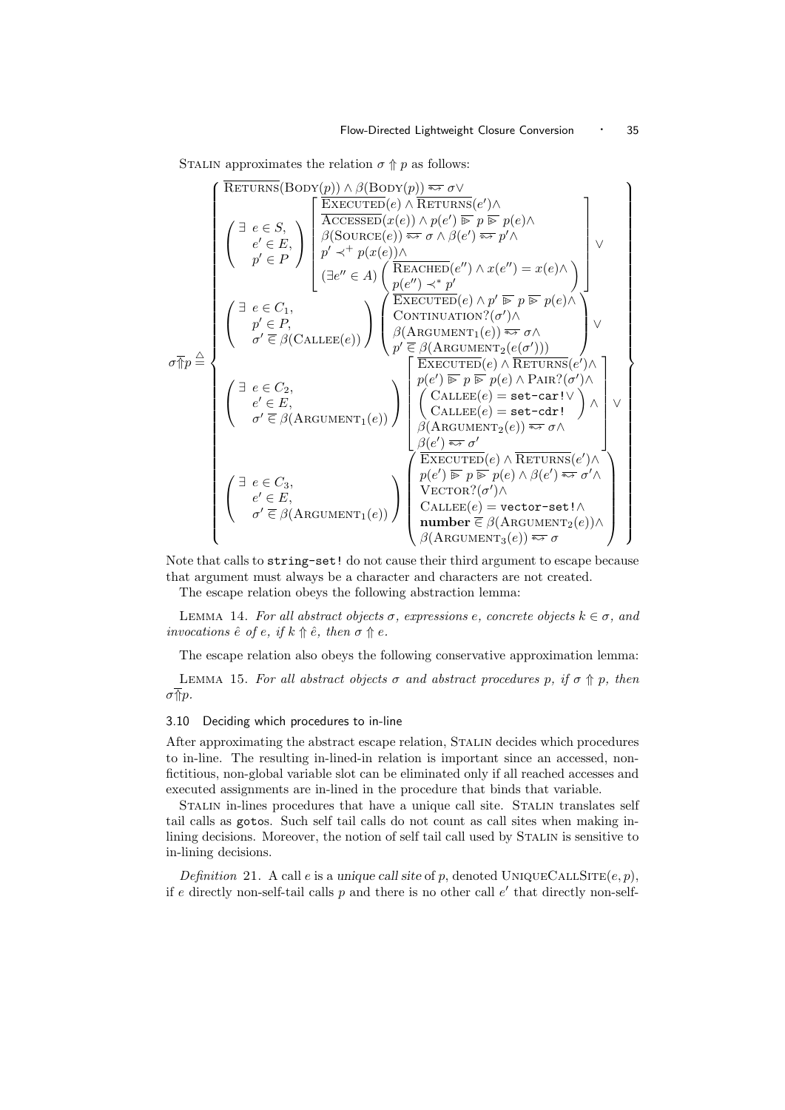STALIN approximates the relation  $\sigma \Uparrow p$  as follows:

$$
\sigma_{\text{TP}}^{\text{RFTURNS}}(\text{BODY}(p)) \land \beta(\text{BODY}(p)) \Leftrightarrow \sigma \lor
$$
\n
$$
\begin{pmatrix}\n\exists e \in S, \\
e' \in E, \\
p' \in P\n\end{pmatrix}\n\begin{bmatrix}\n\overbrace{\text{RCESEED}}(x(e)) \land p(e') \overline{\approx p} \ p(\overline{e}) \land \\
\beta(\text{SOURCE}(e)) \overline{\approx p} \sigma \land \beta(e') \overline{\approx p} \gamma \land \\
p' \prec^+ p(x(e)) \land \\
\beta(e' \overline{\approx p} \sigma \land \beta(e') \overline{\approx p} \gamma \land \\
\beta(e' \overline{\approx p} \sigma \land \beta(e')) \overline{\approx p} \sigma \land \\
\beta(e' \overline{\approx p} \sigma \land \beta(e')) \rightarrow \gamma(e) \land \\
\beta(e' \overline{\approx p} \sigma \land \\
p(e' \overline{\approx p} \sigma \land \\
p(e' \overline{\approx p} \sigma \land \\
p(e' \overline{\approx p} \sigma \land \\
p(e')) \overline{\approx p} \sigma \land \\
\beta(\text{RRGUMENT}_1(e)) \overline{\approx p} \sigma \land \\
p(e') \overline{\approx p} \sigma \land \\
p(e') \overline{\approx p} \sigma \land \\
p(e') \overline{\approx p} \sigma \land \\
p(e') \overline{\approx p} \sigma \land \\
p(e') \overline{\approx p} \sigma \land \\
p(e') \overline{\approx p} \sigma \land \\
\beta(\text{RRGUMENT}_2(e)) \land \\
\beta(\text{RRGUMENT}_2(e)) \overline{\approx p} \sigma \land \\
\beta(e') \overline{\approx p} \sigma \land \\
\beta(e') \overline{\approx p} \sigma \land \\
\beta(e') \overline{\approx p} \sigma \land \\
\beta(e') \overline{\approx p} \sigma \land \\
\beta(e') \overline{\approx p} \sigma \land \\
\beta(e') \overline{\approx p} \sigma \land \\
p(e') \overline{\approx p} \sigma \land \\
\beta(\text{RRCUMENT}_2(e)) \land \\
\beta(\text{RRCUMENT}_3(e)) \land \\
\beta(\text{RRCUMENT}_3(e)) \overline{\approx p} \sigma \land \\
\beta(\text{RRCUMENT}_3(e)) \overline{\approx p} \sigma \land \\
\beta(\text{RRCUMENT}_3(e)) \overline{\approx p} \sigma \land \\
\beta(\text{RRCUMENT}_3(e)) \overline{\approx p} \sigma \land \\
\beta(\text{RRCUMENT}_3(e)) \overline{\
$$

Note that calls to string-set! do not cause their third argument to escape because that argument must always be a character and characters are not created.

The escape relation obeys the following abstraction lemma:

LEMMA 14. For all abstract objects  $\sigma$ , expressions e, concrete objects  $k \in \sigma$ , and invocations  $\hat{e}$  of e, if  $k \nightharpoonup \hat{e}$ , then  $\sigma \nightharpoonup e$ .

The escape relation also obeys the following conservative approximation lemma:

LEMMA 15. For all abstract objects  $\sigma$  and abstract procedures p, if  $\sigma \Uparrow p$ , then  $\sigma \sqrt{\eta} p$ .

#### 3.10 Deciding which procedures to in-line

After approximating the abstract escape relation, Stalin decides which procedures to in-line. The resulting in-lined-in relation is important since an accessed, nonfictitious, non-global variable slot can be eliminated only if all reached accesses and executed assignments are in-lined in the procedure that binds that variable.

Stalin in-lines procedures that have a unique call site. Stalin translates self tail calls as gotos. Such self tail calls do not count as call sites when making inlining decisions. Moreover, the notion of self tail call used by STALIN is sensitive to in-lining decisions.

Definition 21. A call e is a unique call site of p, denoted UNIQUECALLSITE(e, p), if e directly non-self-tail calls  $p$  and there is no other call  $e'$  that directly non-self-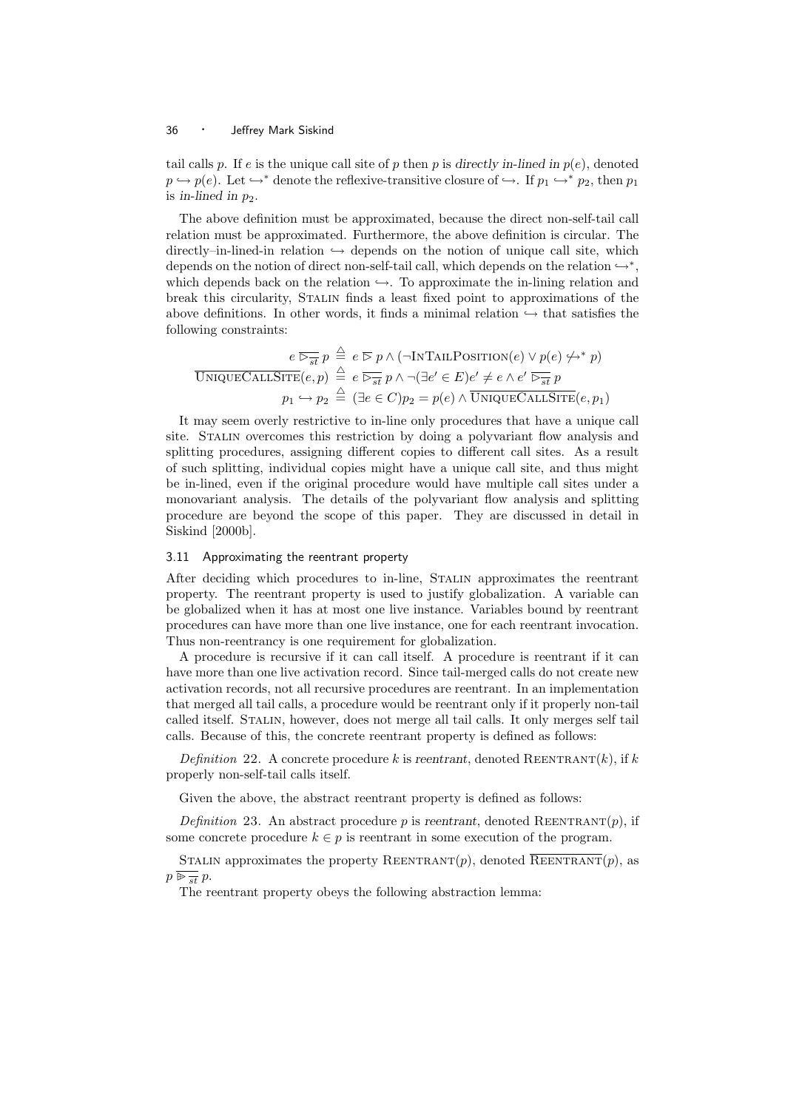tail calls p. If e is the unique call site of p then p is directly in-lined in  $p(e)$ , denoted  $p \leftrightarrow p(e)$ . Let  $\rightarrow^*$  denote the reflexive-transitive closure of  $\rightarrow$ . If  $p_1 \leftrightarrow^* p_2$ , then  $p_1$ is in-lined in  $p_2$ .

The above definition must be approximated, because the direct non-self-tail call relation must be approximated. Furthermore, the above definition is circular. The directly–in-lined-in relation  $\hookrightarrow$  depends on the notion of unique call site, which depends on the notion of direct non-self-tail call, which depends on the relation  $\hookrightarrow^*$ , which depends back on the relation  $\hookrightarrow$ . To approximate the in-lining relation and break this circularity, Stalin finds a least fixed point to approximations of the above definitions. In other words, it finds a minimal relation  $\hookrightarrow$  that satisfies the following constraints:

$$
e \overline{\triangleright_{st}} p \stackrel{\triangle}{=} e \overline{\triangleright p} \land (\neg \text{INTAILPOSITION}(e) \lor p(e) \nleftrightarrow^* p)
$$
  
UNIQUECALISTTE(e, p) 
$$
\stackrel{\triangle}{=} e \overline{\triangleright_{st}} p \land \neg (\exists e' \in E) e' \neq e \land e' \overline{\triangleright_{st}} p
$$
  

$$
p_1 \hookrightarrow p_2 \stackrel{\triangle}{=} (\exists e \in C) p_2 = p(e) \land \overline{\text{UNIQUECALISTE}}(e, p_1)
$$

It may seem overly restrictive to in-line only procedures that have a unique call site. Stalin overcomes this restriction by doing a polyvariant flow analysis and splitting procedures, assigning different copies to different call sites. As a result of such splitting, individual copies might have a unique call site, and thus might be in-lined, even if the original procedure would have multiple call sites under a monovariant analysis. The details of the polyvariant flow analysis and splitting procedure are beyond the scope of this paper. They are discussed in detail in Siskind [2000b].

#### 3.11 Approximating the reentrant property

After deciding which procedures to in-line, Stalin approximates the reentrant property. The reentrant property is used to justify globalization. A variable can be globalized when it has at most one live instance. Variables bound by reentrant procedures can have more than one live instance, one for each reentrant invocation. Thus non-reentrancy is one requirement for globalization.

A procedure is recursive if it can call itself. A procedure is reentrant if it can have more than one live activation record. Since tail-merged calls do not create new activation records, not all recursive procedures are reentrant. In an implementation that merged all tail calls, a procedure would be reentrant only if it properly non-tail called itself. Stalin, however, does not merge all tail calls. It only merges self tail calls. Because of this, the concrete reentrant property is defined as follows:

Definition 22. A concrete procedure k is reentrant, denoted REENTRANT $(k)$ , if k properly non-self-tail calls itself.

Given the above, the abstract reentrant property is defined as follows:

Definition 23. An abstract procedure p is reentrant, denoted REENTRANT(p), if some concrete procedure  $k \in p$  is reentrant in some execution of the program.

STALIN approximates the property REENTRANT $(p)$ , denoted REENTRANT $(p)$ , as  $p \overline{\mathrel{\triangleright} \frac{\cdot}{st}} p.$ 

The reentrant property obeys the following abstraction lemma: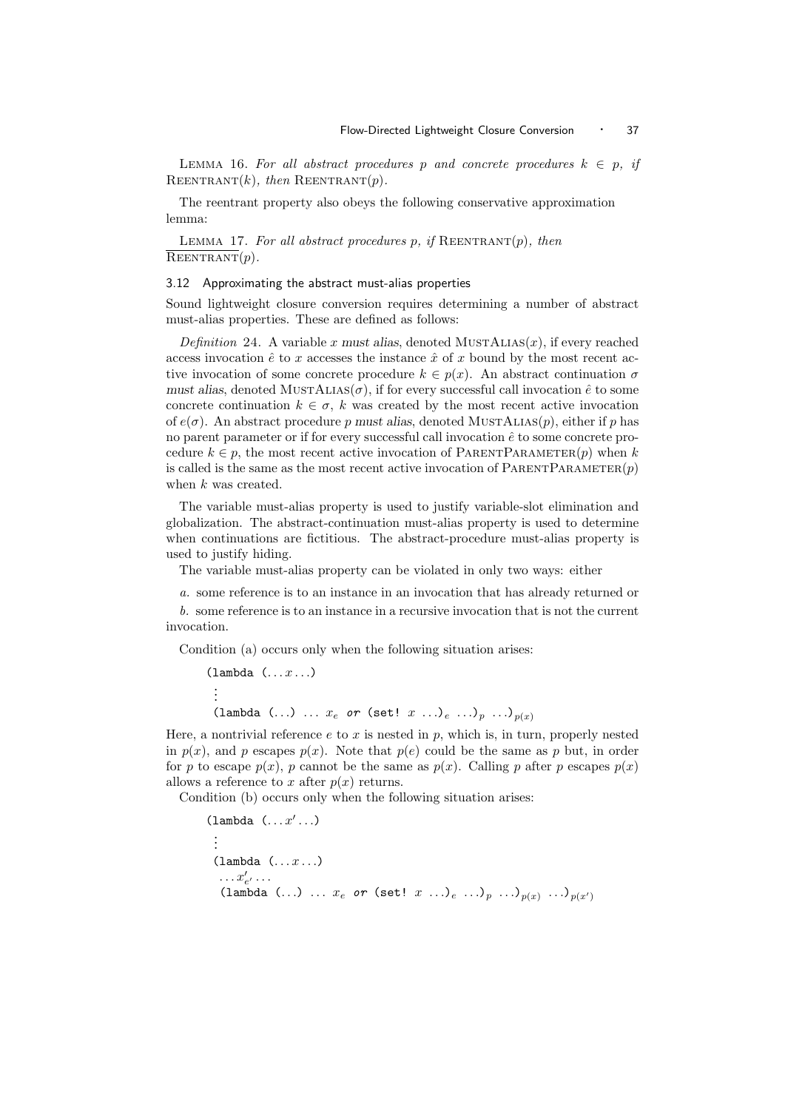LEMMA 16. For all abstract procedures p and concrete procedures  $k \in p$ , if REENTRANT $(k)$ , then REENTRANT $(p)$ .

The reentrant property also obeys the following conservative approximation lemma:

LEMMA 17. For all abstract procedures p, if  $REENTRANT(p)$ , then  $REENTRANT(p)$ .

#### 3.12 Approximating the abstract must-alias properties

Sound lightweight closure conversion requires determining a number of abstract must-alias properties. These are defined as follows:

Definition 24. A variable x must alias, denoted MUSTALIAS $(x)$ , if every reached access invocation  $\hat{e}$  to x accesses the instance  $\hat{x}$  of x bound by the most recent active invocation of some concrete procedure  $k \in p(x)$ . An abstract continuation  $\sigma$ must alias, denoted  $MUSTALIAS(\sigma)$ , if for every successful call invocation  $\hat{e}$  to some concrete continuation  $k \in \sigma$ , k was created by the most recent active invocation of  $e(\sigma)$ . An abstract procedure p must alias, denoted MUSTALIAS(p), either if p has no parent parameter or if for every successful call invocation  $\hat{e}$  to some concrete procedure  $k \in p$ , the most recent active invocation of PARENTPARAMETER $(p)$  when k is called is the same as the most recent active invocation of  $\text{PARENTPARAMENTER}(p)$ when k was created.

The variable must-alias property is used to justify variable-slot elimination and globalization. The abstract-continuation must-alias property is used to determine when continuations are fictitious. The abstract-procedure must-alias property is used to justify hiding.

The variable must-alias property can be violated in only two ways: either

a. some reference is to an instance in an invocation that has already returned or b. some reference is to an instance in a recursive invocation that is not the current invocation.

Condition (a) occurs only when the following situation arises:

 $(\text{lambda} \ (\dots x \dots)$ . . . (lambda  $(...)$  ...  $x_e$  or (set!  $x$  ...)<sub>e</sub> ...)<sub>p</sub> ...)<sub>p(x)</sub>

Here, a nontrivial reference  $e$  to  $x$  is nested in  $p$ , which is, in turn, properly nested in  $p(x)$ , and p escapes  $p(x)$ . Note that  $p(e)$  could be the same as p but, in order for p to escape  $p(x)$ , p cannot be the same as  $p(x)$ . Calling p after p escapes  $p(x)$ allows a reference to x after  $p(x)$  returns.

Condition (b) occurs only when the following situation arises:

```
(\texttt{lambda} (\dots x' \dots)).
 .
 .
 (\texttt{lambda} \ (\dots x \dots)\dots x'_{e'} \dots(lambda (...) ... x_e or (set! x ... )_e ... )_p ... )_{p(x) ...} ...) _{p(x')}
```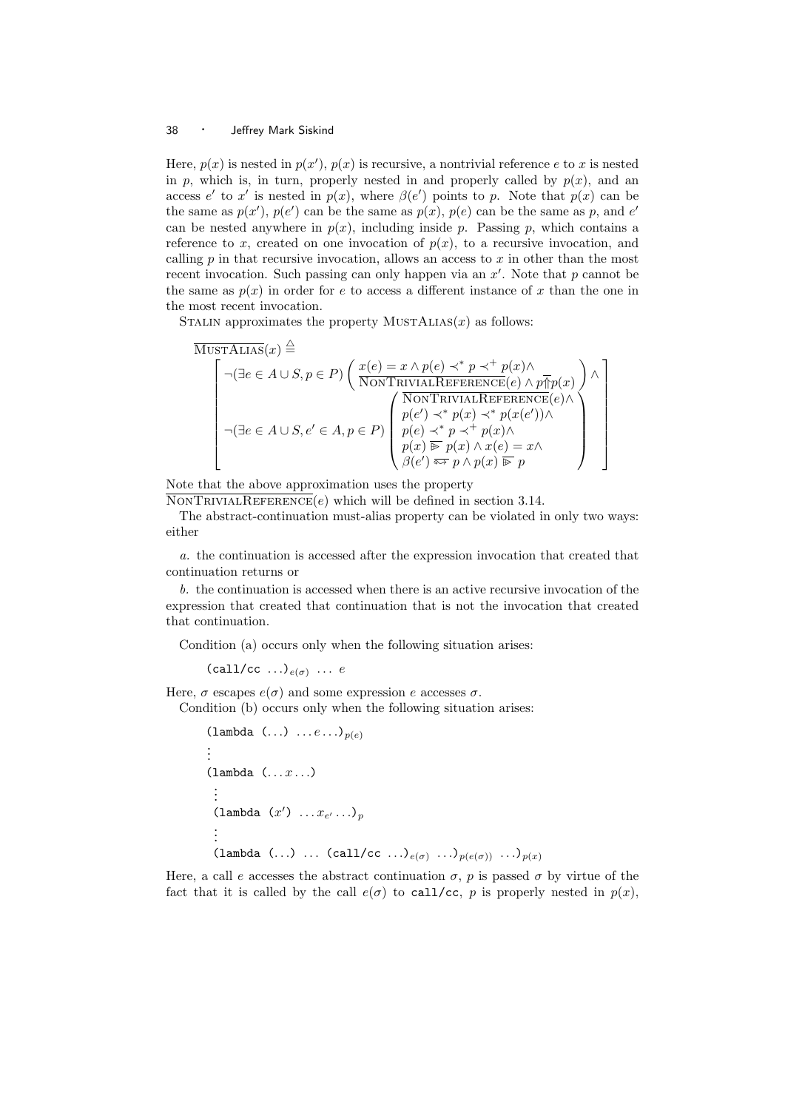Here,  $p(x)$  is nested in  $p(x')$ ,  $p(x)$  is recursive, a nontrivial reference e to x is nested in p, which is, in turn, properly nested in and properly called by  $p(x)$ , and an access e' to x' is nested in  $p(x)$ , where  $\beta(e')$  points to p. Note that  $p(x)$  can be the same as  $p(x')$ ,  $p(e')$  can be the same as  $p(x)$ ,  $p(e)$  can be the same as p, and e' can be nested anywhere in  $p(x)$ , including inside p. Passing p, which contains a reference to x, created on one invocation of  $p(x)$ , to a recursive invocation, and calling  $p$  in that recursive invocation, allows an access to  $x$  in other than the most recent invocation. Such passing can only happen via an  $x'$ . Note that p cannot be the same as  $p(x)$  in order for e to access a different instance of x than the one in the most recent invocation.

STALIN approximates the property  $MUSTALIAS(x)$  as follows:

$$
\overbrace{\left(\begin{matrix} \neg(\exists e\in A\cup S, p\in P) \ \bigg(\begin{matrix} \underline{x}(e)=x\wedge p(e)\prec^* p\prec^+ p(x)\wedge \\ \overline{\text{NONTRIVIALREFERENCE}}(e)\wedge p\overline{\P}p(x) \end{matrix}\right) \wedge \\ \neg(\exists e\in A\cup S, e'\in A, p\in P) \begin{pmatrix} \overline{\text{NONTRIVIALREFERENCE}}(e)\wedge \\ p(e')\prec^* p(x)\prec^* p(x(e')) \wedge \\ p(e)\prec^* p\prec^+ p(x) \wedge \\ p(x)\overline{\P}p(x)\wedge x(e)=x\wedge \\ \beta(e')\overline{\Leftrightarrow p\wedge p(x)\overline{\P}p} \end{pmatrix} \right)}
$$

Note that the above approximation uses the property

 $\overline{\text{NonTRIVIALREFERENCES}}(e)$  which will be defined in section 3.14.

The abstract-continuation must-alias property can be violated in only two ways: either

a. the continuation is accessed after the expression invocation that created that continuation returns or

b. the continuation is accessed when there is an active recursive invocation of the expression that created that continuation that is not the invocation that created that continuation.

Condition (a) occurs only when the following situation arises:

 $(call/cc ... )_{e(\sigma)} ... e$ 

Here,  $\sigma$  escapes  $e(\sigma)$  and some expression e accesses  $\sigma$ .

Condition (b) occurs only when the following situation arises:

```
(lambda (\ldots) \ldots e \ldots)<sub>p(e)</sub>
.
.
.
(\text{lambda} (\dots x \dots).
 .
 .
 (lambda (x') \dots x_{e'} \dots)
 .
 .
 .
 (lambda (...) ... (call/cc \ldots)<sub>e(\sigma)</sub> \ldots)_{p(e(\sigma))} \ldots)_{p(x)}
```
Here, a call e accesses the abstract continuation  $\sigma$ , p is passed  $\sigma$  by virtue of the fact that it is called by the call  $e(\sigma)$  to call/cc, p is properly nested in  $p(x)$ ,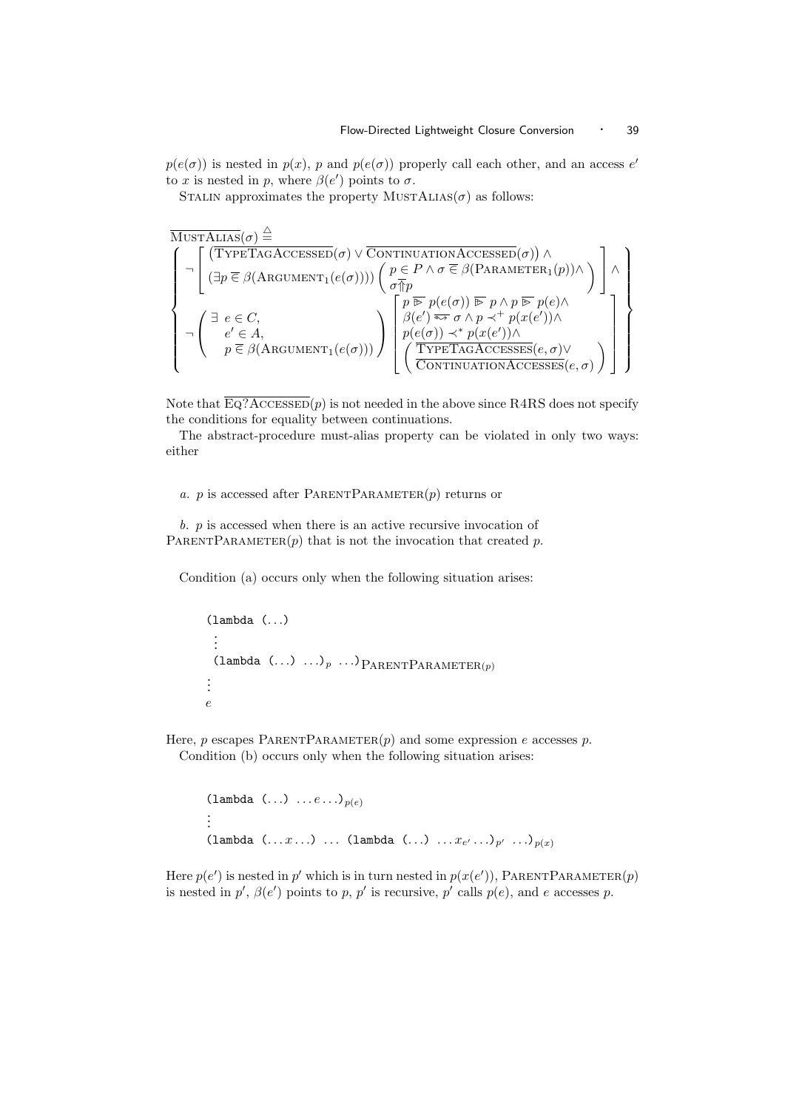$p(e(\sigma))$  is nested in  $p(x)$ , p and  $p(e(\sigma))$  properly call each other, and an access e' to x is nested in p, where  $\beta(e')$  points to  $\sigma$ .

STALIN approximates the property MUSTALIAS( $\sigma$ ) as follows:

$$
\left\{\begin{array}{l} \neg\left[\begin{array}{c}(\mathsf{TYPETAGACESSED}(\sigma)\vee\mathsf{\overline{CONTINUATIONACESSED}}(\sigma))\wedge\\\neg\left[(\mathsf{TYPETAGACESSED}(\sigma)\vee\mathsf{\overline{CONTINUATIONACESSED}}(\sigma))\wedge\\\neg\left[(\exists p\in\beta(\mathsf{ARGUMENT}_1(e(\sigma))))\left(\begin{array}{c}p\in P\wedge\sigma\in\beta(\mathsf{PARAMETER}_1(p))\wedge\\\sigma\uparrow p\\\neg\left(\begin{array}{c}\exists\;e\in C,\\e'\in A,\\p\in\beta(\mathsf{ARGUMENT}_1(e(\sigma)))\end{array}\right)\end{array}\right)\begin{array}{l}\right\}\right\}\wedge\\\neg\left\{\begin{array}{c}\neg\left[\begin{array}{c}\neg\left(\exists\;p\in C,\\p\in\beta\right)\wedge\sigma\Rightarrow\sigma\wedge p\rightarrow\tau\end{array}\right]\wedge\\\neg\left(\begin{array}{c}\exists\;e\in C,\\e'\in A,\\p\in\beta(\mathsf{ARGUMENT}_1(e(\sigma)))\end{array}\right)\end{array}\right)\end{array}\right\}\n\right\}
$$

Note that  $\overline{\mathrm{Eq?}\mathrm{AccessED}}(p)$  is not needed in the above since R4RS does not specify the conditions for equality between continuations.

The abstract-procedure must-alias property can be violated in only two ways: either

#### a. p is accessed after PARENTPARAMETER $(p)$  returns or

 $b.$   $p$  is accessed when there is an active recursive invocation of PARENTPARAMETER $(p)$  that is not the invocation that created p.

Condition (a) occurs only when the following situation arises:

```
(lambda (. . .)
  .
  .
  .
  (lambda \ldots) \ldots)p \ldots)P_{ARENT}P_{ARAMETER(p)}.
.
.
e
```
Here, p escapes PARENTPARAMETER $(p)$  and some expression e accesses p. Condition (b) occurs only when the following situation arises:

```
(lambda (\ldots) \ldots e \ldots)<sub>p(e)</sub>
.
.
.
(lambda (\ldots x \ldots) \ldots (lambda (\ldots) \ldots x_{e'} \ldots)_{p'} \ldots)_{p(x)}
```
Here  $p(e')$  is nested in p' which is in turn nested in  $p(x(e'))$ , PARENTPARAMETER(p) is nested in p',  $\beta(e')$  points to p, p' is recursive, p' calls  $p(e)$ , and e accesses p.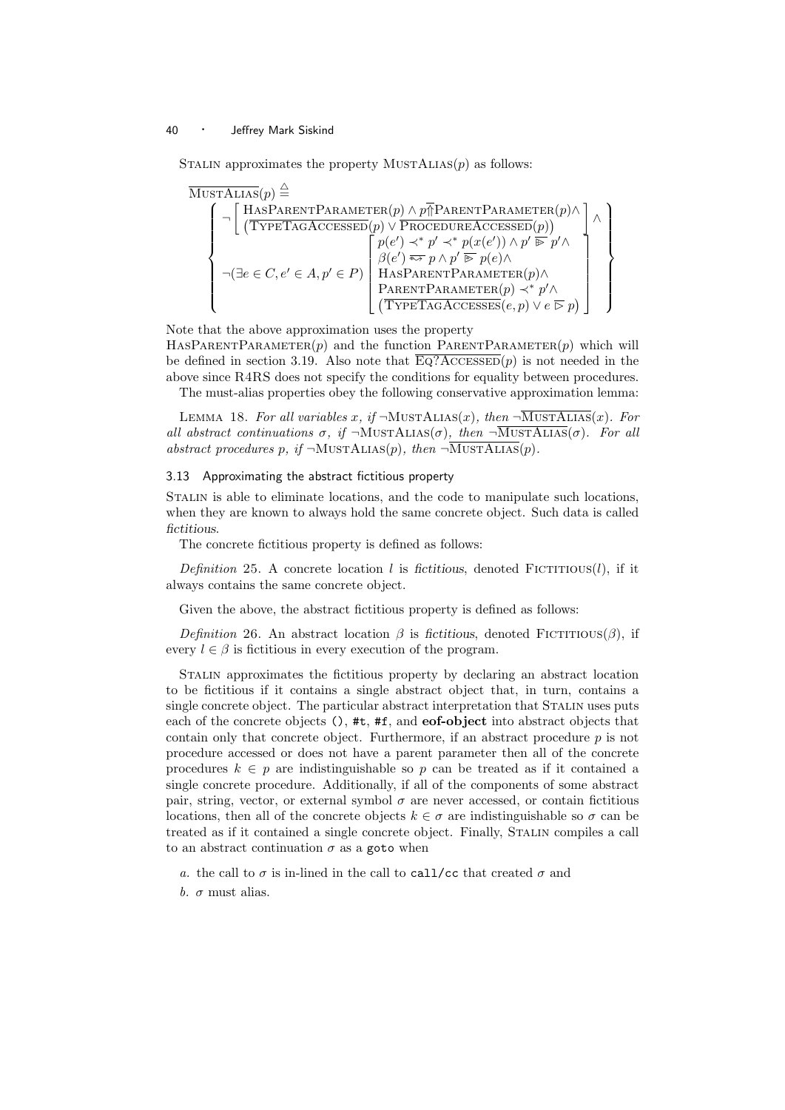STALIN approximates the property  $MUSTALIAS(p)$  as follows:

$$
\left\{\begin{array}{c}\n\bigcap \left[\begin{array}{c}\n\text{HasParentParametre}(p) \land p \overline{\uparrow} \text{ParentParametre}(p) \land \\
\hline\n\end{array}\right] \land \left[\begin{array}{c}\n\bigcap \left[\begin{array}{c}\n\text{HasParentParametre}(p) \land p \overline{\uparrow} \text{ParentParametre}(p) \land \\
\hline\n\end{array}\right] \land \\
\hline\n\end{array}\right] \land \left\{\begin{array}{c}\n\bigcap \left[\begin{array}{c}\n\text{GPETAGAccessED}(p) \lor \text{PROCEDUREAccessED}(p)\n\end{array}\right] \land \\
\hline\n\bigcap \left[\begin{array}{c}\n\text{G}e' \land \text{G}e' \land \text{G}e' \land \text{G}e' \land \text{G}e' \land \text{G}e' \land \text{G}e' \land \text{G}e' \land \text{G}e' \land \text{G}e' \land \text{G}e' \land \text{G}e' \land \text{G}e' \land \text{G}e' \land \text{G}e' \land \text{G}e' \land \text{G}e' \land \text{G}e' \land \text{G}e' \land \text{G}e' \land \text{G}e' \land \text{G}e' \land \text{G}e' \land \text{G}e' \land \text{G}e' \land \text{G}e' \land \text{G}e' \land \text{G}e' \land \text{G}e' \land \text{G}e' \land \text{G}e' \land \text{G}e' \land \text{G}e' \land \text{G}e' \land \text{G}e' \land \text{G}e' \land \text{G}e' \land \text{G}e' \land \text{G}e' \land \text{G}e' \land \text{G}e' \land \text{G}e' \land \text{G}e' \land \text{G}e' \land \text{G}e' \land \text{G}e' \land \text{G}e' \land \text{G}e' \land \text{G}e' \land \text{G}e' \land \text{G}e' \land \text{G}e' \land \text{G}e' \land \text{G}e' \land \text{G}e' \land \text{G}e' \land \text{G}e' \land \text{G}e' \land
$$

Note that the above approximation uses the property  $HASPARENTPARAMETER(p)$  and the function PARENTPARAMETER $(p)$  which will be defined in section 3.19. Also note that  $\overline{Eq?ACCESSED}(p)$  is not needed in the above since R4RS does not specify the conditions for equality between procedures.

The must-alias properties obey the following conservative approximation lemma:

LEMMA 18. For all variables x, if  $\neg$ MUSTALIAS(x), then  $\neg$ MUSTALIAS(x). For all abstract continuations  $\sigma$ , if  $\neg$ MustALIAS( $\sigma$ ), then  $\neg$ MustALIAS( $\sigma$ ). For all abstract procedures p, if  $\neg$ MUSTALIAS(p), then  $\neg$ MUSTALIAS(p).

#### 3.13 Approximating the abstract fictitious property

Stalin is able to eliminate locations, and the code to manipulate such locations, when they are known to always hold the same concrete object. Such data is called fictitious.

The concrete fictitious property is defined as follows:

Definition 25. A concrete location l is fictitious, denoted FICTITIOUS(l), if it always contains the same concrete object.

Given the above, the abstract fictitious property is defined as follows:

Definition 26. An abstract location  $\beta$  is fictitious, denoted FICTITIOUS( $\beta$ ), if every  $l \in \beta$  is fictitious in every execution of the program.

Stalin approximates the fictitious property by declaring an abstract location to be fictitious if it contains a single abstract object that, in turn, contains a single concrete object. The particular abstract interpretation that STALIN uses puts each of the concrete objects  $()$ , #t, #f, and **eof-object** into abstract objects that contain only that concrete object. Furthermore, if an abstract procedure p is not procedure accessed or does not have a parent parameter then all of the concrete procedures  $k \in p$  are indistinguishable so p can be treated as if it contained a single concrete procedure. Additionally, if all of the components of some abstract pair, string, vector, or external symbol  $\sigma$  are never accessed, or contain fictitious locations, then all of the concrete objects  $k \in \sigma$  are indistinguishable so  $\sigma$  can be treated as if it contained a single concrete object. Finally, Stalin compiles a call to an abstract continuation  $\sigma$  as a goto when

a. the call to  $\sigma$  is in-lined in the call to call/cc that created  $\sigma$  and

b.  $\sigma$  must alias.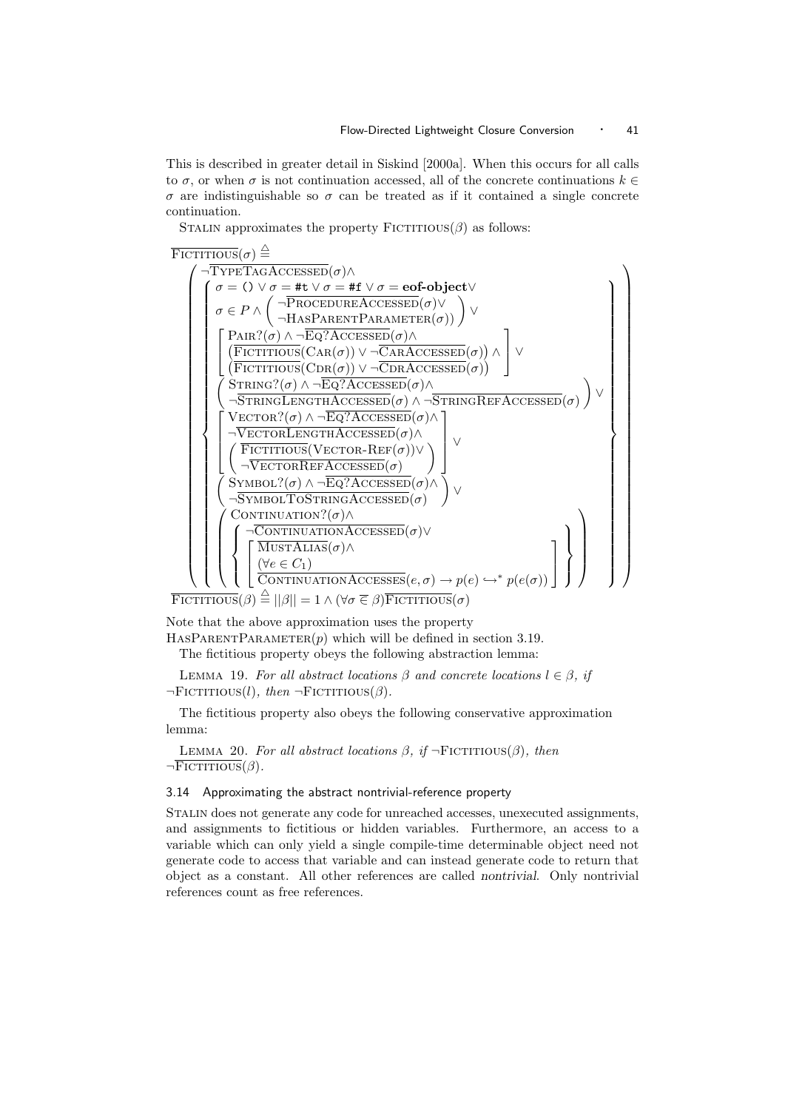This is described in greater detail in Siskind [2000a]. When this occurs for all calls to  $\sigma$ , or when  $\sigma$  is not continuation accessed, all of the concrete continuations  $k \in$ σ are indistinguishable so σ can be treated as if it contained a single concrete continuation.

STALIN approximates the property  $F\text{ICTITIOUS}(\beta)$  as follows:



Note that the above approximation uses the property HASPARENTPARAMETER $(p)$  which will be defined in section 3.19.

The fictitious property obeys the following abstraction lemma:

LEMMA 19. For all abstract locations  $\beta$  and concrete locations  $l \in \beta$ , if  $\neg$ FICTITIOUS(l), then  $\neg$ FICTITIOUS( $\beta$ ).

The fictitious property also obeys the following conservative approximation lemma:

LEMMA 20. For all abstract locations  $\beta$ , if  $\neg$ FICTITIOUS( $\beta$ ), then  $\neg$ Fictitious( $\beta$ ).

#### 3.14 Approximating the abstract nontrivial-reference property

Stalin does not generate any code for unreached accesses, unexecuted assignments, and assignments to fictitious or hidden variables. Furthermore, an access to a variable which can only yield a single compile-time determinable object need not generate code to access that variable and can instead generate code to return that object as a constant. All other references are called nontrivial. Only nontrivial references count as free references.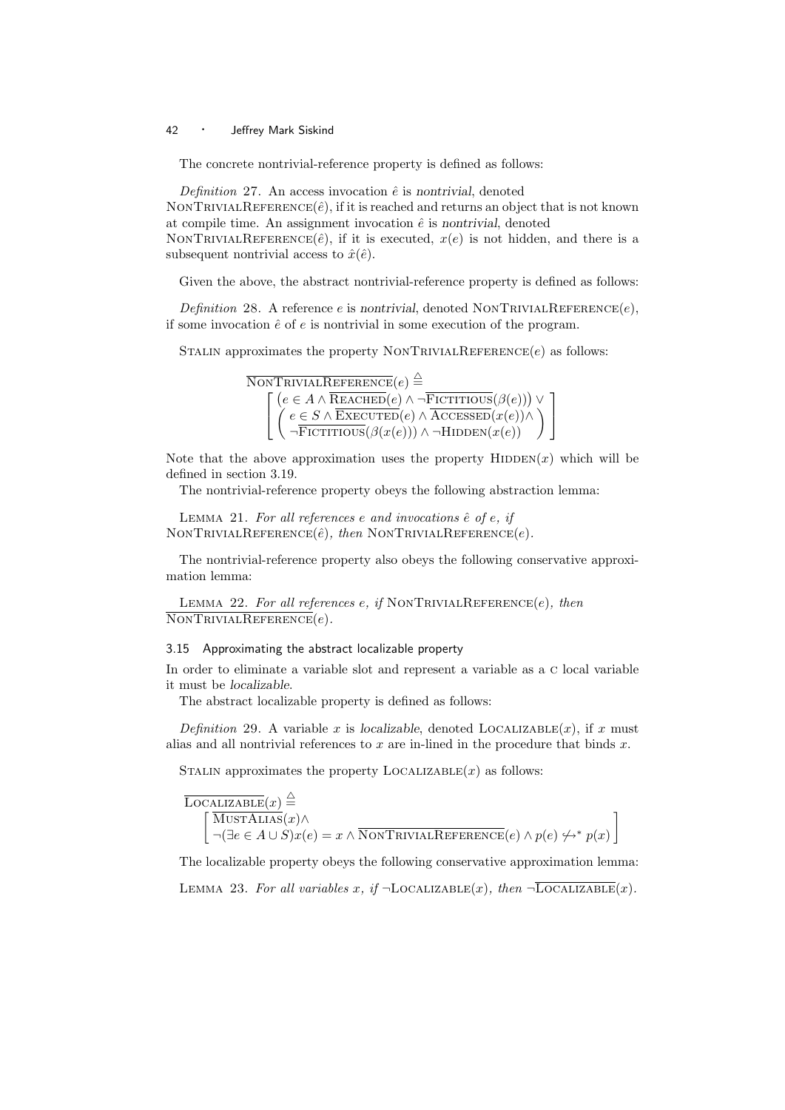The concrete nontrivial-reference property is defined as follows:

Definition 27. An access invocation  $\hat{e}$  is nontrivial, denoted NONTRIVIALREFERENCE $(\hat{e})$ , if it is reached and returns an object that is not known at compile time. An assignment invocation  $\hat{e}$  is nontrivial, denoted NONTRIVIALREFERENCE( $\hat{e}$ ), if it is executed,  $x(e)$  is not hidden, and there is a subsequent nontrivial access to  $\hat{x}(\hat{e})$ .

Given the above, the abstract nontrivial-reference property is defined as follows:

Definition 28. A reference e is nontrivial, denoted NONTRIVIALREFERENCE $(e)$ , if some invocation  $\hat{e}$  of  $e$  is nontrivial in some execution of the program.

STALIN approximates the property NONTRIVIALREFERENCE $(e)$  as follows:



Note that the above approximation uses the property  $HIDDEN(x)$  which will be defined in section 3.19.

The nontrivial-reference property obeys the following abstraction lemma:

LEMMA 21. For all references e and invocations  $\hat{e}$  of e, if NONTRIVIALREFERENCE $(\hat{e})$ , then NONTRIVIALREFERENCE $(e)$ .

The nontrivial-reference property also obeys the following conservative approximation lemma:

LEMMA 22. For all references e, if NONTRIVIALREFERENCE $(e)$ , then  $\overline{\text{NONTRIVIALREFERENCES}}(e)$ .

#### 3.15 Approximating the abstract localizable property

In order to eliminate a variable slot and represent a variable as a c local variable it must be localizable.

The abstract localizable property is defined as follows:

Definition 29. A variable x is localizable, denoted LOCALIZABLE $(x)$ , if x must alias and all nontrivial references to  $x$  are in-lined in the procedure that binds  $x$ .

STALIN approximates the property  $LocALIZABLE(x)$  as follows:

 $\overline{\text{Localizable}}(x) \stackrel{\triangle}{=}$  $\lceil$ MustAlias $(x)$ ∧  $\neg(\exists e \in A \cup S)x(e) = x \land \overline{\text{NonTRIVIALREFERENCES}}(e) \land p(e) \nleftrightarrow^* p(x)$ 1

The localizable property obeys the following conservative approximation lemma:

LEMMA 23. For all variables x, if  $\neg$ LOCALIZABLE $(x)$ , then  $\neg$ LOCALIZABLE $(x)$ .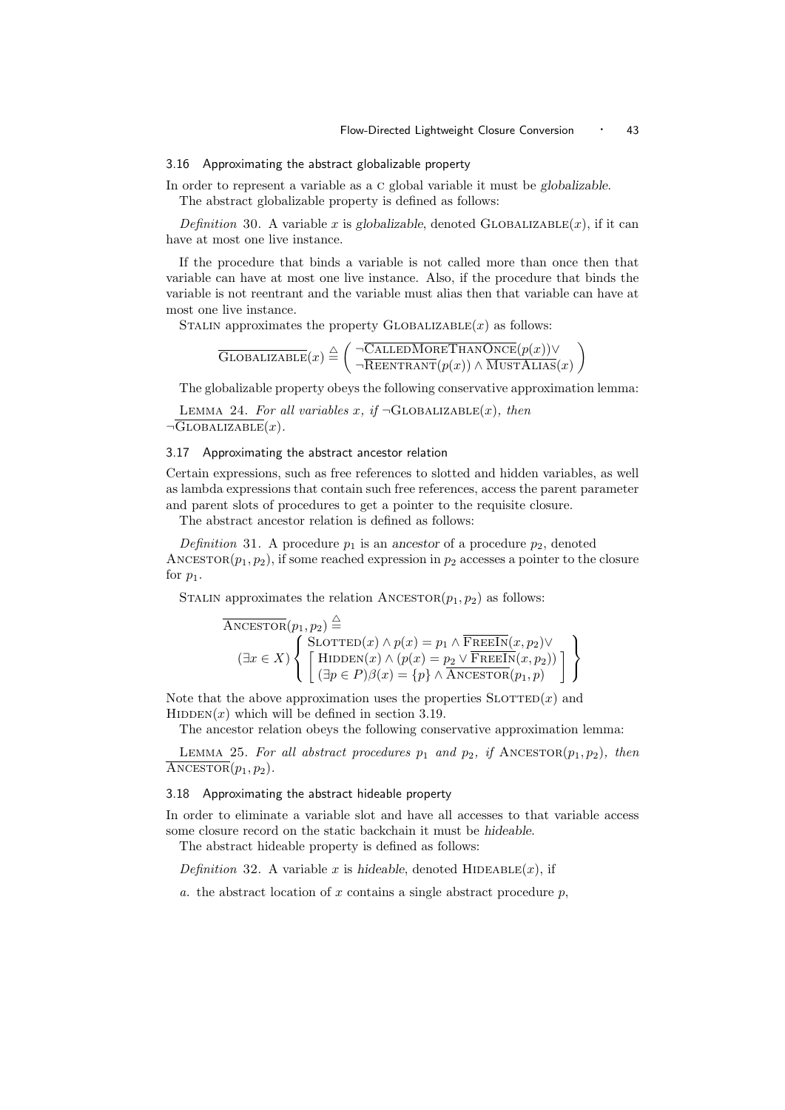#### 3.16 Approximating the abstract globalizable property

In order to represent a variable as a c global variable it must be globalizable. The abstract globalizable property is defined as follows:

Definition 30. A variable x is globalizable, denoted GLOBALIZABLE $(x)$ , if it can have at most one live instance.

If the procedure that binds a variable is not called more than once then that variable can have at most one live instance. Also, if the procedure that binds the variable is not reentrant and the variable must alias then that variable can have at most one live instance.

STALIN approximates the property  $GLOBALIZABLE(x)$  as follows:

$$
\overline{\text{Globalizable}}(x) \stackrel{\triangle}{=} \left( \begin{array}{c} \neg \overline{\text{CalleDMoreThanOnce}}(p(x)) \vee \\ \neg \overline{\text{Reenrranh}(p(x))} \wedge \overline{\text{MustAlas}}(x) \end{array} \right)
$$

The globalizable property obeys the following conservative approximation lemma:

LEMMA 24. For all variables x, if  $\neg$ GLOBALIZABLE $(x)$ , then  $\neg$ GLOBALIZABLE $(x)$ .

### 3.17 Approximating the abstract ancestor relation

Certain expressions, such as free references to slotted and hidden variables, as well as lambda expressions that contain such free references, access the parent parameter and parent slots of procedures to get a pointer to the requisite closure.

The abstract ancestor relation is defined as follows:

Definition 31. A procedure  $p_1$  is an ancestor of a procedure  $p_2$ , denoted ANCESTOR $(p_1, p_2)$ , if some reached expression in  $p_2$  accesses a pointer to the closure for  $p_1$ .

STALIN approximates the relation  $\text{ANCESTOR}(p_1, p_2)$  as follows:

$$
\overline{\text{ANCESTOR}}(p_1, p_2) \stackrel{\triangle}{=} \left\{ \begin{array}{l} \text{SLOTTED}(x) \land p(x) = p_1 \land \overline{\text{FREEIn}}(x, p_2) \lor \\ \text{HIDDEN}(x) \land (p(x) = p_2 \lor \overline{\text{FREEIn}}(x, p_2)) \\ \left( \exists p \in P \right) \beta(x) = \{p\} \land \overline{\text{ANCESTOR}}(p_1, p) \end{array} \right\}
$$

Note that the above approximation uses the properties  $\text{SLOTTED}(x)$  and  $HIDDEN(x)$  which will be defined in section 3.19.

The ancestor relation obeys the following conservative approximation lemma:

LEMMA 25. For all abstract procedures  $p_1$  and  $p_2$ , if ANCESTOR $(p_1, p_2)$ , then  $\overline{\text{ANCESTOR}}(p_1, p_2).$ 

#### 3.18 Approximating the abstract hideable property

In order to eliminate a variable slot and have all accesses to that variable access some closure record on the static backchain it must be hideable.

The abstract hideable property is defined as follows:

Definition 32. A variable x is hideable, denoted HIDEABLE $(x)$ , if

a. the abstract location of x contains a single abstract procedure  $p$ ,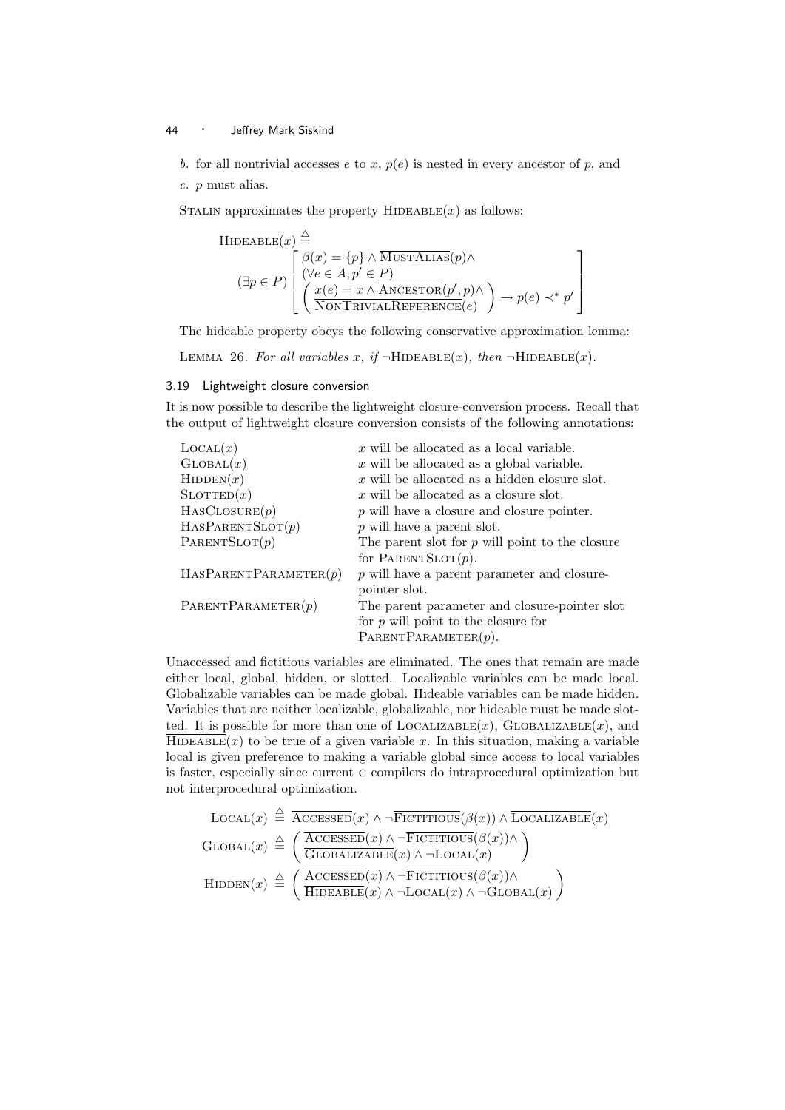b. for all nontrivial accesses e to x,  $p(e)$  is nested in every ancestor of p, and c. p must alias.

STALIN approximates the property  $HIDEABLE(x)$  as follows:

$$
\overline{\text{HIDEABLE}}(x) \stackrel{\triangle}{=} \left\{ \begin{aligned} & \beta(x) = \{p\} \land \overline{\text{MUSTALIAS}}(p) \land \\ & (\exists p \in P) \left[ \begin{array}{l} & \beta(x) = \{p\} \land \overline{\text{MUSTALIAS}}(p) \land \\ & (\forall e \in A, p' \in P) \\ & \left( \begin{array}{l} & x(e) = x \land \overline{\text{ANCESTOR}}(p', p) \land \\ \overline{\text{NONTRIVIALREFERENCE}}(e) \end{array} \right) \rightarrow p(e) \prec^* p' \end{array} \right\}
$$

The hideable property obeys the following conservative approximation lemma:

LEMMA 26. For all variables x, if  $\neg$ HIDEABLE(x), then  $\neg$ HIDEABLE(x).

#### 3.19 Lightweight closure conversion

It is now possible to describe the lightweight closure-conversion process. Recall that the output of lightweight closure conversion consists of the following annotations:

| $\text{Local}(x)$     | $x$ will be allocated as a local variable.        |
|-----------------------|---------------------------------------------------|
| GLOBAL(x)             | $x$ will be allocated as a global variable.       |
| HIDDEN(x)             | $x$ will be allocated as a hidden closure slot.   |
| $\text{SLOTTED}(x)$   | $x$ will be allocated as a closure slot.          |
| HASCLOSURE(p)         | $p$ will have a closure and closure pointer.      |
| HASPARENTSLOT(p)      | $p$ will have a parent slot.                      |
| PARENTSLOT(p)         | The parent slot for $p$ will point to the closure |
|                       | for PARENTSLOT $(p)$ .                            |
| HASPARENTPARAMETER(p) | $p$ will have a parent parameter and closure-     |
|                       | pointer slot.                                     |
| PARENTPARAMETER(p)    | The parent parameter and closure-pointer slot     |
|                       | for $p$ will point to the closure for             |
|                       | PARENTPARAMETER $(p)$ .                           |
|                       |                                                   |

Unaccessed and fictitious variables are eliminated. The ones that remain are made either local, global, hidden, or slotted. Localizable variables can be made local. Globalizable variables can be made global. Hideable variables can be made hidden. Variables that are neither localizable, globalizable, nor hideable must be made slotted. It is possible for more than one of  $\overline{\text{LocalIZABLE}}(x)$ ,  $\overline{\text{GlobalIZABLE}}(x)$ , and  $\overline{\text{HIDEABLE}}(x)$  to be true of a given variable x. In this situation, making a variable local is given preference to making a variable global since access to local variables is faster, especially since current c compilers do intraprocedural optimization but not interprocedural optimization.

$$
LocAL(x) \triangleq \overline{ACESSED}(x) \land \neg \overline{FICTITIOUS}(\beta(x)) \land \overline{LocALIZABLE}(x)
$$
  
\n
$$
GLOBAL(x) \triangleq \left( \overline{ACCESSED}(x) \land \neg \overline{FICTITIOUS}(\beta(x)) \land \right)
$$
  
\n
$$
HIDDEN(x) \triangleq \left( \overline{ACCESSED}(x) \land \neg \overline{FICTITIOUS}(\beta(x)) \land \right)
$$
  
\n
$$
HIDDEN(x) \triangleq \left( \overline{HIDEABLE}(x) \land \neg \overline{LocAL}(x) \land \neg \overline{GLOBAL}(x) \right)
$$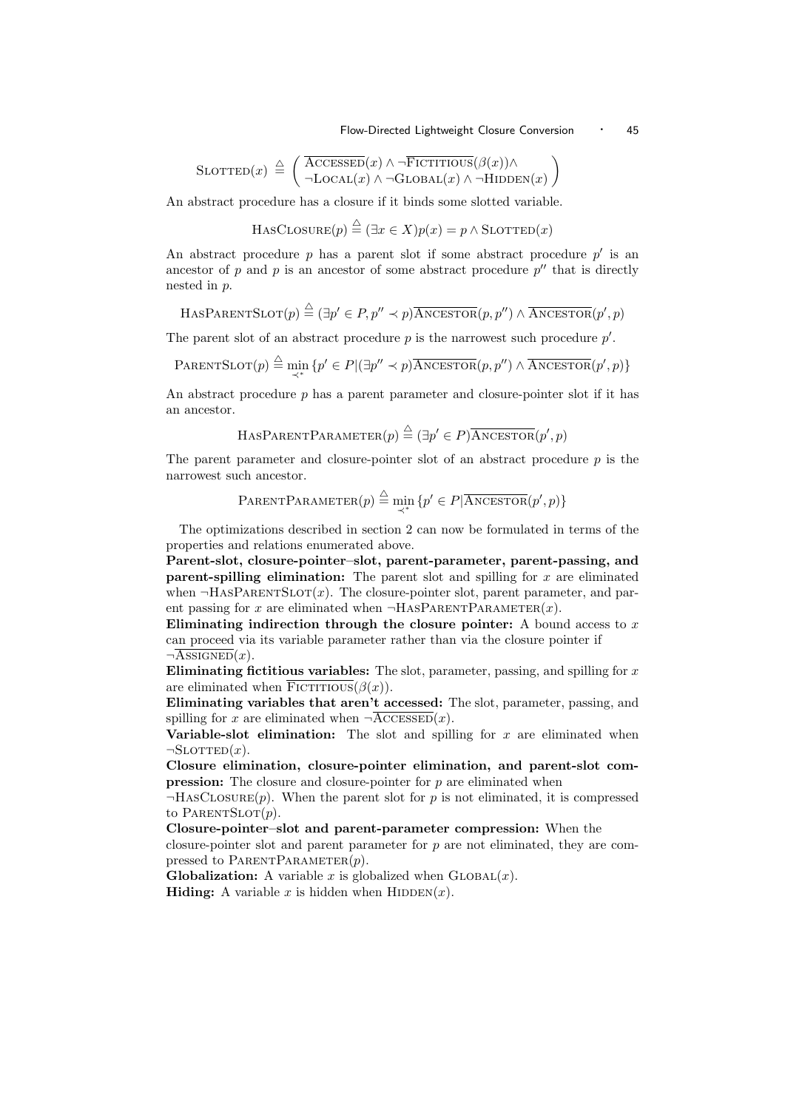Flow-Directed Lightweight Closure Conversion · 45

$$
SLOTTED(x) \triangleq \left( \frac{\overline{ACCESSED}(x) \land \neg \overline{FICTITIOUS}(\beta(x)) \land}{\neg \text{LOCAL}(x) \land \neg \text{GLOBAL}(x) \land \neg \text{HIDDEN}(x)} \right)
$$

An abstract procedure has a closure if it binds some slotted variable.

$$
HasCLOSURE(p) \stackrel{\triangle}{=} (\exists x \in X)p(x) = p \land SLOTTED(x)
$$

An abstract procedure  $p$  has a parent slot if some abstract procedure  $p'$  is an ancestor of p and p is an ancestor of some abstract procedure  $p''$  that is directly nested in p.

$$
\mathrm{HasPARENTSLOT}(p) \stackrel{\triangle}{=} (\exists p'\in P, p'' \prec p) \overline{\mathrm{ANCESTOR}}(p, p'') \land \overline{\mathrm{ANCESTOR}}(p', p)
$$

The parent slot of an abstract procedure  $p$  is the narrowest such procedure  $p'$ .

$$
\text{PARENTSLOT}(p) \stackrel{\triangle}{=} \min_{\prec^*} \{ p' \in P | (\exists p'' \prec p) \overline{\text{ANCESTOR}}(p, p'') \land \overline{\text{ANCESTOR}}(p', p) \}
$$

An abstract procedure  $p$  has a parent parameter and closure-pointer slot if it has an ancestor.

HASPARENTPARAMETER $(p) \stackrel{\triangle}{=} (\exists p' \in P) \overline{\text{ANCESTOR}}(p', p)$ 

The parent parameter and closure-pointer slot of an abstract procedure  $p$  is the narrowest such ancestor.

$$
\text{PARENTPARAMETER}(p) \stackrel{\triangle}{=} \min_{\prec^*} \{p' \in P | \overline{\text{ANGESTOR}}(p', p)\}
$$

The optimizations described in section 2 can now be formulated in terms of the properties and relations enumerated above.

Parent-slot, closure-pointer–slot, parent-parameter, parent-passing, and **parent-spilling elimination:** The parent slot and spilling for  $x$  are eliminated when  $\neg$ HASPARENTSLOT $(x)$ . The closure-pointer slot, parent parameter, and parent passing for x are eliminated when  $\neg$ HASPARENTPARAMETER $(x)$ .

Eliminating indirection through the closure pointer: A bound access to  $x$ can proceed via its variable parameter rather than via the closure pointer if  $\neg \overline{\text{ASSIGNED}}(x)$ .

Eliminating fictitious variables: The slot, parameter, passing, and spilling for  $x$ are eliminated when  $\overline{\text{Fictitious}}(\beta(x)).$ 

Eliminating variables that aren't accessed: The slot, parameter, passing, and spilling for x are eliminated when  $\neg \overline{\text{ACCESSED}}(x)$ .

Variable-slot elimination: The slot and spilling for  $x$  are eliminated when  $\neg$ SLOTTED $(x)$ .

Closure elimination, closure-pointer elimination, and parent-slot com**pression:** The closure and closure-pointer for  $p$  are eliminated when

 $\neg$ HASCLOSURE $(p)$ . When the parent slot for p is not eliminated, it is compressed to PARENTSLOT $(p)$ .

Closure-pointer–slot and parent-parameter compression: When the

closure-pointer slot and parent parameter for p are not eliminated, they are compressed to PARENTPARAMETER $(p)$ .

**Globalization:** A variable x is globalized when  $GLOBAL(x)$ . **Hiding:** A variable x is hidden when  $HIDDEN(x)$ .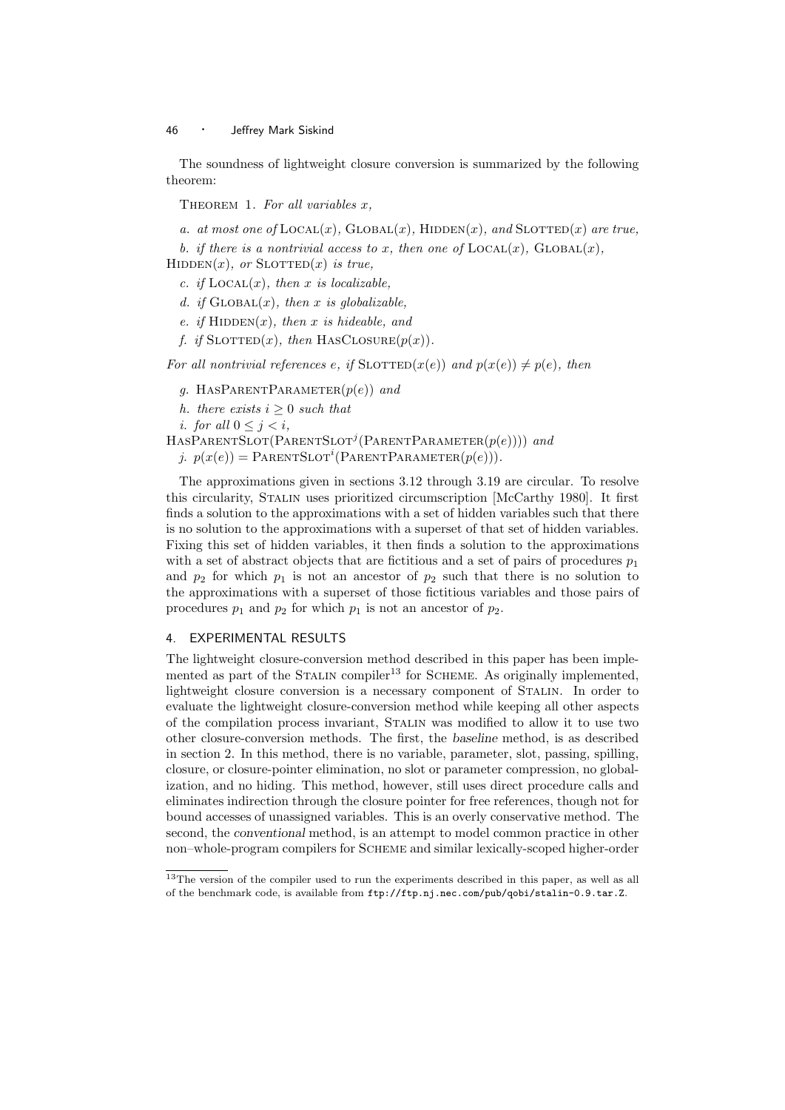The soundness of lightweight closure conversion is summarized by the following theorem:

THEOREM 1. For all variables  $x$ ,

a. at most one of  $\text{Local}(x)$ ,  $\text{Global}(x)$ ,  $\text{HIDDEN}(x)$ , and  $\text{SLOTTED}(x)$  are true,

b. if there is a nontrivial access to x, then one of  $\text{LOCAL}(x)$ ,  $\text{Global}(x)$ ,

 $HIDDEN(x)$ , or  $SLOTTED(x)$  is true,

c. if  $\text{Local}(x)$ , then x is localizable.

d. if  $GLOBAL(x)$ , then x is globalizable,

e. if  $HIDDEN(x)$ , then x is hideable, and

f. if  $\text{SLOTTED}(x)$ , then HASCLOSURE $(p(x))$ .

For all nontrivial references e, if  $SLOTTED(x(e))$  and  $p(x(e)) \neq p(e)$ , then

- g. HASPARENTPARAMETER $(p(e))$  and
- h. there exists  $i \geq 0$  such that
- i. for all  $0 \leq j \leq i$ ,

 $HASPARENTSLOT(PARENTSLOT^{j}(PARENTPARAMETER(p(e))))$  and

j.  $p(x(e)) = \text{PARENTSLOT}^i(\text{PARENTPARAMETER}(p(e))).$ 

The approximations given in sections 3.12 through 3.19 are circular. To resolve this circularity, Stalin uses prioritized circumscription [McCarthy 1980]. It first finds a solution to the approximations with a set of hidden variables such that there is no solution to the approximations with a superset of that set of hidden variables. Fixing this set of hidden variables, it then finds a solution to the approximations with a set of abstract objects that are fictitious and a set of pairs of procedures  $p_1$ and  $p_2$  for which  $p_1$  is not an ancestor of  $p_2$  such that there is no solution to the approximations with a superset of those fictitious variables and those pairs of procedures  $p_1$  and  $p_2$  for which  $p_1$  is not an ancestor of  $p_2$ .

#### 4. EXPERIMENTAL RESULTS

The lightweight closure-conversion method described in this paper has been implemented as part of the STALIN compiler<sup>13</sup> for SCHEME. As originally implemented, lightweight closure conversion is a necessary component of Stalin. In order to evaluate the lightweight closure-conversion method while keeping all other aspects of the compilation process invariant, Stalin was modified to allow it to use two other closure-conversion methods. The first, the baseline method, is as described in section 2. In this method, there is no variable, parameter, slot, passing, spilling, closure, or closure-pointer elimination, no slot or parameter compression, no globalization, and no hiding. This method, however, still uses direct procedure calls and eliminates indirection through the closure pointer for free references, though not for bound accesses of unassigned variables. This is an overly conservative method. The second, the conventional method, is an attempt to model common practice in other non–whole-program compilers for Scheme and similar lexically-scoped higher-order

<sup>&</sup>lt;sup>13</sup>The version of the compiler used to run the experiments described in this paper, as well as all of the benchmark code, is available from ftp://ftp.nj.nec.com/pub/qobi/stalin-0.9.tar.Z.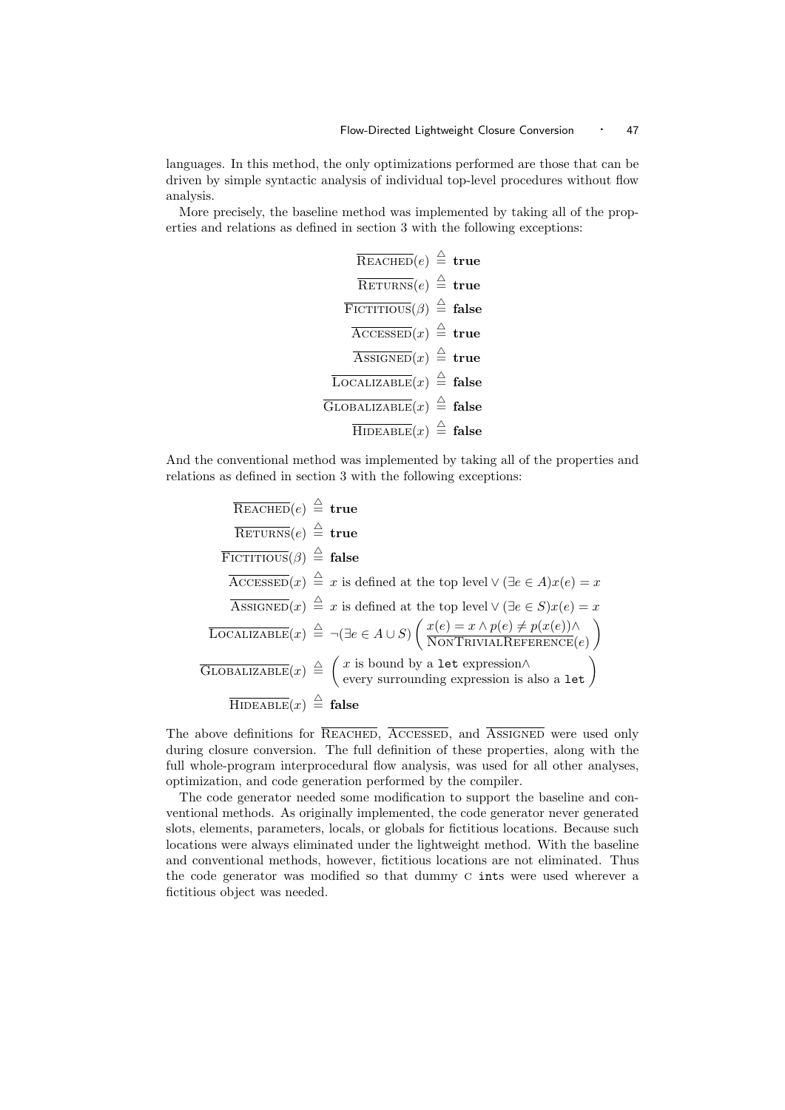languages. In this method, the only optimizations performed are those that can be driven by simple syntactic analysis of individual top-level procedures without flow analysis.

More precisely, the baseline method was implemented by taking all of the properties and relations as defined in section 3 with the following exceptions:

Reached(e) 4 = true Returns(e) 4 = true Fictitious(β) 4 = false Accessed(x) 4 = true Assigned(x) 4 = true Localizable(x) 4 = false Globalizable(x) 4 = false Hideable(x) 4 = false

And the conventional method was implemented by taking all of the properties and relations as defined in section 3 with the following exceptions:

REACHED
$$
(e)
$$
  $\stackrel{\triangle}{=}$  **true**  
\n**RETTITIOUS** $(\beta)$   $\stackrel{\triangle}{=}$  **false**  
\n**ACCESED** $(x)$   $\stackrel{\triangle}{=}$  **z** is defined at the top level ∨ ( $\exists e \in A$ ) $x(e) = x$   
\n**ASSGNED** $(x)$   $\stackrel{\triangle}{=}$  *x* is defined at the top level ∨ ( $\exists e \in S$ ) $x(e) = x$   
\n**LOCALIZABLE** $(x)$   $\stackrel{\triangle}{=}$   $\neg (\exists e \in A \cup S)$   $\left( \frac{x(e) = x \land p(e) \neq p(x(e)) \land}{\text{NONTRIVIALREFERENCE}(e)} \right)$   
\n**GLOBALIZABLE** $(x)$   $\stackrel{\triangle}{=}$   $\left( \begin{array}{c} x \text{ is bound by a let expression} \land \\ \text{every surrounding expression is also a let} \end{array} \right)$   
\n**HIDEABLE** $(x)$   $\stackrel{\triangle}{=}$  **false**

The above definitions for REACHED, ACCESSED, and ASSIGNED were used only during closure conversion. The full definition of these properties, along with the full whole-program interprocedural flow analysis, was used for all other analyses, optimization, and code generation performed by the compiler.

The code generator needed some modification to support the baseline and conventional methods. As originally implemented, the code generator never generated slots, elements, parameters, locals, or globals for fictitious locations. Because such locations were always eliminated under the lightweight method. With the baseline and conventional methods, however, fictitious locations are not eliminated. Thus the code generator was modified so that dummy c ints were used wherever a fictitious object was needed.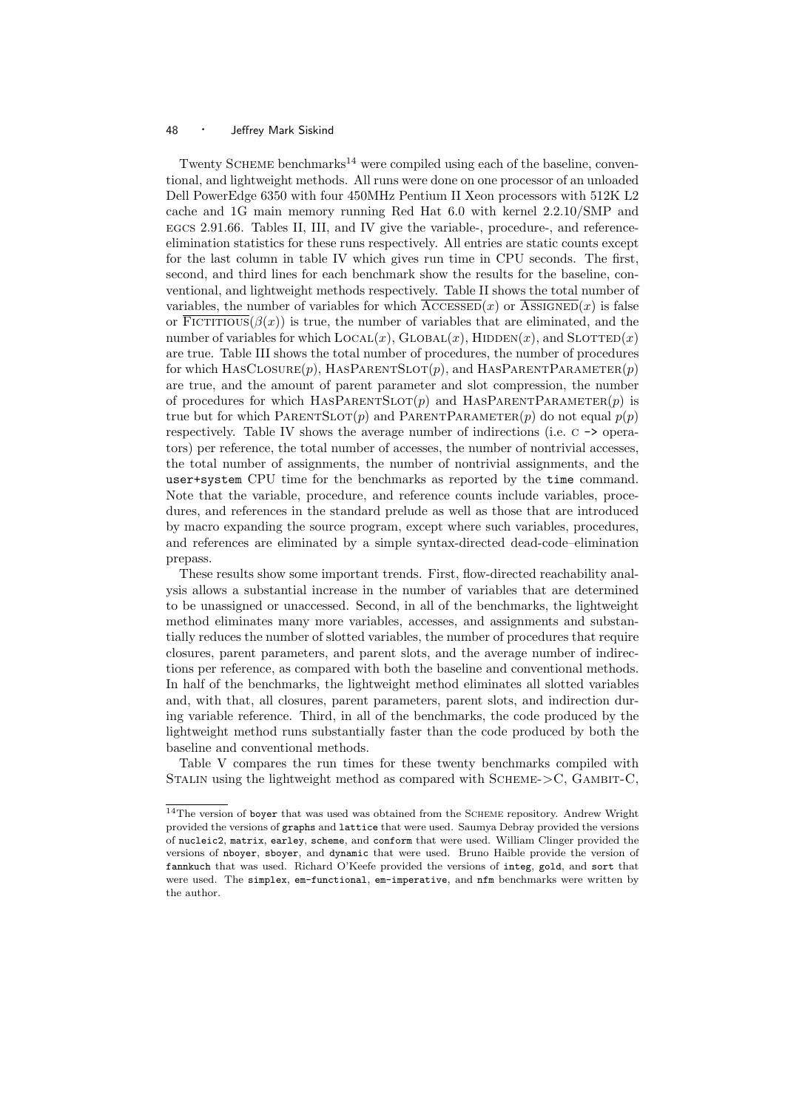Twenty SCHEME benchmarks<sup>14</sup> were compiled using each of the baseline, conventional, and lightweight methods. All runs were done on one processor of an unloaded Dell PowerEdge 6350 with four 450MHz Pentium II Xeon processors with 512K L2 cache and 1G main memory running Red Hat 6.0 with kernel 2.2.10/SMP and egcs 2.91.66. Tables II, III, and IV give the variable-, procedure-, and referenceelimination statistics for these runs respectively. All entries are static counts except for the last column in table IV which gives run time in CPU seconds. The first, second, and third lines for each benchmark show the results for the baseline, conventional, and lightweight methods respectively. Table II shows the total number of variables, the number of variables for which  $\text{AccessED}(x)$  or  $\text{ASSGNED}(x)$  is false or  $\overline{\text{Fictitious}}(\beta(x))$  is true, the number of variables that are eliminated, and the number of variables for which  $LocAL(x)$ ,  $GLOBAL(x)$ ,  $HIDDEN(x)$ , and  $SLOTTED(x)$ are true. Table III shows the total number of procedures, the number of procedures for which  $HASCLOSURE(p)$ ,  $HASPARENTSLOT(p)$ , and  $HASPARENTPARAMETER(p)$ are true, and the amount of parent parameter and slot compression, the number of procedures for which HASPARENTSLOT $(p)$  and HASPARENTPARAMETER $(p)$  is true but for which PARENTSLOT(p) and PARENTPARAMETER(p) do not equal  $p(p)$ respectively. Table IV shows the average number of indirections (i.e. c -> operators) per reference, the total number of accesses, the number of nontrivial accesses, the total number of assignments, the number of nontrivial assignments, and the user+system CPU time for the benchmarks as reported by the time command. Note that the variable, procedure, and reference counts include variables, procedures, and references in the standard prelude as well as those that are introduced by macro expanding the source program, except where such variables, procedures, and references are eliminated by a simple syntax-directed dead-code–elimination prepass.

These results show some important trends. First, flow-directed reachability analysis allows a substantial increase in the number of variables that are determined to be unassigned or unaccessed. Second, in all of the benchmarks, the lightweight method eliminates many more variables, accesses, and assignments and substantially reduces the number of slotted variables, the number of procedures that require closures, parent parameters, and parent slots, and the average number of indirections per reference, as compared with both the baseline and conventional methods. In half of the benchmarks, the lightweight method eliminates all slotted variables and, with that, all closures, parent parameters, parent slots, and indirection during variable reference. Third, in all of the benchmarks, the code produced by the lightweight method runs substantially faster than the code produced by both the baseline and conventional methods.

Table V compares the run times for these twenty benchmarks compiled with STALIN using the lightweight method as compared with SCHEME- $>$ C, GAMBIT-C,

 $14$ The version of boyer that was used was obtained from the SCHEME repository. Andrew Wright provided the versions of graphs and lattice that were used. Saumya Debray provided the versions of nucleic2, matrix, earley, scheme, and conform that were used. William Clinger provided the versions of nboyer, sboyer, and dynamic that were used. Bruno Haible provide the version of fannkuch that was used. Richard O'Keefe provided the versions of integ, gold, and sort that were used. The simplex, em-functional, em-imperative, and nfm benchmarks were written by the author.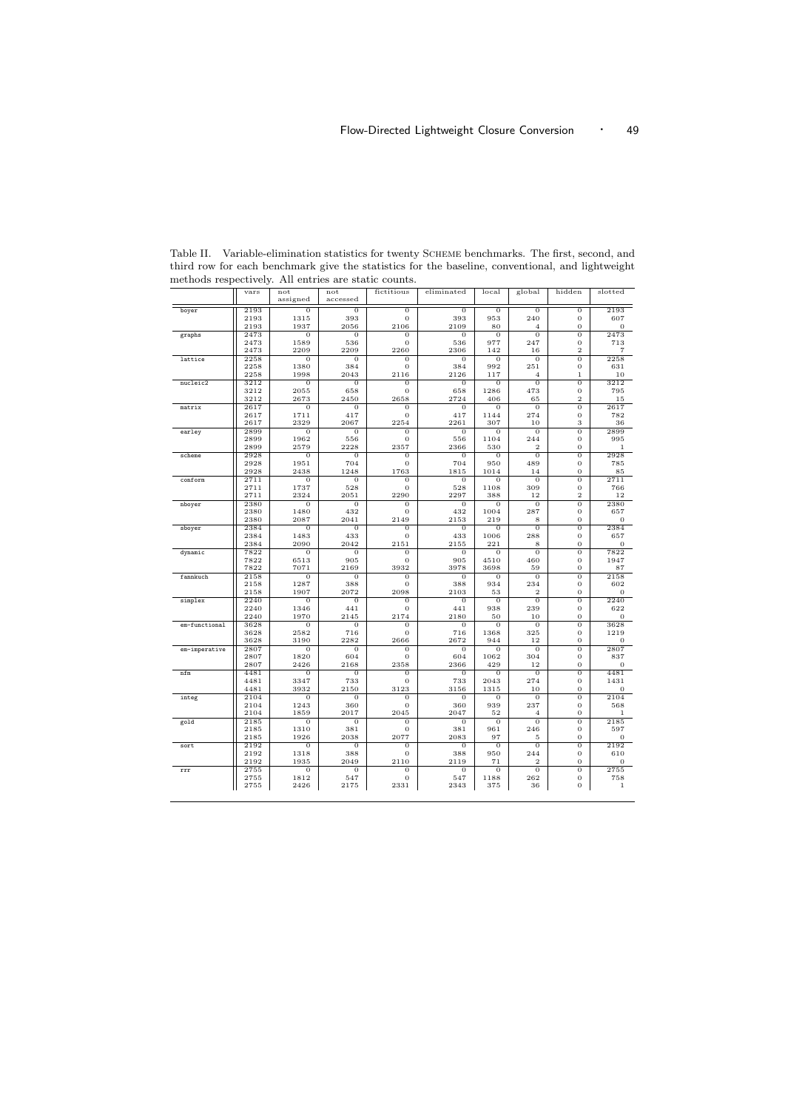|               | vars         | not                    | not                    | fictitious             | eliminated             | local                  | global                | hidden                        | slotted                |
|---------------|--------------|------------------------|------------------------|------------------------|------------------------|------------------------|-----------------------|-------------------------------|------------------------|
|               |              | assigned               | accessed               |                        |                        |                        |                       |                               |                        |
| boyer         | 2193         | $\sigma$               | $\overline{0}$         | $\overline{0}$         | $\overline{0}$         | $\overline{0}$         | $\overline{0}$        | $\overline{0}$                | 2193                   |
|               | 2193<br>2193 | 1315<br>1937           | 393<br>2056            | 0<br>2106              | 393<br>2109            | 953<br>80              | 240<br>$\overline{4}$ | $\mathbf{0}$<br>$\mathbf 0$   | 607<br>$\overline{0}$  |
| graphs        | 2473         | $\overline{0}$         | $\overline{0}$         | $\overline{0}$         | 0                      | $\overline{0}$         | $\overline{0}$        | $\overline{0}$                | 2473                   |
|               | 2473         | 1589                   | 536                    | 0                      | 536                    | 977                    | 247                   | 0                             | 713                    |
|               | 2473         | 2209                   | 2209                   | 2260                   | 2306                   | 142                    | 16                    | $\overline{2}$                | $\overline{7}$         |
| lattice       | 2258         | $\overline{0}$         | $\overline{0}$         | $\overline{0}$         | $\overline{0}$         | $\overline{0}$         | $\overline{0}$        | $\overline{0}$                | 2258                   |
|               | 2258         | 1380                   | 384                    | 0                      | 384                    | 992                    | 251                   | 0                             | 631                    |
|               | 2258         | 1998                   | 2043                   | 2116                   | 2126                   | 117                    | $\overline{4}$        | $\mathbf{1}$                  | 10                     |
| nucleic2      | 3212<br>3212 | $\theta$<br>2055       | $\theta$<br>658        | $\sigma$<br>0          | $\theta$<br>658        | $\overline{0}$<br>1286 | $\overline{0}$<br>473 | $\overline{0}$<br>0           | 3212<br>795            |
|               | 3212         | 2673                   | 2450                   | 2658                   | 2724                   | 406                    | 65                    | $\overline{\mathbf{2}}$       | 15                     |
| matrix        | 2617         | $\overline{0}$         | $\overline{0}$         | $\overline{0}$         | $\overline{0}$         | $\overline{0}$         | $\overline{0}$        | $\overline{0}$                | 2617                   |
|               | 2617         | 1711                   | 417                    | $\bf{0}$               | 417                    | 1144                   | 274                   | 0                             | 782                    |
|               | 2617         | 2329                   | 2067                   | 2254                   | 2261                   | 307                    | 10                    | 3                             | 36                     |
| earley        | 2899         | $\theta$               | $\overline{0}$         | $\overline{0}$         | $\overline{0}$         | $\overline{0}$         | $\overline{0}$        | 0                             | 2899                   |
|               | 2899<br>2899 | 1962<br>2579           | 556<br>2228            | 0<br>2357              | 556<br>2366            | 1104<br>530            | 244<br>$\overline{2}$ | 0<br>0                        | 995<br>1               |
| scheme        | 2928         | $\theta$               | $\theta$               | $\overline{0}$         | $\theta$               | $\overline{0}$         | $\overline{0}$        | 0                             | 2928                   |
|               | 2928         | 1951                   | 704                    | $\overline{0}$         | 704                    | 950                    | 489                   | 0                             | 785                    |
|               | 2928         | 2438                   | 1248                   | 1763                   | 1815                   | 1014                   | 14                    | 0                             | 85                     |
| conform       | 2711         | $\overline{0}$         | $\overline{0}$         | $\overline{0}$         | $\overline{0}$         | $\overline{0}$         | $\overline{0}$        | $\overline{0}$                | 2711                   |
|               | 2711<br>2711 | 1737<br>2324           | 528<br>2051            | $\overline{0}$<br>2290 | 528<br>2297            | 1108<br>388            | 309<br>12             | $\mathbf 0$<br>$\overline{2}$ | 766<br>12              |
| nboyer        | 2380         | $\overline{0}$         | $\overline{0}$         | $\overline{0}$         | $\overline{0}$         | $\overline{0}$         | $\overline{0}$        | $\overline{0}$                | 2380                   |
|               | 2380         | 1480                   | 432                    | $\overline{0}$         | 432                    | 1004                   | 287                   | 0                             | 657                    |
|               | 2380         | 2087                   | 2041                   | 2149                   | 2153                   | 219                    | 8                     | 0                             | $\mathbf{0}$           |
| sboyer        | 2384         | $\overline{0}$         | 0                      | 0                      | $\overline{0}$         | $\overline{0}$         | $\overline{0}$        | $\overline{0}$                | 2384                   |
|               | 2384<br>2384 | 1483                   | 433                    | 0                      | 433                    | 1006                   | 288                   | $\overline{0}$                | 657                    |
| dynamic       | 7822         | 2090<br>$\overline{0}$ | 2042<br>$\overline{0}$ | 2151<br>$\overline{0}$ | 2155<br>$\overline{0}$ | 221<br>$\overline{0}$  | 8<br>$\overline{0}$   | $\mathbf 0$<br>$\overline{0}$ | $\mathbf{0}$<br>7822   |
|               | 7822         | 6513                   | 905                    | $\overline{0}$         | 905                    | 4510                   | 460                   | $\overline{0}$                | 1947                   |
|               | 7822         | 7071                   | 2169                   | 3932                   | 3978                   | 3698                   | 59                    | 0                             | 87                     |
| fannkuch      | 2158         | $\sigma$               | $\sigma$               | 0                      | $\theta$               | $\mathbf{O}$           | $\theta$              | $\overline{0}$                | 2158                   |
|               | 2158<br>2158 | 1287<br>1907           | 388<br>2072            | $\overline{0}$<br>2098 | 388<br>2103            | 934<br>53              | 234<br>$\overline{2}$ | 0<br>0                        | 602<br>$\overline{0}$  |
| simplex       | 2240         | $\theta$               | $\theta$               | $\mathbf{O}$           | $\theta$               | $\Omega$               | $\theta$              | $\mathbf 0$                   | 2240                   |
|               | 2240         | 1346                   | 441                    | 0                      | 441                    | 938                    | 239                   | 0                             | 622                    |
|               | 2240         | 1970                   | 2145                   | 2174                   | 2180                   | 50                     | 10                    | 0                             | $\Omega$               |
| em-functional | 3628         | $\overline{0}$         | $\overline{0}$         | $\overline{0}$         | $\overline{0}$         | $\overline{0}$         | $\overline{0}$        | $\overline{0}$                | 3628                   |
|               | 3628         | 2582                   | 716                    | $\mathbf{O}$           | 716                    | 1368                   | 325                   | $\mathbf{0}$                  | 1219                   |
|               | 3628<br>2807 | 3190<br>$\overline{0}$ | 2282<br>$\overline{0}$ | 2666<br>$\overline{0}$ | 2672<br>$\overline{0}$ | 944<br>$\overline{0}$  | 12<br>$\overline{0}$  | $\mathbf 0$<br>$\overline{0}$ | $\overline{0}$<br>2807 |
| em-imperative | 2807         | 1820                   | 604                    | $\overline{0}$         | 604                    | 1062                   | 304                   | 0                             | 837                    |
|               | 2807         | 2426                   | 2168                   | 2358                   | 2366                   | 429                    | 12                    | $\overline{0}$                | $\overline{0}$         |
| nfm           | 4481         | $\theta$               | $\overline{0}$         | $\overline{0}$         | $\overline{0}$         | $\mathbf{O}$           | $\theta$              | $\overline{0}$                | 4481                   |
|               | 4481         | 3347                   | 733                    | 0                      | 733                    | 2043                   | 274                   | $\mathbf 0$                   | 1431                   |
|               | 4481         | 3932                   | 2150                   | 3123                   | 3156                   | 1315                   | 10                    | 0                             | $\mathbf{0}$           |
| integ         | 2104<br>2104 | $\sigma$<br>1243       | $\overline{0}$<br>360  | $\overline{0}$<br>0    | 0<br>360               | $\sigma$<br>939        | $\overline{0}$<br>237 | $\overline{0}$<br>0           | 2104<br>568            |
|               | 2104         | 1859                   | 2017                   | 2045                   | 2047                   | 52                     | $\overline{4}$        | 0                             | $\mathbf{1}$           |
| gold          | 2185         | $\overline{0}$         | $\overline{0}$         | $\overline{0}$         | $\overline{0}$         | $\overline{0}$         | $\overline{0}$        | $\overline{0}$                | 2185                   |
|               | 2185         | 1310                   | 381                    | 0                      | 381                    | 961                    | 246                   | 0                             | 597                    |
|               | 2185         | 1926                   | 2038                   | 2077                   | 2083                   | 97                     | 5                     | 0                             | $\mathbf{0}$           |
| sort          | 2192<br>2192 | 0<br>1318              | 0<br>388               | $\overline{0}$<br>0    | $\overline{0}$<br>388  | $\overline{0}$<br>950  | $\overline{0}$<br>244 | $\overline{0}$<br>0           | 2192<br>610            |
|               | 2192         | 1935                   | 2049                   | 2110                   | 2119                   | 71                     | $\overline{2}$        | 0                             | $\overline{0}$         |
| rrr           | 2755         | $\overline{0}$         | $\overline{0}$         | $\overline{0}$         | $\overline{0}$         | $\overline{0}$         | $\overline{0}$        | $\overline{0}$                | 2755                   |
|               | 2755         | 1812                   | 547                    | 0                      | 547                    | 1188                   | 262                   | 0                             | 758                    |
|               | 2755         | 2426                   | 2175                   | 2331                   | 2343                   | 375                    | 36                    | 0                             | $\mathbf{1}$           |

Table II. Variable-elimination statistics for twenty SCHEME benchmarks. The first, second, and third row for each benchmark give the statistics for the baseline, conventional, and lightweight methods respectively. All entries are static counts.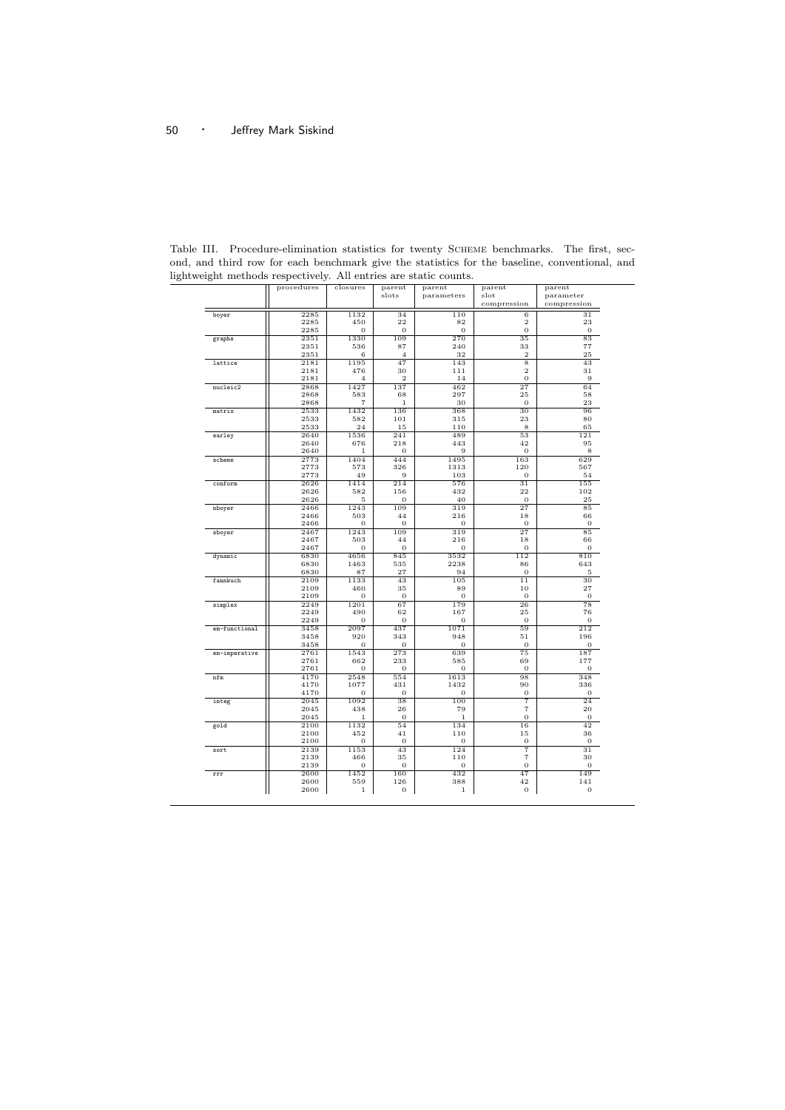|               | procedures   | closures       | parent                | parent       | parent                   | parent         |
|---------------|--------------|----------------|-----------------------|--------------|--------------------------|----------------|
|               |              |                | slots                 | parameters   | slot                     | parameter      |
|               |              |                |                       |              | compression              | compression    |
| boyer         | 2285         | 1132           | 34                    | 110          | 6                        | 31             |
|               | 2285         | 450            | 22                    | 82           | $\overline{2}$           | 23             |
|               | 2285         | 0              | $\overline{0}$        | 0            | $\bf{0}$                 | $\mathbf{0}$   |
| graphs        | 2351         | 1330           | 109                   | 270          | 35                       | 83             |
|               | 2351         | 536            | 87                    | 240          | 33                       | 77             |
|               | 2351         | 6              | $\overline{4}$        | 32           | $\overline{2}$           | 25             |
| lattice       | 2181         | 1195           | 47                    | 143          | 8                        | 43             |
|               | 2181         | 476            | 30                    | 111          | $\overline{2}$           | 31             |
|               | 2181         | $\overline{4}$ | $\overline{2}$        | 14           | 0                        | 9              |
| nucleic2      | 2868         | 1427           | 137                   | 462          | 27                       | 64             |
|               | 2868         | 583            | 68                    | 297          | 25                       | 58             |
|               | 2868         | $\overline{7}$ | $\mathbf{1}$          | 30           | $\overline{0}$           | 23             |
| matrix        | 2533         | 1432           | 136                   | 368          | 30                       | 96             |
|               | 2533         | 582            | 101                   | 315          | 23                       | 80             |
|               | 2533         | 24             | 15                    | 110          | 8                        | 65             |
| earley        | 2640         | 1536           | 241                   | 489          | 53                       | 121            |
|               | 2640         | 676            | 218                   | 443          | 42                       | 95             |
|               | 2640         | $\mathbf{1}$   | $\overline{0}$        | 9            | $\mathbf 0$              | 8              |
| scheme        | 2773         | 1404           | 444                   | 1495         | 163                      | 629            |
|               | 2773         | 573            | 326                   | 1313         | 120                      | 567            |
|               | 2773         | 49             | 9                     | 103          | $\overline{0}$           | 54             |
| conform       | 2626         | 1414           | 214                   | 576          | 31                       | 155            |
|               | 2626<br>2626 | 582<br>5       | 156<br>$\overline{0}$ | 432<br>40    | 22<br>$\mathbf 0$        | 102<br>25      |
|               |              | 1243           | 109                   | 319          | 27                       |                |
| nboyer        | 2466<br>2466 | 503            | 44                    | 216          | 18                       | 85<br>66       |
|               | 2466         | $\mathbf{0}$   | 0                     | $\mathbf{0}$ | 0                        | $\mathbf{0}$   |
|               | 2467         | 1243           | 109                   | 319          | 27                       | 85             |
| sboyer        | 2467         | 503            | 44                    | 216          | 18                       | 66             |
|               | 2467         | $\Omega$       | 0                     | 0            | 0                        | 0              |
| dynamic       | 6830         | 4656           | 845                   | 3532         | 112                      | 810            |
|               | 6830         | 1463           | 535                   | 2238         | 86                       | 643            |
|               | 6830         | 87             | 27                    | 94           | $\overline{0}$           | 5              |
| fannkuch      | 2109         | 1133           | 43                    | 105          | 11                       | 30             |
|               | 2109         | 460            | 35                    | 89           | 10                       | 27             |
|               | 2109         | $\overline{0}$ | $\overline{0}$        | $\theta$     | $\overline{0}$           | $\mathbf{O}$   |
| simplex       | 2249         | 1201           | 67                    | 179          | 26                       | 78             |
|               | 2249         | 490            | 62                    | 167          | 25                       | 76             |
|               | 2249         | 0              | $\overline{0}$        | $\theta$     | $\overline{0}$           | $\mathbf{O}$   |
| em-functional | 3458         | 2097           | 437                   | 1071         | 59                       | 212            |
|               | 3458         | 920            | 343                   | 948          | 51                       | 196            |
|               | 3458         | 0              | $\overline{0}$        | 0            | 0                        | 0              |
| em-imperative | 2761         | 1543           | 273                   | 639          | 75                       | 187            |
|               | 2761         | 662            | 233                   | 585          | 69                       | 177            |
|               | 2761         | 0              | 0                     | $\mathbf{0}$ | 0                        | 0              |
| nfm           | 4170         | 2548           | 554                   | 1613         | 98                       | 348            |
|               | 4170         | 1077           | 431                   | 1432         | 90                       | 336            |
|               | 4170         | 0              | 0                     | $\mathbf{0}$ | 0                        | $\mathbf{0}$   |
| integ         | 2045         | 1092           | 38                    | 100          | 7                        | 24             |
|               | 2045         | 438            | 26                    | 79           | 7                        | 20             |
|               | 2045         | 1              | $\theta$              | 1            | $\overline{0}$           | $\Omega$       |
| gold          | 2100         | 1132           | 54                    | 134          | 16                       | 42             |
|               | 2100         | 452            | 41                    | 110          | 15                       | 36             |
|               | 2100         | $\mathbf 0$    | $\mathbf{0}$          | $\mathbf{0}$ | 0                        | $\mathbf{0}$   |
| sort          | 2139         | 1153           | 43                    | 124          | 7                        | 31             |
|               | 2139         | 466            | 35                    | 110          | $\overline{\phantom{a}}$ | 30             |
|               | 2139         | $\overline{0}$ | $\overline{0}$        | $\theta$     | $\overline{0}$           | 0              |
| rrr           | 2600         | 1452           | 160                   | 432          | 47                       | 149            |
|               | 2600         | 559            | 126                   | 388          | 42                       | 141            |
|               | 2600         | $\mathbf 1$    | 0                     | $\,1$        | 0                        | $\overline{0}$ |

Table III. Procedure-elimination statistics for twenty Scheme benchmarks. The first, second, and third row for each benchmark give the statistics for the baseline, conventional, and lightweight methods respectively. All entries are static counts.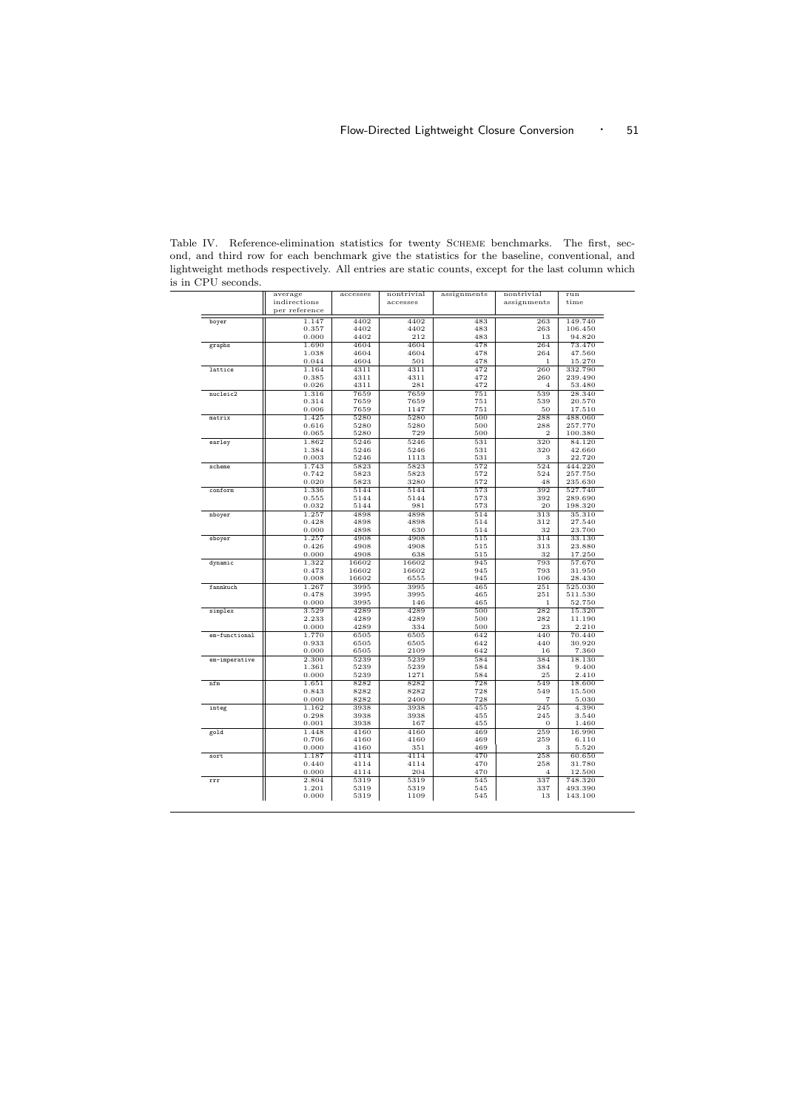|               | average        | accesses     | nontrivial   | assignments | nontrivial     | run                |
|---------------|----------------|--------------|--------------|-------------|----------------|--------------------|
|               | indirections   |              | accesses     |             | assignments    | time               |
|               | per reference  |              |              |             |                |                    |
| boyer         | 1.147          | 4402         | 4402         | 483         | 263            | 149.740            |
|               | 0.357          | 4402         | 4402         | 483         | 263            | 106.450            |
|               | 0.000          | 4402         | 212          | 483         | 13             | 94.820             |
| graphs        | 1.690          | 4604         | 4604         | 478         | 264            | 73.470             |
|               | 1.038          | 4604         | 4604         | 478         | 264            | 47.560             |
|               | 0.044          | 4604         | 501          | 478         | $\mathbf{1}$   | 15.270             |
| lattice       | 1.164          | 4311         | 4311         | 472         | 260            | 332.790            |
|               | 0.385          | 4311         | 4311         | 472         | 260            | 239.490            |
|               | 0.026          | 4311         | 281          | 472         | $\overline{4}$ | 53.480             |
| nucleic2      | 1.316          | 7659         | 7659         | 751         | 539            | 28.340             |
|               | 0.314          | 7659         | 7659         | 751         | 539            | 20.570             |
|               | 0.006          | 7659         | 1147         | 751         | 50             | 17.510             |
| matrix        | 1.425          | 5280         | 5280         | 500         | 288            | 488.060            |
|               | 0.616          | 5280         | 5280         | 500         | 288            | 257.770            |
|               | 0.065          | 5280         | 729          | 500         | $\overline{2}$ | 100.380            |
| earley        | 1.862          | 5246         | 5246         | 531         | 320            | 84.120             |
|               | 1.384          | 5246         | 5246         | 531         | 320            | 42.660             |
|               | 0.003          | 5246         | 1113         | 531         | 3              | 22.720             |
| scheme        | 1.743          | 5823         | 5823         | 572         | 524            | 444.220            |
|               | 0.742          | 5823         | 5823         | 572         | 524<br>48      | 257.750            |
|               | 0.020          | 5823         | 3280         | 572<br>573  | 392            | 235.630            |
| conform       | 1.336<br>0.555 | 5144<br>5144 | 5144<br>5144 | 573         | 392            | 527.740<br>289.690 |
|               | 0.032          | 5144         | 981          | 573         | 20             | 198.320            |
|               | 1.257          | 4898         | 4898         | 514         | 313            | 35.310             |
| nboyer        | 0.428          | 4898         | 4898         | 514         | 312            | 27.540             |
|               | 0.000          | 4898         | 630          | 514         | 32             | 23.700             |
| sboyer        | 1.257          | 4908         | 4908         | 515         | 314            | 33.130             |
|               | 0.426          | 4908         | 4908         | 515         | 313            | 23.880             |
|               | 0.000          | 4908         | 638          | 515         | 32             | 17.250             |
| dynamic       | 1.322          | 16602        | 16602        | 945         | 793            | 57.670             |
|               | 0.473          | 16602        | 16602        | 945         | 793            | 31.950             |
|               | 0.008          | 16602        | 6555         | 945         | 106            | 28.430             |
| fannkuch      | 1.267          | 3995         | 3995         | 465         | 251            | 525.030            |
|               | 0.478          | 3995         | 3995         | 465         | 251            | 511.530            |
|               | 0.000          | 3995         | 146          | 465         | $\mathbf{1}$   | 52.750             |
| simplex       | 3.529          | 4289         | 4289         | 500         | 282            | 15.320             |
|               | 2.233          | 4289         | 4289         | 500         | 282            | 11.190             |
|               | 0.000          | 4289         | 334          | 500         | 23             | 2.210              |
| em-functional | 1.770          | 6505         | 6505         | 642         | 440            | 70.440             |
|               | 0.933          | 6505         | 6505         | 642         | 440            | 30.920             |
|               | 0.000          | 6505         | 2109         | 642         | 16             | 7.360              |
| em-imperative | 2.300          | 5239         | 5239         | 584         | 384            | 18.130             |
|               | 1.361          | 5239         | 5239         | 584         | 384            | 9.400              |
|               | 0.000          | 5239         | 1271         | 584         | 25             | 2.410              |
| nfm           | 1.651          | 8282         | 8282         | 728         | 549            | 18.600             |
|               | 0.843          | 8282         | 8282         | 728         | 549            | 15.500             |
|               | 0.000          | 8282         | 2400         | 728         | 7              | 5.030              |
| integ         | 1.162          | 3938         | 3938         | 455         | 245            | 4.390              |
|               | 0.298          | 3938         | 3938         | 455         | 245            | 3.540              |
|               | 0.001          | 3938         | 167          | 455         | $\overline{0}$ | 1.460              |
| gold          | 1.448          | 4160         | 4160         | 469         | 259            | 16.990             |
|               | 0.706          | 4160         | 4160         | 469         | 259            | 6.110              |
|               | 0.000          | 4160         | 351          | 469         | 3              | 5.520              |
| sort          | 1.187          | 4114         | 4114         | 470         | 258            | 60.650             |
|               | 0.440          | 4114         | 4114<br>204  | 470<br>470  | 258            | 31.780             |
|               | 0.000          | 4114         |              |             | 4<br>337       | 12.500             |
| rrr           | 2.804<br>1.201 | 5319<br>5319 | 5319<br>5319 | 545<br>545  | 337            | 748.320<br>493.390 |
|               | 0.000          | 5319         | 1109         | 545         | 13             | 143.100            |
|               |                |              |              |             |                |                    |

Table IV. Reference-elimination statistics for twenty Scheme benchmarks. The first, second, and third row for each benchmark give the statistics for the baseline, conventional, and lightweight methods respectively. All entries are static counts, except for the last column which is in CPU seconds.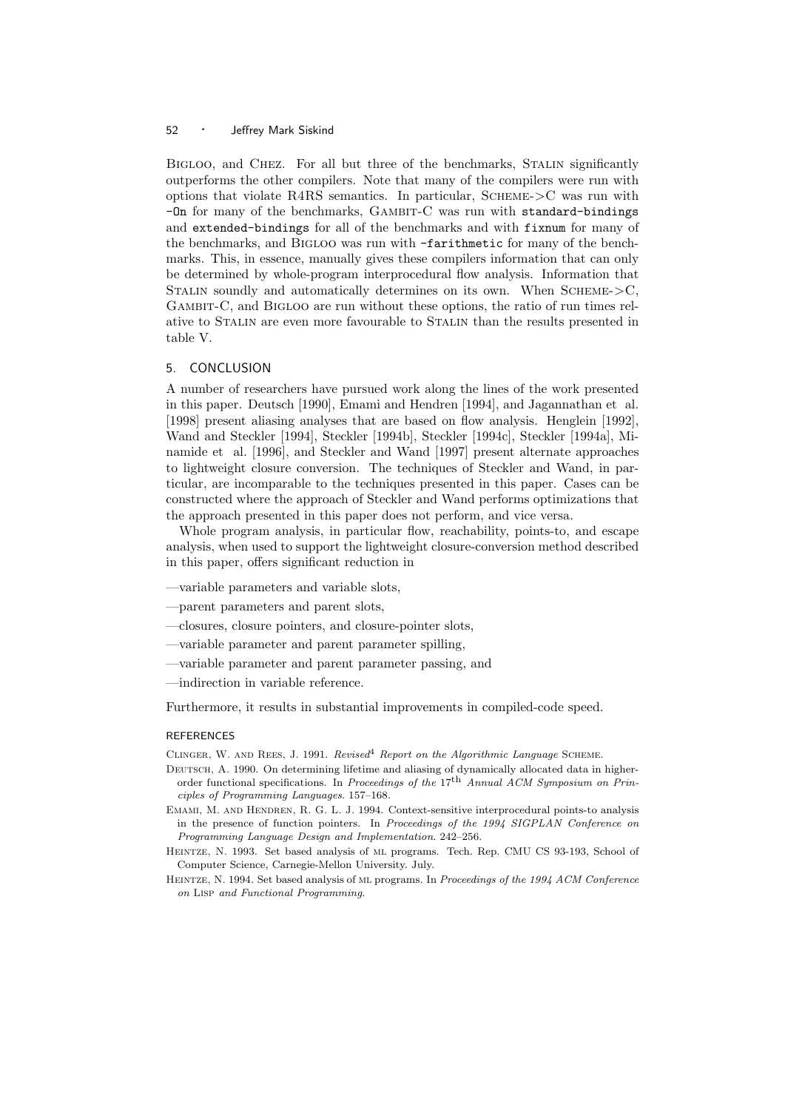BIGLOO, and CHEZ. For all but three of the benchmarks, STALIN significantly outperforms the other compilers. Note that many of the compilers were run with options that violate R4RS semantics. In particular,  $S$ CHEME- $>$ C was run with  $-Dn$  for many of the benchmarks,  $GAMBIT-C$  was run with standard-bindings and extended-bindings for all of the benchmarks and with fixnum for many of the benchmarks, and Bigloo was run with -farithmetic for many of the benchmarks. This, in essence, manually gives these compilers information that can only be determined by whole-program interprocedural flow analysis. Information that STALIN soundly and automatically determines on its own. When  $S$ CHEME- $>$ C, Gambit-C, and Bigloo are run without these options, the ratio of run times relative to Stalin are even more favourable to Stalin than the results presented in table V.

#### 5. CONCLUSION

A number of researchers have pursued work along the lines of the work presented in this paper. Deutsch [1990], Emami and Hendren [1994], and Jagannathan et al. [1998] present aliasing analyses that are based on flow analysis. Henglein [1992], Wand and Steckler [1994], Steckler [1994b], Steckler [1994c], Steckler [1994a], Minamide et al. [1996], and Steckler and Wand [1997] present alternate approaches to lightweight closure conversion. The techniques of Steckler and Wand, in particular, are incomparable to the techniques presented in this paper. Cases can be constructed where the approach of Steckler and Wand performs optimizations that the approach presented in this paper does not perform, and vice versa.

Whole program analysis, in particular flow, reachability, points-to, and escape analysis, when used to support the lightweight closure-conversion method described in this paper, offers significant reduction in

- —variable parameters and variable slots,
- —parent parameters and parent slots,
- —closures, closure pointers, and closure-pointer slots,
- —variable parameter and parent parameter spilling,
- —variable parameter and parent parameter passing, and
- —indirection in variable reference.

Furthermore, it results in substantial improvements in compiled-code speed.

#### REFERENCES

CLINGER, W. AND REES, J. 1991. Revised<sup>4</sup> Report on the Algorithmic Language SCHEME.

- DEUTSCH, A. 1990. On determining lifetime and aliasing of dynamically allocated data in higherorder functional specifications. In Proceedings of the 17<sup>th</sup> Annual ACM Symposium on Principles of Programming Languages. 157–168.
- EMAMI, M. AND HENDREN, R. G. L. J. 1994. Context-sensitive interprocedural points-to analysis in the presence of function pointers. In Proceedings of the 1994 SIGPLAN Conference on Programming Language Design and Implementation. 242–256.
- Heintze, N. 1993. Set based analysis of ml programs. Tech. Rep. CMU CS 93-193, School of Computer Science, Carnegie-Mellon University. July.
- HEINTZE, N. 1994. Set based analysis of ML programs. In Proceedings of the 1994 ACM Conference on Lisp and Functional Programming.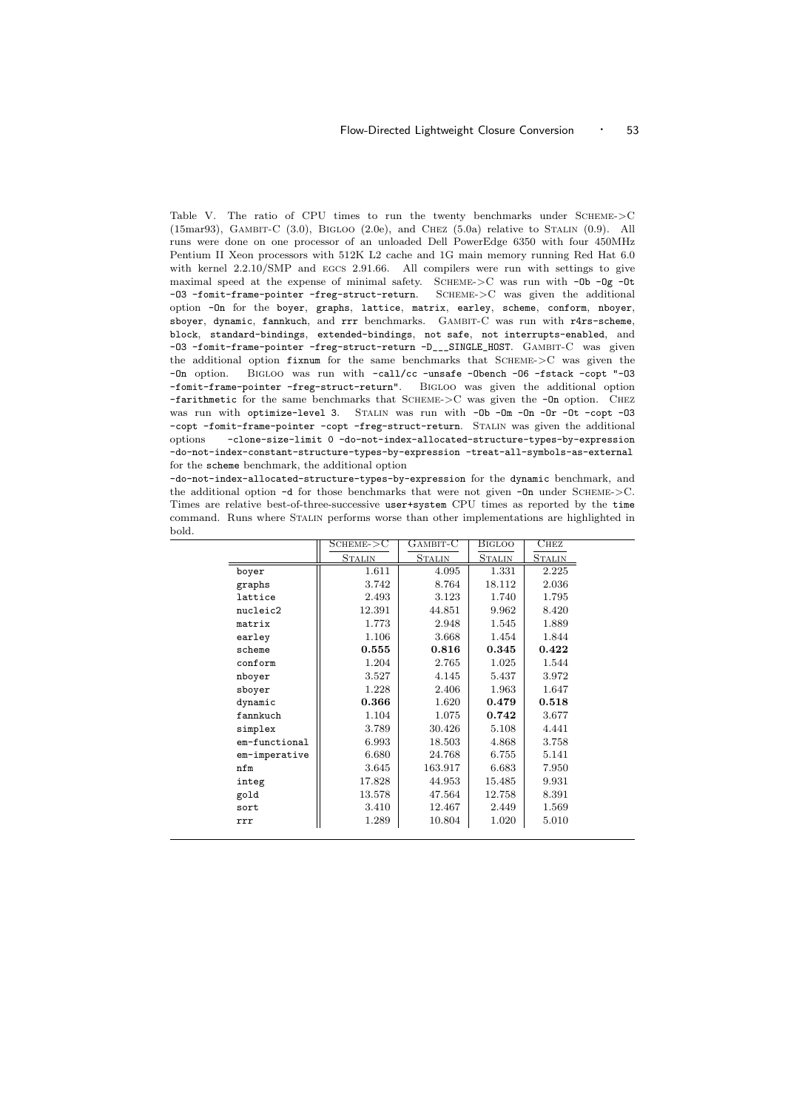Table V. The ratio of CPU times to run the twenty benchmarks under SCHEME->C (15mar93), GAMBIT-C  $(3.0)$ , BIGLOO  $(2.0e)$ , and CHEZ  $(5.0a)$  relative to STALIN  $(0.9)$ . All runs were done on one processor of an unloaded Dell PowerEdge 6350 with four 450MHz Pentium II Xeon processors with 512K L2 cache and 1G main memory running Red Hat 6.0 with kernel  $2.2.10/\text{SMP}$  and EGCS 2.91.66. All compilers were run with settings to give maximal speed at the expense of minimal safety. SCHEME- $\geq$ C was run with  $-$ Ob  $-$ Og  $-$ Ot -03 -fomit-frame-pointer -freg-struct-return. SCHEME->C was given the additional option -On for the boyer, graphs, lattice, matrix, earley, scheme, conform, nboyer, sboyer, dynamic, fannkuch, and rrr benchmarks. Gambit-C was run with r4rs-scheme, block, standard-bindings, extended-bindings, not safe, not interrupts-enabled, and -O3 -fomit-frame-pointer -freg-struct-return -D\_\_\_SINGLE\_HOST. Gambit-C was given the additional option fixnum for the same benchmarks that  $SCHEME\geq C$  was given the -On option. Bigloo was run with -call/cc -unsafe -Obench -O6 -fstack -copt "-O3 -fomit-frame-pointer -freg-struct-return". Bigloo was given the additional option  $-$ farithmetic for the same benchmarks that SCHEME- $>$ C was given the  $-$ On option. CHEZ was run with optimize-level 3. STALIN was run with -Ob -Om -On -Or -Ot -copt -03 -copt -fomit-frame-pointer -copt -freg-struct-return. Stalin was given the additional options -clone-size-limit 0 -do-not-index-allocated-structure-types-by-expression -do-not-index-constant-structure-types-by-expression -treat-all-symbols-as-external for the scheme benchmark, the additional option

-do-not-index-allocated-structure-types-by-expression for the dynamic benchmark, and the additional option -d for those benchmarks that were not given -0n under SCHEME->C. Times are relative best-of-three-successive user+system CPU times as reported by the time command. Runs where Stalin performs worse than other implementations are highlighted in bold.

|               | SCHEME->C     | GAMBIT-C      | Bigloo        | $_{\rm{CHEZ}}$ |  |
|---------------|---------------|---------------|---------------|----------------|--|
|               | <b>STALIN</b> | <b>STALIN</b> | <b>STALIN</b> | <b>STALIN</b>  |  |
| boyer         | 1.611         | 4.095         | 1.331         | 2.225          |  |
| graphs        | 3.742         | 8.764         | 18.112        | 2.036          |  |
| lattice       | 2.493         | 3.123         | 1.740         | 1.795          |  |
| nucleic2      | 12.391        | 44.851        | 9.962         | 8.420          |  |
| matrix        | 1.773         | 2.948         | 1.545         | 1.889          |  |
| earley        | 1.106         | 3.668         | 1.454         | 1.844          |  |
| scheme        | 0.555         | 0.816         | 0.345         | 0.422          |  |
| conform       | 1.204         | 2.765         | 1.025         | 1.544          |  |
| nboyer        | 3.527         | 4.145         | 5.437         | 3.972          |  |
| sboyer        | 1.228         | 2.406         | 1.963         | 1.647          |  |
| dynamic       | 0.366         | 1.620         | 0.479         | 0.518          |  |
| fannkuch      | 1.104         | 1.075         | 0.742         | 3.677          |  |
| simplex       | 3.789         | 30.426        | 5.108         | 4.441          |  |
| em-functional | 6.993         | 18.503        | 4.868         | 3.758          |  |
| em-imperative | 6.680         | 24.768        | 6.755         | 5.141          |  |
| nfm           | 3.645         | 163.917       | 6.683         | 7.950          |  |
| integ         | 17.828        | 44.953        | 15.485        | 9.931          |  |
| gold          | 13.578        | 47.564        | 12.758        | 8.391          |  |
| sort          | 3.410         | 12.467        | 2.449         | 1.569          |  |
| rrr           | 1.289         | 10.804        | 1.020         | 5.010          |  |
|               |               |               |               |                |  |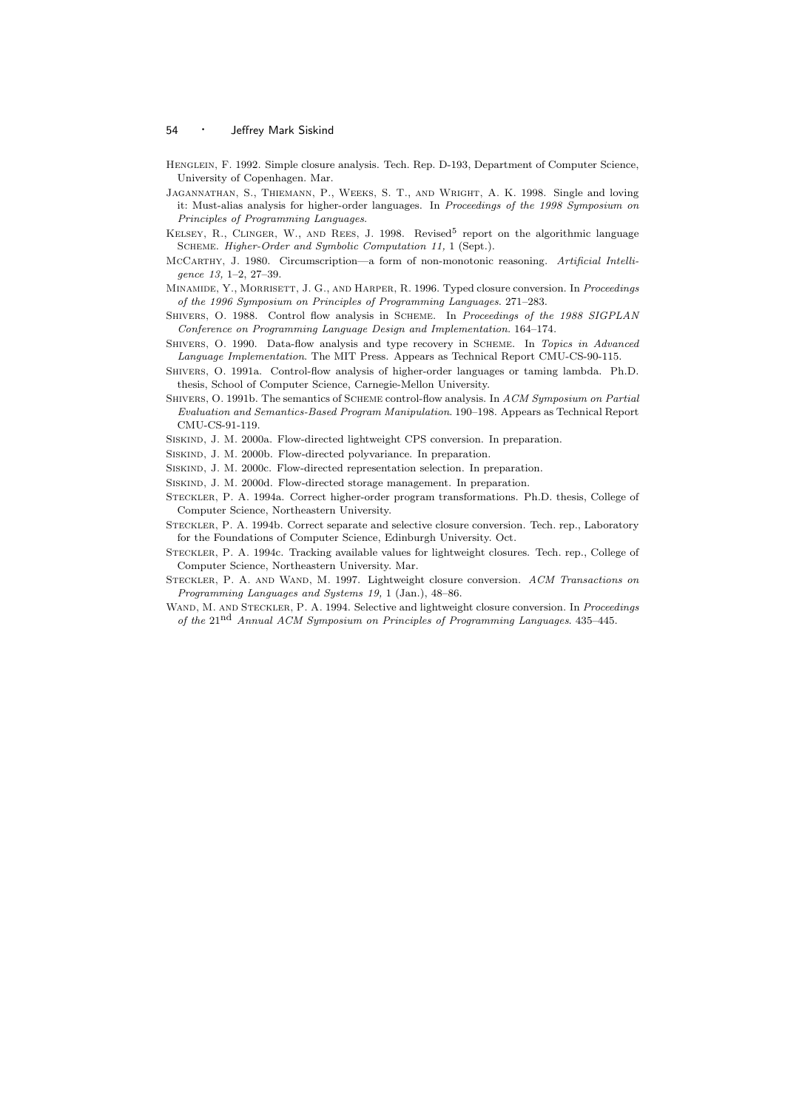- HENGLEIN, F. 1992. Simple closure analysis. Tech. Rep. D-193, Department of Computer Science, University of Copenhagen. Mar.
- Jagannathan, S., Thiemann, P., Weeks, S. T., and Wright, A. K. 1998. Single and loving it: Must-alias analysis for higher-order languages. In Proceedings of the 1998 Symposium on Principles of Programming Languages.
- KELSEY, R., CLINGER, W., AND REES, J. 1998. Revised<sup>5</sup> report on the algorithmic language Scheme. Higher-Order and Symbolic Computation 11, 1 (Sept.).
- McCarthy, J. 1980. Circumscription—a form of non-monotonic reasoning. Artificial Intelligence 13, 1–2, 27–39.
- MINAMIDE, Y., MORRISETT, J. G., AND HARPER, R. 1996. Typed closure conversion. In Proceedings of the 1996 Symposium on Principles of Programming Languages. 271–283.
- SHIVERS, O. 1988. Control flow analysis in SCHEME. In Proceedings of the 1988 SIGPLAN Conference on Programming Language Design and Implementation. 164–174.
- SHIVERS, O. 1990. Data-flow analysis and type recovery in SCHEME. In Topics in Advanced Language Implementation. The MIT Press. Appears as Technical Report CMU-CS-90-115.
- Shivers, O. 1991a. Control-flow analysis of higher-order languages or taming lambda. Ph.D. thesis, School of Computer Science, Carnegie-Mellon University.
- SHIVERS, O. 1991b. The semantics of SCHEME control-flow analysis. In ACM Symposium on Partial Evaluation and Semantics-Based Program Manipulation. 190–198. Appears as Technical Report CMU-CS-91-119.
- Siskind, J. M. 2000a. Flow-directed lightweight CPS conversion. In preparation.
- Siskind, J. M. 2000b. Flow-directed polyvariance. In preparation.
- Siskind, J. M. 2000c. Flow-directed representation selection. In preparation.
- Siskind, J. M. 2000d. Flow-directed storage management. In preparation.
- Steckler, P. A. 1994a. Correct higher-order program transformations. Ph.D. thesis, College of Computer Science, Northeastern University.
- Steckler, P. A. 1994b. Correct separate and selective closure conversion. Tech. rep., Laboratory for the Foundations of Computer Science, Edinburgh University. Oct.
- Steckler, P. A. 1994c. Tracking available values for lightweight closures. Tech. rep., College of Computer Science, Northeastern University. Mar.
- STECKLER, P. A. AND WAND, M. 1997. Lightweight closure conversion. ACM Transactions on Programming Languages and Systems 19, 1 (Jan.), 48–86.
- WAND, M. AND STECKLER, P. A. 1994. Selective and lightweight closure conversion. In *Proceedings* of the 21nd Annual ACM Symposium on Principles of Programming Languages. 435–445.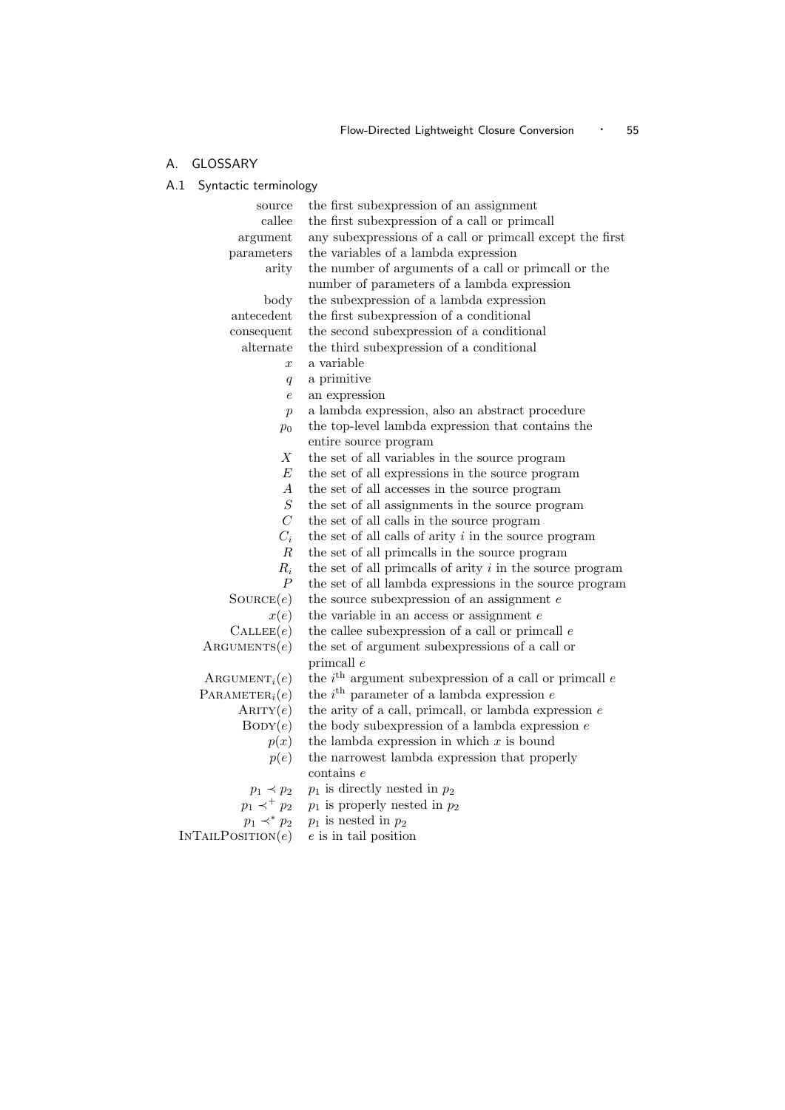### A. GLOSSARY

A.1 Syntactic terminology

| source                       | the first subexpression of an assignment                             |
|------------------------------|----------------------------------------------------------------------|
| callee                       | the first subexpression of a call or primcall                        |
| argument                     | any subexpressions of a call or primcall except the first            |
| parameters                   | the variables of a lambda expression                                 |
| arity                        | the number of arguments of a call or primcall or the                 |
|                              | number of parameters of a lambda expression                          |
| body                         | the subexpression of a lambda expression                             |
| antecedent                   | the first subexpression of a conditional                             |
| consequent                   | the second subexpression of a conditional                            |
| alternate                    | the third subexpression of a conditional                             |
| $\boldsymbol{x}$             | a variable                                                           |
| q                            | a primitive                                                          |
| $\boldsymbol{e}$             | an expression                                                        |
| $\boldsymbol{p}$             | a lambda expression, also an abstract procedure                      |
| $p_0$                        | the top-level lambda expression that contains the                    |
|                              | entire source program                                                |
| X                            | the set of all variables in the source program                       |
| $\boldsymbol{E}$             | the set of all expressions in the source program                     |
| А                            | the set of all accesses in the source program                        |
| $\cal S$                     | the set of all assignments in the source program                     |
| $\mathcal{C}$                | the set of all calls in the source program                           |
| $C_i$                        | the set of all calls of arity $i$ in the source program              |
| $\boldsymbol{R}$             | the set of all primcalls in the source program                       |
| $R_i$                        | the set of all primcalls of arity $i$ in the source program          |
| $\overline{P}$               | the set of all lambda expressions in the source program              |
| $\text{Source}(e)$           | the source subexpression of an assignment $e$                        |
| x(e)                         | the variable in an access or assignment $e$                          |
| $\text{CALLEE}(e)$           | the callee subexpression of a call or primcall $e$                   |
| $\text{ARGUMENTS}(e)$        | the set of argument subexpressions of a call or                      |
|                              | primcall $e$                                                         |
| $\text{ARGUMENT}_i(e)$       | the $i^{\text{th}}$ argument subexpression of a call or primcall $e$ |
| PARAMETER <sub>i</sub> $(e)$ | the $i^{\text{th}}$ parameter of a lambda expression $e$             |
| ARITY(e)                     | the arity of a call, primcall, or lambda expression $e$              |
| $\text{BODY}(e)$             | the body subexpression of a lambda expression $e$                    |
| p(x)                         | the lambda expression in which $x$ is bound                          |
| p(e)                         | the narrowest lambda expression that properly                        |
|                              | $\frac{1}{2}$ contains $e$                                           |
| $p_1 \prec p_2$              | $p_1$ is directly nested in $p_2$                                    |
| $p_1 \prec^+ p_2$            | $p_1$ is properly nested in $p_2$                                    |
| $p_1 \prec^* p_2$            | $p_1$ is nested in $p_2$                                             |
| INTAILPOSITION(e)            | $e$ is in tail position                                              |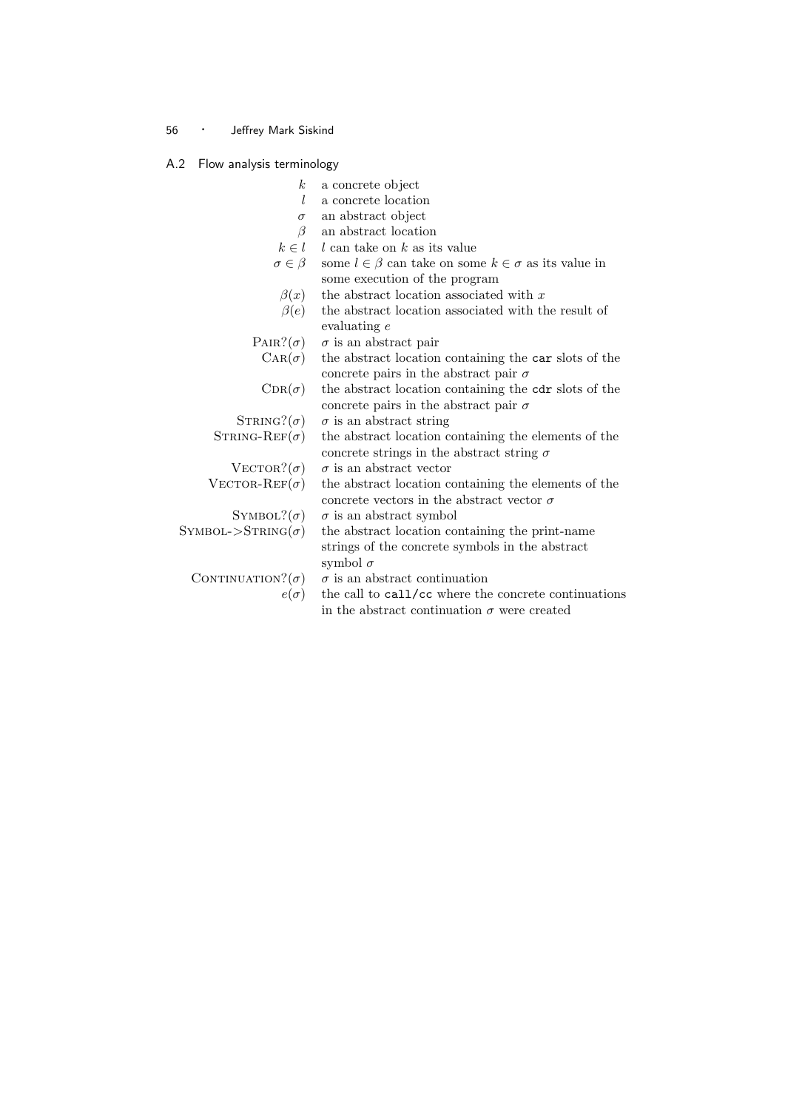### A.2 Flow analysis terminology

| $\boldsymbol{k}$             | a concrete object                                                  |
|------------------------------|--------------------------------------------------------------------|
| L                            | a concrete location                                                |
| $\sigma$                     | an abstract object                                                 |
| $\beta$                      | an abstract location                                               |
| $k \in l$                    | $l$ can take on $k$ as its value                                   |
| $\sigma \in \beta$           | some $l \in \beta$ can take on some $k \in \sigma$ as its value in |
|                              | some execution of the program                                      |
| $\beta(x)$                   | the abstract location associated with $x$                          |
| $\beta(e)$                   | the abstract location associated with the result of                |
|                              | evaluating $e$                                                     |
| $\text{PAIR?}(\sigma)$       | $\sigma$ is an abstract pair                                       |
| $\operatorname{CAR}(\sigma)$ | the abstract location containing the car slots of the              |
|                              | concrete pairs in the abstract pair $\sigma$                       |
| $CDR(\sigma)$                | the abstract location containing the cdr slots of the              |
|                              | concrete pairs in the abstract pair $\sigma$                       |
| $STRING?(\sigma)$            | $\sigma$ is an abstract string                                     |
| $STRING-REF(\sigma)$         | the abstract location containing the elements of the               |
|                              | concrete strings in the abstract string $\sigma$                   |
| $\text{VECTOR}?(\sigma)$     | $\sigma$ is an abstract vector                                     |
| $\text{VECTOR-REF}(\sigma)$  | the abstract location containing the elements of the               |
|                              | concrete vectors in the abstract vector $\sigma$                   |
| SYMBOL? $(\sigma)$           | $\sigma$ is an abstract symbol                                     |
| $SYMBOL->STRING(\sigma)$     | the abstract location containing the print-name                    |
|                              | strings of the concrete symbols in the abstract                    |
|                              | symbol $\sigma$                                                    |
| CONTINUATION? $(\sigma)$     | $\sigma$ is an abstract continuation                               |
| $e(\sigma)$                  | the call to call/cc where the concrete continuations               |
|                              | in the abstract continuation $\sigma$ were created                 |
|                              |                                                                    |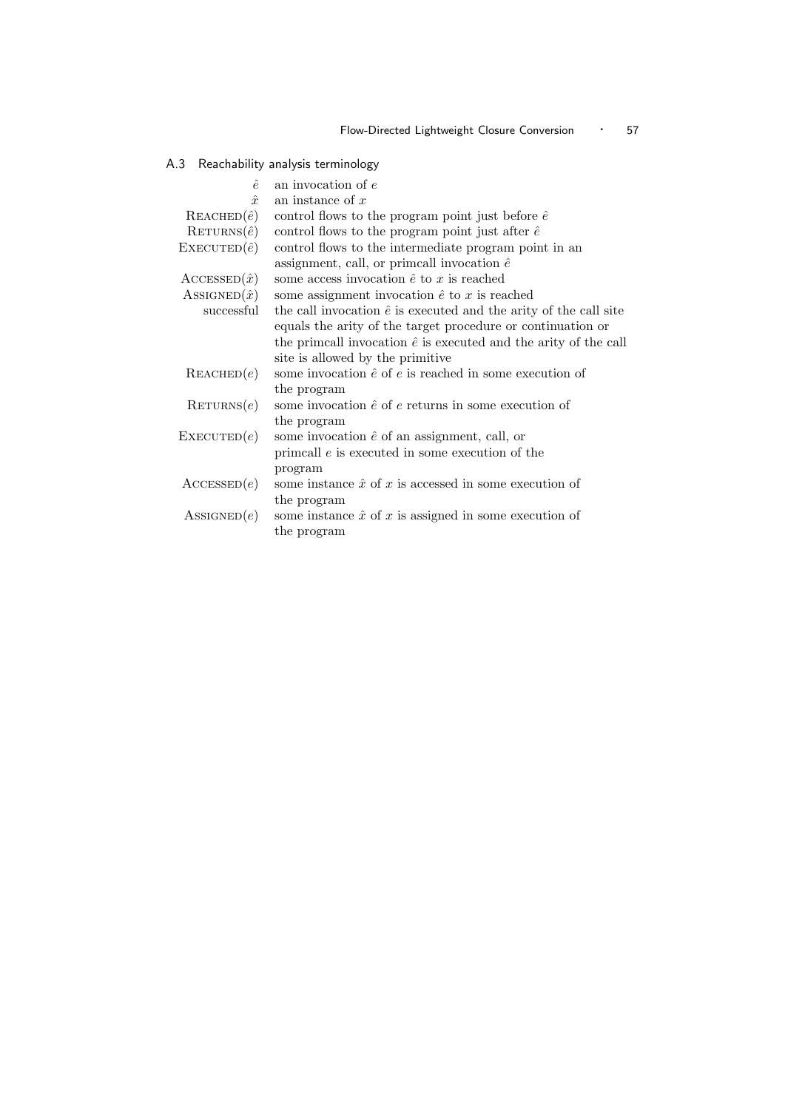# A.3 Reachability analysis terminology

| an invocation of $e$                                                     |
|--------------------------------------------------------------------------|
| an instance of $x$                                                       |
| control flows to the program point just before $\hat{e}$                 |
| control flows to the program point just after $\hat{e}$                  |
| control flows to the intermediate program point in an                    |
| assignment, call, or primcall invocation $\hat{e}$                       |
| some access invocation $\hat{e}$ to $x$ is reached                       |
| some assignment invocation $\hat{e}$ to x is reached                     |
| the call invocation $\hat{e}$ is executed and the arity of the call site |
| equals the arity of the target procedure or continuation or              |
| the primcall invocation $\hat{e}$ is executed and the arity of the call  |
| site is allowed by the primitive                                         |
| some invocation $\hat{e}$ of $e$ is reached in some execution of         |
| the program                                                              |
| some invocation $\hat{e}$ of $e$ returns in some execution of            |
| the program                                                              |
| some invocation $\hat{e}$ of an assignment, call, or                     |
| primcall $e$ is executed in some execution of the                        |
| program                                                                  |
| some instance $\hat{x}$ of x is accessed in some execution of            |
| the program                                                              |
| some instance $\hat{x}$ of x is assigned in some execution of            |
| the program                                                              |
|                                                                          |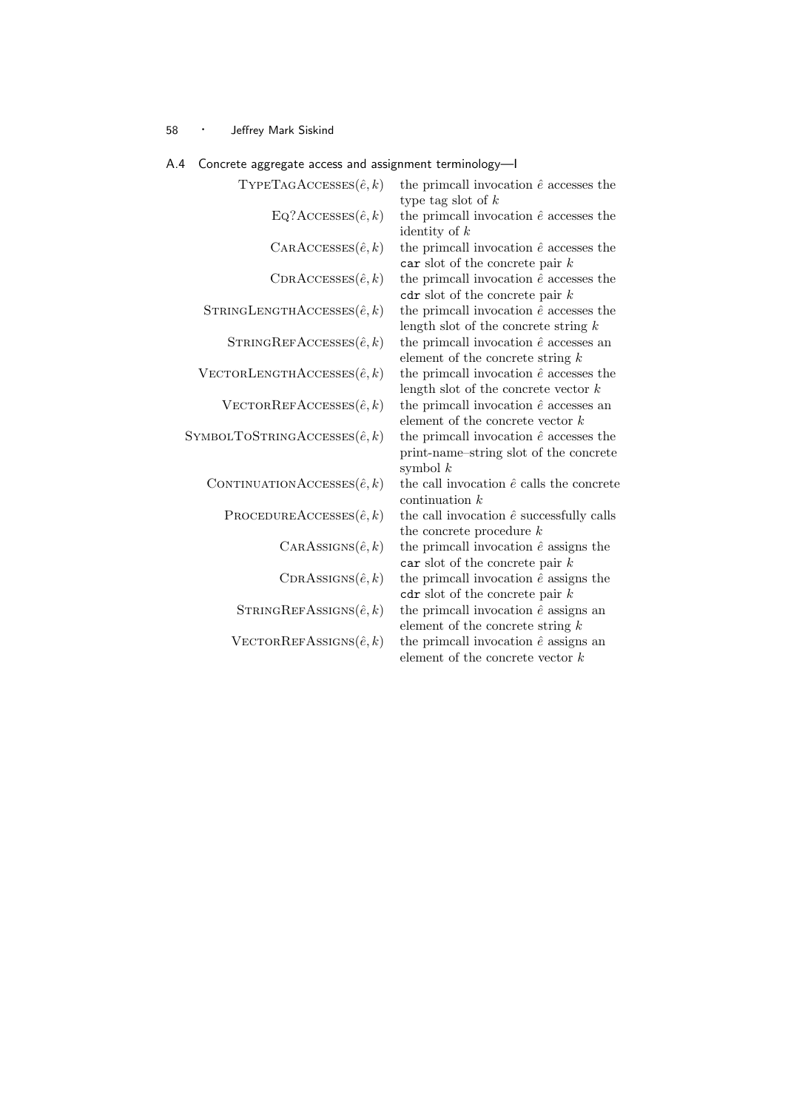| $T$ YPETAGACCESSES $(\hat{e}, k)$      | the primcall invocation $\hat{e}$ accesses the<br>type tag slot of $k$                                 |
|----------------------------------------|--------------------------------------------------------------------------------------------------------|
| $EQ?$ ACCESSES $(\hat{e}, k)$          | the primcall invocation $\hat{e}$ accesses the<br>identity of $k$                                      |
| $CARAccessES(\hat{e}, k)$              | the primcall invocation $\hat{e}$ accesses the<br>car slot of the concrete pair $k$                    |
| $CDRACCESSES(\hat{e}, k)$              | the primcall invocation $\hat{e}$ accesses the<br>$\cot$ slot of the concrete pair k                   |
| STRINGLENGTHACCESSES $(\hat{e}, k)$    | the primcall invocation $\hat{e}$ accesses the<br>length slot of the concrete string $k$               |
| STRINGREFACCESSES $(\hat{e}, k)$       | the primcall invocation $\hat{e}$ accesses an<br>element of the concrete string $k$                    |
| $V$ ECTORLENGTHACCESSES $(\hat{e}, k)$ | the primcall invocation $\hat{e}$ accesses the<br>length slot of the concrete vector $k$               |
| $V$ ECTORREFACCESSES $(\hat{e}, k)$    | the primcall invocation $\hat{e}$ accesses an<br>element of the concrete vector $k$                    |
| SYMBOLTOSTRINGACCESSES $(\hat{e}, k)$  | the primcall invocation $\hat{e}$ accesses the<br>print-name-string slot of the concrete<br>symbol $k$ |
| CONTINUATIONACCESSES $(\hat{e}, k)$    | the call invocation $\hat{e}$ calls the concrete<br>continuation $k$                                   |
| PROCEDUREACCESSES $(\hat{e}, k)$       | the call invocation $\hat{e}$ successfully calls<br>the concrete procedure $k$                         |
| $CARAssus(\hat{e}, k)$                 | the primcall invocation $\hat{e}$ assigns the<br>car slot of the concrete pair $k$                     |
| $CDRASSIGNS(\hat{e},k)$                | the primcall invocation $\hat{e}$ assigns the<br>$cdr$ slot of the concrete pair $k$                   |
| STRINGREFASSIGNS $(\hat{e}, k)$        | the primcall invocation $\hat{e}$ assigns an<br>element of the concrete string $k$                     |
| $V$ ECTORREFASSIGNS $(\hat{e}, k)$     | the primcall invocation $\hat{e}$ assigns an<br>element of the concrete vector $k$                     |

### A.4 Concrete aggregate access and assignment terminology—I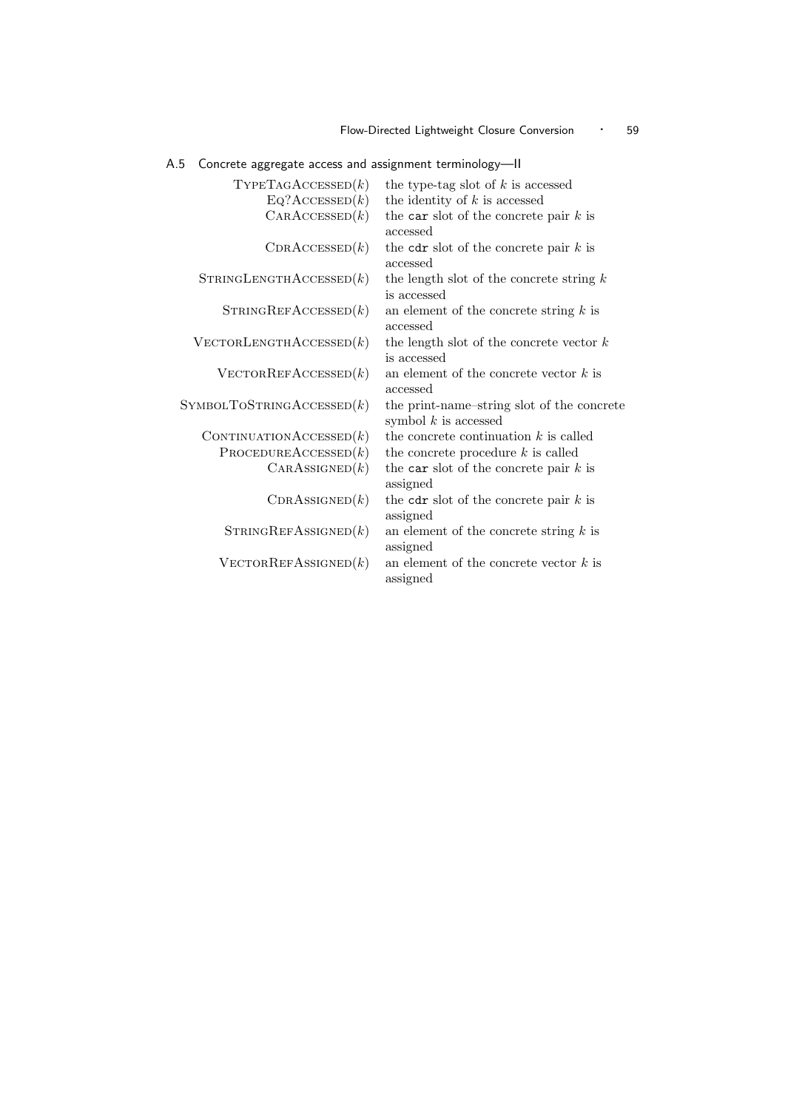### Flow-Directed Lightweight Closure Conversion • 59

A.5 Concrete aggregate access and assignment terminology—II

| $T$ YPETAGACCESSED $(k)$          | the type-tag slot of $k$ is accessed                                 |
|-----------------------------------|----------------------------------------------------------------------|
| $Eq?$ ACCESSED $(k)$              | the identity of $k$ is accessed                                      |
| CARACESED(k)                      | the car slot of the concrete pair $k$ is<br>accessed                 |
| CDRACCESSED(k)                    | the cdr slot of the concrete pair $k$ is<br>accessed                 |
| STRINGLENGTHACCESSED(k)           | the length slot of the concrete string $k$<br>is accessed            |
| STRINGREFACCESSED(k)              | an element of the concrete string $k$ is<br>accessed                 |
| $\text{VECTOR LENGTHACCESSED}(k)$ | the length slot of the concrete vector $k$<br>is accessed            |
| $V$ ECTORREFACCESSED $(k)$        | an element of the concrete vector $k$ is<br>accessed                 |
| SYMBOLTOSTRINGACCESSED(k)         | the print-name-string slot of the concrete<br>symbol $k$ is accessed |
| CONTINUATION $\text{AccessED}(k)$ | the concrete continuation $k$ is called                              |
| PROCEDUREACCESSED(k)              | the concrete procedure $k$ is called                                 |
| CARASSIGNED(k)                    | the car slot of the concrete pair $k$ is<br>assigned                 |
| CDRASSIGNED(k)                    | the cdr slot of the concrete pair $k$ is<br>assigned                 |
| STRINGREFASSIGNED(k)              | an element of the concrete string $k$ is<br>assigned                 |
| $V$ ECTORREFASSIGNED $(k)$        | an element of the concrete vector $k$ is<br>assigned                 |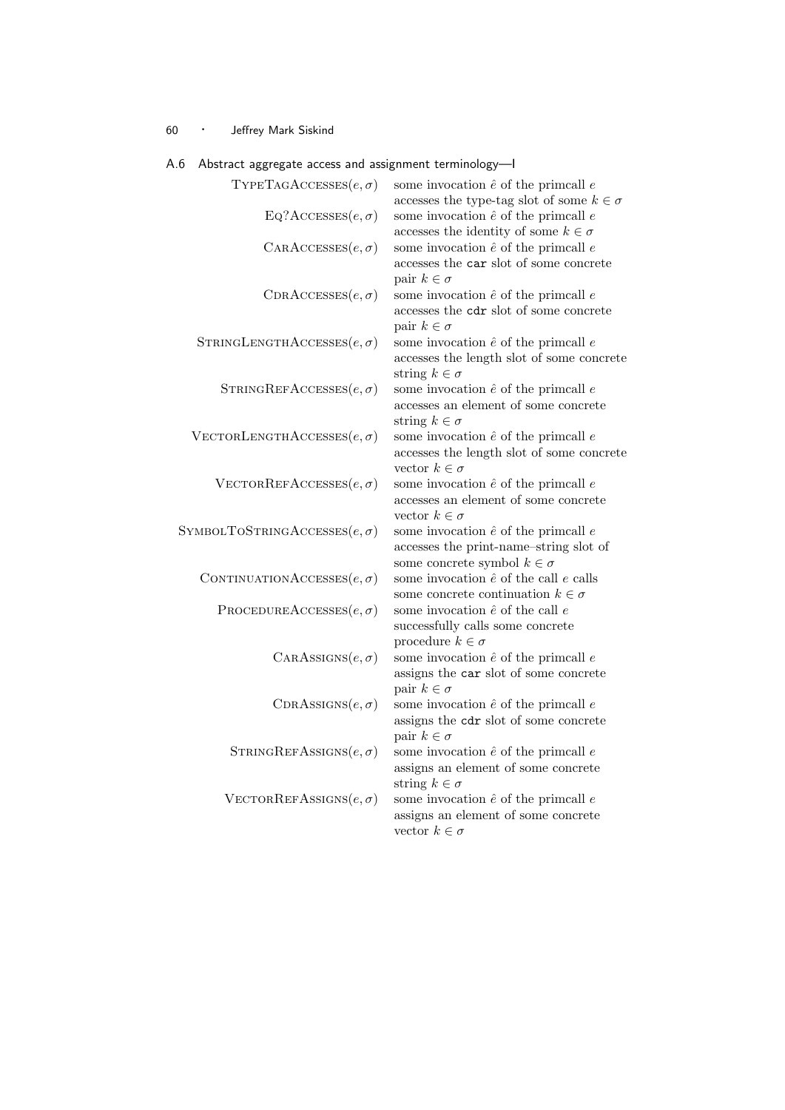| Abstract aggregate access and assignment terminology—r |                                                                                                                                |
|--------------------------------------------------------|--------------------------------------------------------------------------------------------------------------------------------|
| TYPETAGACCESSES $(e, \sigma)$                          | some invocation $\hat{e}$ of the primcall $e$<br>accesses the type-tag slot of some $k\in\sigma$                               |
| $EQ?$ ACCESSES $(e, \sigma)$                           | some invocation $\hat{e}$ of the primcall $e$<br>accesses the identity of some $k \in \sigma$                                  |
| $CARACESes(e, \sigma)$                                 | some invocation $\hat{e}$ of the primcall $e$<br>accesses the car slot of some concrete<br>pair $k \in \sigma$                 |
| $\text{CDRACCESES}(e, \sigma)$                         | some invocation $\hat{e}$ of the primcall $e$<br>accesses the cdr slot of some concrete<br>pair $k \in \sigma$                 |
| STRINGLENGTHACCESSES $(e, \sigma)$                     | some invocation $\hat{e}$ of the primcall $e$<br>accesses the length slot of some concrete<br>string $k \in \sigma$            |
| STRINGREFACCESSES $(e, \sigma)$                        | some invocation $\hat{e}$ of the primcall $e$<br>accesses an element of some concrete<br>string $k \in \sigma$                 |
| VECTORLENGTHACCESSES $(e, \sigma)$                     | some invocation $\hat{e}$ of the primcall $e$<br>accesses the length slot of some concrete<br>vector $k \in \sigma$            |
| VECTORREFACCESSES $(e, \sigma)$                        | some invocation $\hat{e}$ of the primcall $e$<br>accesses an element of some concrete<br>vector $k \in \sigma$                 |
| SYMBOLTOSTRINGACCESSES $(e, \sigma)$                   | some invocation $\hat{e}$ of the primcall $e$<br>accesses the print-name-string slot of<br>some concrete symbol $k \in \sigma$ |
| CONTINUATIONACCESSES $(e, \sigma)$                     | some invocation $\hat{e}$ of the call $e$ calls<br>some concrete continuation $k \in \sigma$                                   |
| PROCEDUREACCESSES $(e, \sigma)$                        | some invocation $\hat{e}$ of the call $e$<br>successfully calls some concrete<br>procedure $k \in \sigma$                      |
| CARASSIGNS $(e, \sigma)$                               | some invocation $\hat{e}$ of the primcall $e$<br>assigns the car slot of some concrete<br>pair $k \in \sigma$                  |
| $CDRASSIGNS(e, \sigma)$                                | some invocation $\hat{e}$ of the primcall $e$<br>assigns the cdr slot of some concrete<br>pair $k \in \sigma$                  |
| STRINGREFASSIGNS $(e, \sigma)$                         | some invocation $\hat{e}$ of the primcall $e$<br>assigns an element of some concrete<br>string $k \in \sigma$                  |
| VECTORREFASSIGNS $(e, \sigma)$                         | some invocation $\hat{e}$ of the primcall $e$<br>assigns an element of some concrete<br>vector $k \in \sigma$                  |

# A.6 Abstract aggregate access and assignment terminology—I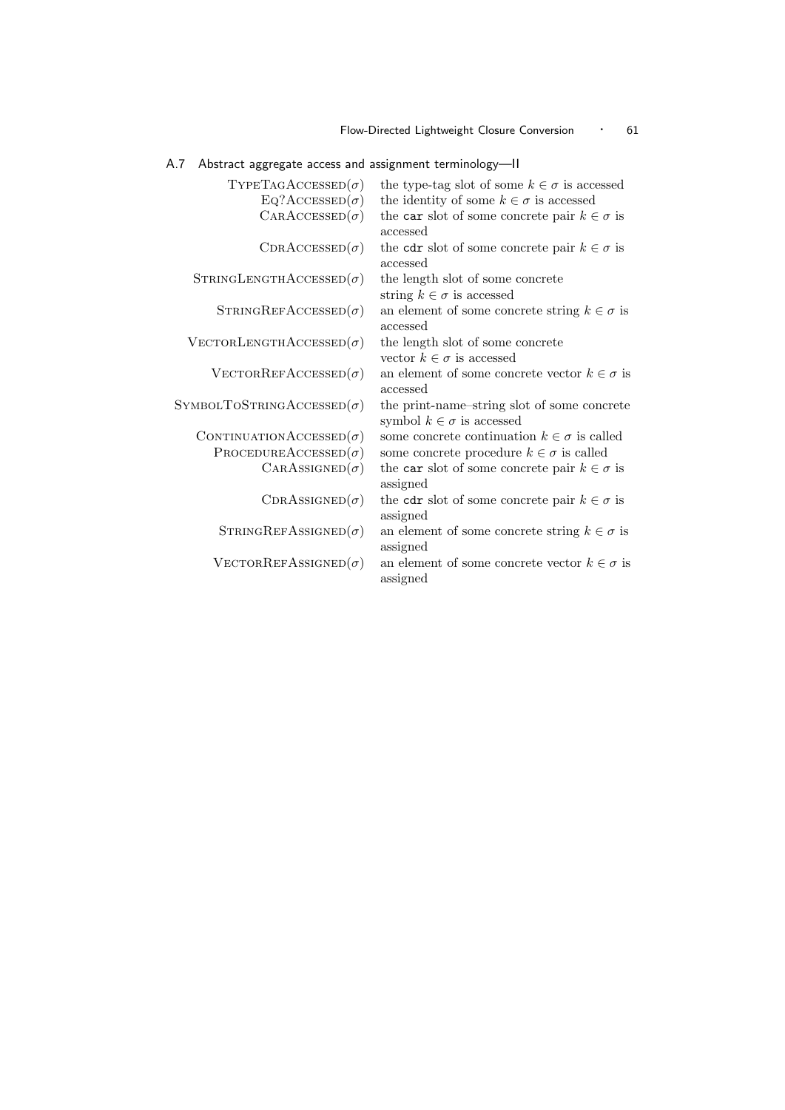### Flow-Directed Lightweight Closure Conversion • 61

# A.7 Abstract aggregate access and assignment terminology—II

| $TYPETAGACCESSED(\sigma)$              | the type-tag slot of some $k \in \sigma$ is accessed                             |
|----------------------------------------|----------------------------------------------------------------------------------|
| $Eq?$ ACCESSED $(\sigma)$              | the identity of some $k \in \sigma$ is accessed                                  |
| $CARACESED(\sigma)$                    | the car slot of some concrete pair $k \in \sigma$ is<br>accessed                 |
| $CDRACCESSED(\sigma)$                  | the cdr slot of some concrete pair $k \in \sigma$ is<br>accessed                 |
| $STRINGLENGTHACCESED(\sigma)$          | the length slot of some concrete<br>string $k \in \sigma$ is accessed            |
| $STRINGREFACCESSED(\sigma)$            | an element of some concrete string $k \in \sigma$ is<br>accessed                 |
| $\text{VECTOR LENGTHACCESSED}(\sigma)$ | the length slot of some concrete<br>vector $k \in \sigma$ is accessed            |
| $\text{VECTORREFACCESED}(\sigma)$      | an element of some concrete vector $k \in \sigma$ is<br>accessed                 |
| SYMBOLTOSTRINGACCESSED $(\sigma)$      | the print-name-string slot of some concrete<br>symbol $k \in \sigma$ is accessed |
| CONTINUATIONACCESSED $(\sigma)$        | some concrete continuation $k \in \sigma$ is called                              |
| PROCEDUREACCESSED $(\sigma)$           | some concrete procedure $k \in \sigma$ is called                                 |
| $CARASSIGNED(\sigma)$                  | the car slot of some concrete pair $k \in \sigma$ is<br>assigned                 |
| $CDRASSIGNED(\sigma)$                  | the cdr slot of some concrete pair $k \in \sigma$ is<br>assigned                 |
| $STRINGREFASSIGNED(\sigma)$            | an element of some concrete string $k \in \sigma$ is<br>assigned                 |
| $\text{VECTORREFASSIGNED}(\sigma)$     | an element of some concrete vector $k \in \sigma$ is<br>assigned                 |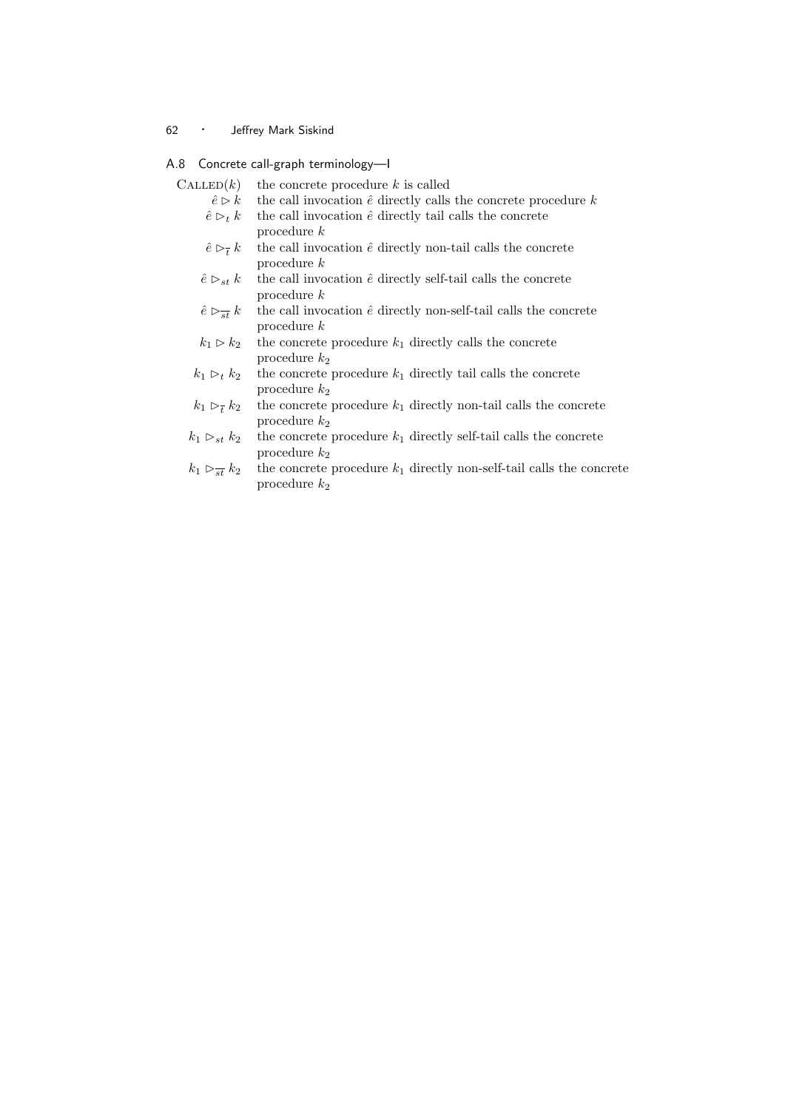### A.8 Concrete call-graph terminology—I

| $\text{CALLED}(k)$                         | the concrete procedure $k$ is called                                                     |
|--------------------------------------------|------------------------------------------------------------------------------------------|
| $\hat{e} \triangleright k$                 | the call invocation $\hat{e}$ directly calls the concrete procedure k                    |
| $\hat{e} \triangleright_t k$               | the call invocation $\hat{e}$ directly tail calls the concrete<br>procedure $k$          |
| $\hat{e} \triangleright_{\overline{t}} k$  | the call invocation $\hat{e}$ directly non-tail calls the concrete<br>procedure $k$      |
| $\hat{e} \rhd_{st} k$                      | the call invocation $\hat{e}$ directly self-tail calls the concrete<br>procedure $k$     |
| $\hat{e} \triangleright_{\overline{st}} k$ | the call invocation $\hat{e}$ directly non-self-tail calls the concrete<br>procedure $k$ |
| $k_1 \triangleright k_2$                   | the concrete procedure $k_1$ directly calls the concrete<br>procedure $k_2$              |
| $k_1 \triangleright_t k_2$                 | the concrete procedure $k_1$ directly tail calls the concrete<br>procedure $k_2$         |
| $k_1 > k_2$                                | the concrete procedure $k_1$ directly non-tail calls the concret                         |

- $k_1 \triangleright_{\overline{t}} k_2$  the concrete procedure  $k_1$  directly non-tail calls the concrete procedure  $k_2$
- $k_1 \vartriangleright_{st} k_2$  the concrete procedure  $k_1$  directly self-tail calls the concrete procedure  $k_\mathrm{2}$
- $k_1 \rhd_{\overline{st}} k_2$  the concrete procedure  $k_1$  directly non-self-tail calls the concrete procedure  $k_2$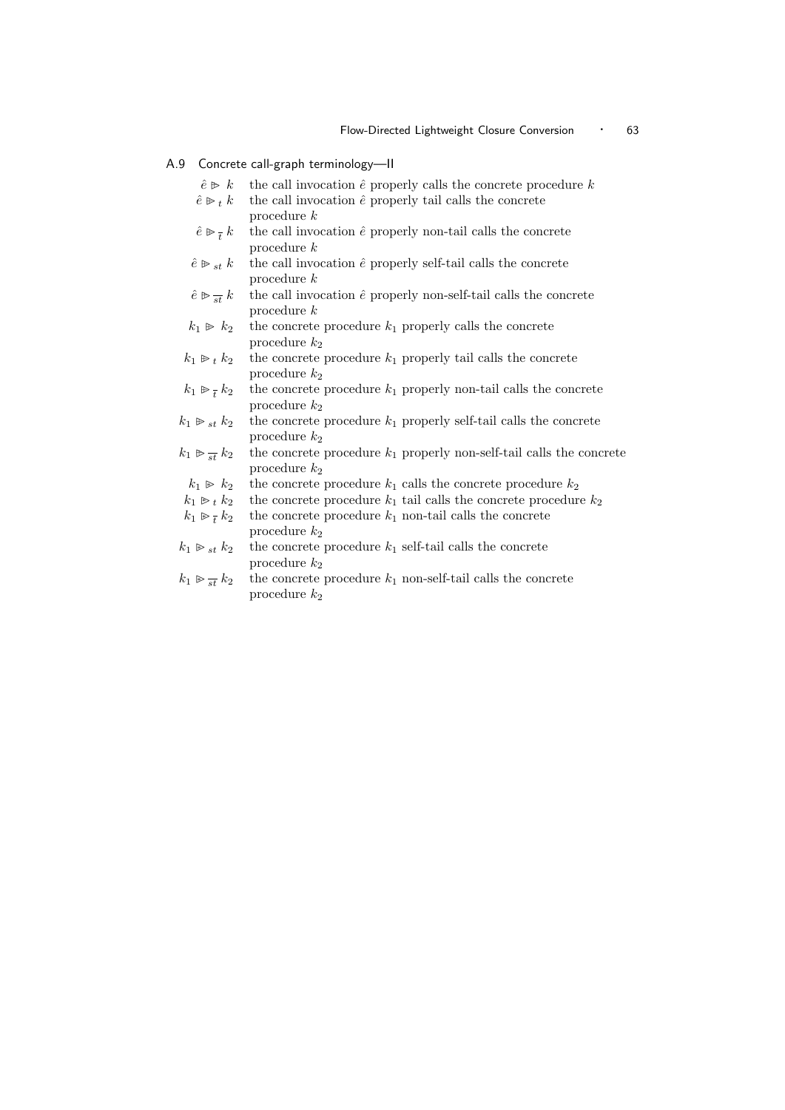#### A.9 Concrete call-graph terminology—II

- $\hat{e} \triangleright k$  the call invocation  $\hat{e}$  properly calls the concrete procedure k
- $\hat{e} \triangleright_t k$  the call invocation  $\hat{e}$  properly tail calls the concrete procedure k
- $\hat{e} \not\triangleright_{\overline{t}}$ the call invocation  $\hat{e}$  properly non-tail calls the concrete procedure k
- $\hat{e} \geq s_t k$  the call invocation  $\hat{e}$  properly self-tail calls the concrete procedure k
- $\hat{e} \otimes \frac{1}{st} k$ the call invocation  $\hat{e}$  properly non-self-tail calls the concrete procedure k
- $k_1 \triangleright k_2$  the concrete procedure  $k_1$  properly calls the concrete procedure  $k_2$
- $k_1 \triangleright t \, k_2$  the concrete procedure  $k_1$  properly tail calls the concrete procedure  $k_2$
- $k_1 \triangleright \overline{t}$ the concrete procedure  $k_1$  properly non-tail calls the concrete procedure  $k_2$
- $k_1 \triangleright_{st} k_2$  the concrete procedure  $k_1$  properly self-tail calls the concrete procedure  $k_2$
- $k_1 \trianglerighteq \frac{1}{st} k_2$ the concrete procedure  $k_1$  properly non-self-tail calls the concrete procedure  $k_2$
- $k_1 \ge k_2$  the concrete procedure  $k_1$  calls the concrete procedure  $k_2$
- $k_1 \geq k_2$  the concrete procedure  $k_1$  tail calls the concrete procedure  $k_2$
- $k_1 \gg \frac{1}{t}$ the concrete procedure  $k_1$  non-tail calls the concrete procedure  $k_2$
- $k_1 \mathrel{\triangleright}_{st} k_2$  the concrete procedure  $k_1$  self-tail calls the concrete procedure  $k_\mathrm{2}$
- $k_1 \gg \frac{1}{st} k_2$ the concrete procedure  $k_1$  non-self-tail calls the concrete procedure  $k_2$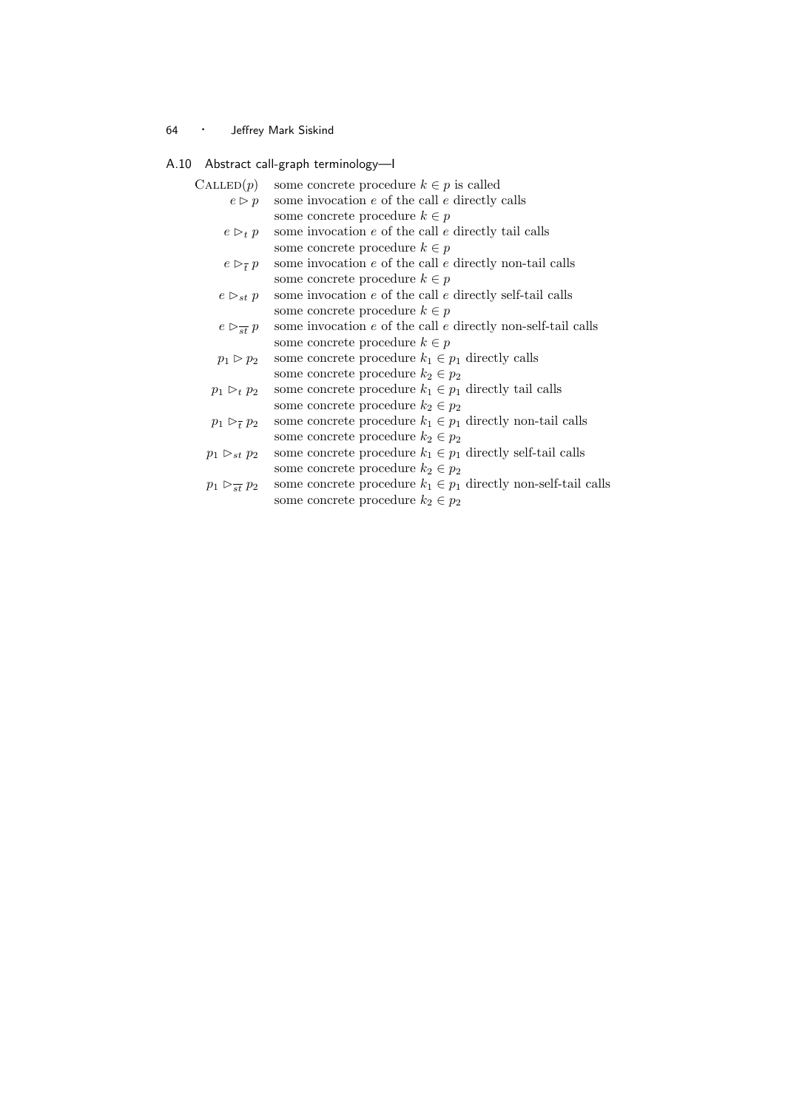### A.10 Abstract call-graph terminology—I

| $\mathrm{CALLED}(p)$          | some concrete procedure $k \in p$ is called                        |
|-------------------------------|--------------------------------------------------------------------|
| $e \triangleright p$          | some invocation $e$ of the call $e$ directly calls                 |
|                               | some concrete procedure $k\in p$                                   |
| $e \rhd_t p$                  | some invocation $e$ of the call $e$ directly tail calls            |
|                               | some concrete procedure $k \in p$                                  |
| $e \rhd_{\tau} p$             | some invocation $e$ of the call $e$ directly non-tail calls        |
|                               | some concrete procedure $k \in p$                                  |
| $e \rhd_{st} p$               | some invocation $e$ of the call $e$ directly self-tail calls       |
|                               | some concrete procedure $k \in p$                                  |
| $e \rhd_{\overline{st}} p$    | some invocation $e$ of the call $e$ directly non-self-tail calls   |
|                               | some concrete procedure $k \in p$                                  |
| $p_1 \triangleright p_2$      | some concrete procedure $k_1 \in p_1$ directly calls               |
|                               | some concrete procedure $k_2 \in p_2$                              |
| $p_1 \triangleright_t p_2$    | some concrete procedure $k_1 \in p_1$ directly tail calls          |
|                               | some concrete procedure $k_2 \in p_2$                              |
| $p_1 \rhd_{\overline{t}} p_2$ | some concrete procedure $k_1 \in p_1$ directly non-tail calls      |
|                               | some concrete procedure $k_2 \in p_2$                              |
| $p_1 \rhd_{st} p_2$           | some concrete procedure $k_1 \in p_1$ directly self-tail calls     |
|                               | some concrete procedure $k_2 \in p_2$                              |
| $p_1 \rhd_{st} p_2$           | some concrete procedure $k_1 \in p_1$ directly non-self-tail calls |
|                               | some concrete procedure $k_2 \in p_2$                              |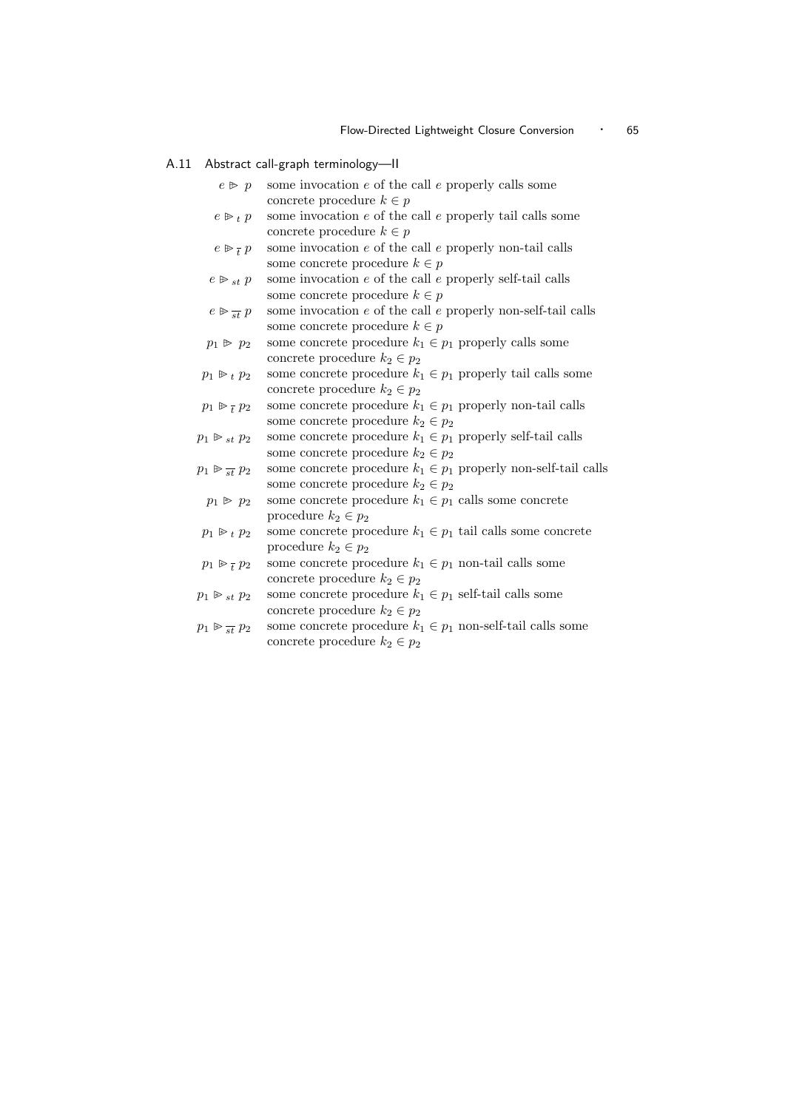#### A.11 Abstract call-graph terminology—II

- $e \triangleright p$  some invocation e of the call e properly calls some concrete procedure  $k \in p$
- $e \triangleright_t p$  some invocation e of the call e properly tail calls some concrete procedure  $k \in p$
- $e \trianglerighteq \frac{1}{t}$ some invocation  $e$  of the call  $e$  properly non-tail calls some concrete procedure  $k \in p$
- $e \triangleright_{st} p$  some invocation e of the call e properly self-tail calls some concrete procedure  $k \in p$
- $e \otimes \frac{ }{st} p$ some invocation  $e$  of the call  $e$  properly non-self-tail calls some concrete procedure  $k \in p$
- $p_1 \not\triangleright p_2$  some concrete procedure  $k_1 \in p_1$  properly calls some concrete procedure  $k_2 \in p_2$
- $p_1 \triangleright_t p_2$  some concrete procedure  $k_1 \in p_1$  properly tail calls some concrete procedure  $k_2 \in p_2$
- $p_1 \triangleright \frac{1}{t}$ some concrete procedure  $k_1 \in p_1$  properly non-tail calls some concrete procedure  $k_2 \in p_2$
- $p_1 \not\triangleright_{st} p_2$  some concrete procedure  $k_1 \in p_1$  properly self-tail calls some concrete procedure  $k_2 \in p_2$
- $p_1 \triangleright_{st} p_2$ some concrete procedure  $k_1 \in p_1$  properly non-self-tail calls some concrete procedure  $k_2 \in p_2$
- $p_1 \geq p_2$  some concrete procedure  $k_1 \in p_1$  calls some concrete procedure  $k_2 \in p_2$
- $p_1 \triangleright_t p_2$  some concrete procedure  $k_1 \in p_1$  tail calls some concrete procedure  $k_2 \in p_2$
- $p_1 \triangleright t$ some concrete procedure  $k_1 \in p_1$  non-tail calls some concrete procedure  $k_2 \in p_2$
- $p_1 \ge s_t p_2$  some concrete procedure  $k_1 \in p_1$  self-tail calls some concrete procedure  $k_2 \in p_2$
- $p_1 \gg \frac{1}{st} p_2$ some concrete procedure  $k_1 \in p_1$  non-self-tail calls some concrete procedure  $k_2 \in p_2$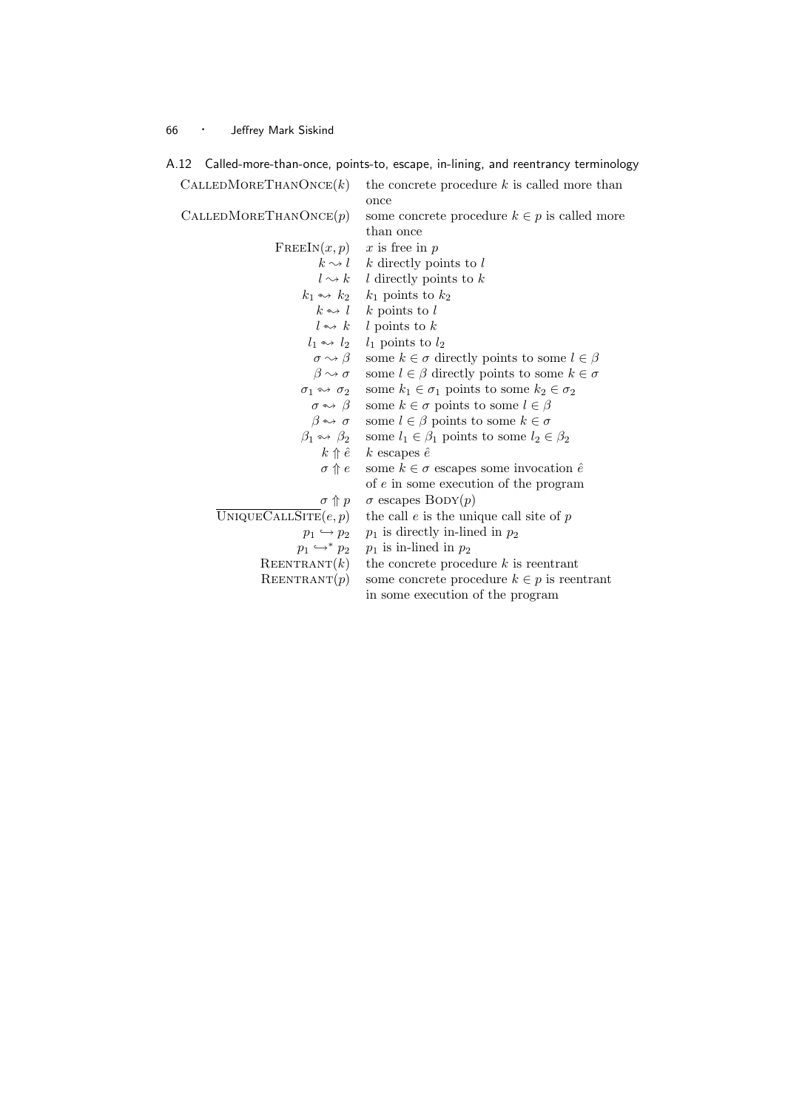| \. 1 Z                                  | Called-more-than-once, points-to, escape, in-liming, and reentrancy terminolog            |
|-----------------------------------------|-------------------------------------------------------------------------------------------|
| CALLED MORETHANONCE(k)                  | the concrete procedure $k$ is called more than<br>once                                    |
| CALLED MORETHANONCE(p)                  | some concrete procedure $k \in p$ is called more                                          |
|                                         | than once                                                                                 |
| $\text{FREEIN}(x, p)$                   | $x$ is free in $p$                                                                        |
|                                         | $k \sim l$ k directly points to l                                                         |
|                                         | $l \rightsquigarrow k$ $l$ directly points to $k$                                         |
|                                         | $k_1 \rightarrow k_2$ $k_1$ points to $k_2$                                               |
|                                         | $k \rightarrow l$ k points to l                                                           |
|                                         | $l \leftrightarrow k$ $l$ points to k                                                     |
|                                         | $l_1 \leftrightarrow l_2$ $l_1$ points to $l_2$                                           |
| $\sigma \rightsquigarrow \beta$         | some $k \in \sigma$ directly points to some $l \in \beta$                                 |
|                                         | $\beta \rightsquigarrow \sigma$ some $l \in \beta$ directly points to some $k \in \sigma$ |
| $\sigma_1 \leftrightarrow \sigma_2$     | some $k_1 \in \sigma_1$ points to some $k_2 \in \sigma_2$                                 |
|                                         | $\sigma \leftrightarrow \beta$ some $k \in \sigma$ points to some $l \in \beta$           |
|                                         | $\beta \leftrightarrow \sigma$ some $l \in \beta$ points to some $k \in \sigma$           |
| $\beta_1 \leftrightarrow \beta_2$       | some $l_1 \in \beta_1$ points to some $l_2 \in \beta_2$                                   |
|                                         | $k \uparrow \hat{e}$ $k$ escapes $\hat{e}$                                                |
| $\sigma \uparrow e$                     | some $k \in \sigma$ escapes some invocation $\hat{e}$                                     |
|                                         | of $e$ in some execution of the program                                                   |
| $\sigma \uparrow p$                     | $\sigma$ escapes BODY $(p)$                                                               |
| $\overline{\text{UNIQUECALSITE}}(e, p)$ | the call $e$ is the unique call site of $p$                                               |
| $p_1 \hookrightarrow p_2$               | $p_1$ is directly in-lined in $p_2$                                                       |
| $p_1 \hookrightarrow^* p_2$             | $p_1$ is in-lined in $p_2$                                                                |
| REENTRANT(k)                            | the concrete procedure $k$ is reentrant                                                   |
| REENTRANT(p)                            | some concrete procedure $k \in p$ is reentrant                                            |
|                                         | in some execution of the program                                                          |
|                                         |                                                                                           |

A.12 Called-more-than-once, points-to, escape, in-lining, and reentrancy terminology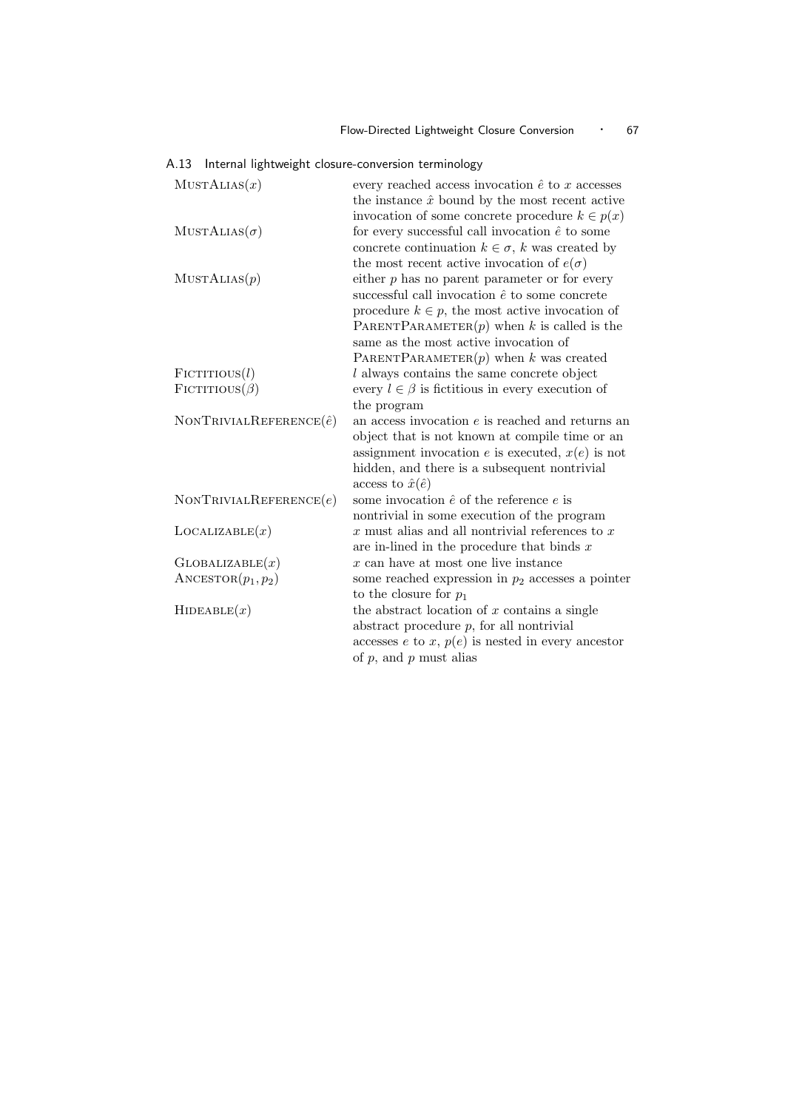|  | A.13 Internal lightweight closure-conversion terminology |  |
|--|----------------------------------------------------------|--|
|  |                                                          |  |

| MUSTALIAS(x)                    | every reached access invocation $\hat{e}$ to x accesses<br>the instance $\hat{x}$ bound by the most recent active<br>invocation of some concrete procedure $k \in p(x)$                                                                                                                               |
|---------------------------------|-------------------------------------------------------------------------------------------------------------------------------------------------------------------------------------------------------------------------------------------------------------------------------------------------------|
| $MUSTALIAS(\sigma)$             | for every successful call invocation $\hat{e}$ to some<br>concrete continuation $k \in \sigma$ , k was created by<br>the most recent active invocation of $e(\sigma)$                                                                                                                                 |
| MUSTALIAS(p)                    | either $p$ has no parent parameter or for every<br>successful call invocation $\hat{e}$ to some concrete<br>procedure $k \in p$ , the most active invocation of<br>PARENTPARAMETER $(p)$ when k is called is the<br>same as the most active invocation of<br>PARENTPARAMETER $(p)$ when k was created |
| $F$ ICTITIOUS $(l)$             | l always contains the same concrete object                                                                                                                                                                                                                                                            |
| $F$ ICTITIOUS $(\beta)$         | every $l \in \beta$ is fictitious in every execution of<br>the program                                                                                                                                                                                                                                |
| NONTRIVIALREFERENCE $(\hat{e})$ | an access invocation $e$ is reached and returns an<br>object that is not known at compile time or an<br>assignment invocation e is executed, $x(e)$ is not<br>hidden, and there is a subsequent nontrivial<br>access to $\hat{x}(\hat{e})$                                                            |
| NONTRIVIALREFERENCES(e)         | some invocation $\hat{e}$ of the reference $e$ is<br>nontrivial in some execution of the program                                                                                                                                                                                                      |
| LocALIZABLE(x)                  | $x$ must alias and all nontrivial references to $x$<br>are in-lined in the procedure that binds $x$                                                                                                                                                                                                   |
| $G$ LOBALIZABLE $(x)$           | $x$ can have at most one live instance                                                                                                                                                                                                                                                                |
| $\text{ANGESTOR}(p_1, p_2)$     | some reached expression in $p_2$ accesses a pointer<br>to the closure for $p_1$                                                                                                                                                                                                                       |
| HIDEABLE(x)                     | the abstract location of $x$ contains a single<br>abstract procedure $p$ , for all nontrivial<br>accesses $e$ to $x$ , $p(e)$ is nested in every ancestor<br>of $p$ , and $p$ must alias                                                                                                              |